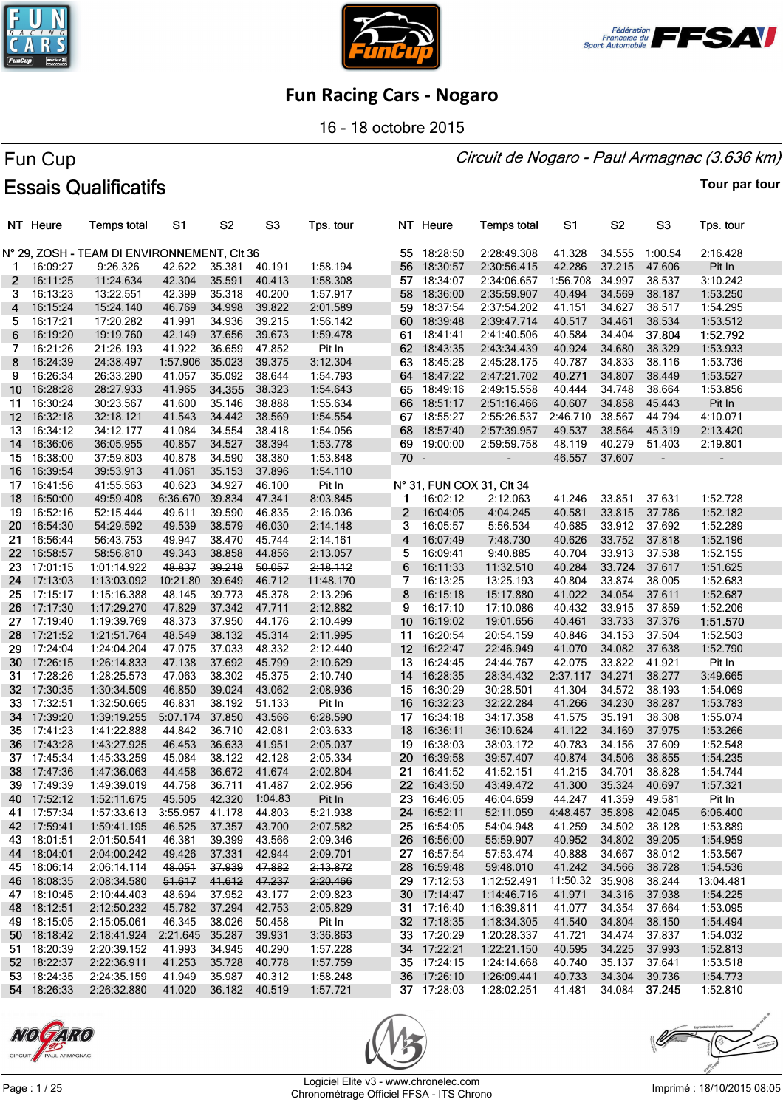





16 - 18 octobre 2015

#### Circuit de Nogaro - Paul Armagnac (3.636 km)

# Fun Cup **Essais Qualificatifs**

|                       | NT Heure    | <b>Temps total</b>                          | S1              | S <sub>2</sub> | S <sub>3</sub> | Tps. tour |              | NT Heure    | <b>Temps total</b>        | S1              | S <sub>2</sub>   | S <sub>3</sub>           | Tps. tour                |
|-----------------------|-------------|---------------------------------------------|-----------------|----------------|----------------|-----------|--------------|-------------|---------------------------|-----------------|------------------|--------------------------|--------------------------|
|                       |             | N° 29, ZOSH - TEAM DI ENVIRONNEMENT, CIt 36 |                 |                |                |           | 55           | 18:28:50    | 2:28:49.308               | 41.328          | 34.555           | 1:00.54                  | 2:16.428                 |
| 1.                    | 16:09:27    | 9:26.326                                    | 42.622          | 35.381         | 40.191         | 1:58.194  | 56           | 18:30:57    | 2:30:56.415               | 42.286          | 37.215           | 47.606                   | Pit In                   |
| $\mathbf{2}^{\prime}$ | 16:11:25    | 11:24.634                                   | 42.304          | 35.591         | 40.413         | 1:58.308  | 57           | 18:34:07    | 2:34:06.657               | 1:56.708        | 34.997           | 38.537                   | 3:10.242                 |
| 3                     | 16:13:23    | 13:22.551                                   | 42.399          | 35.318         | 40.200         | 1:57.917  | 58           | 18:36:00    | 2:35:59.907               | 40.494          | 34.569           | 38.187                   | 1:53.250                 |
| 4                     | 16:15:24    | 15:24.140                                   | 46.769          | 34.998         | 39.822         | 2:01.589  |              | 59 18:37:54 | 2:37:54.202               | 41.151          | 34.627           | 38.517                   | 1:54.295                 |
| 5.                    | 16:17:21    | 17:20.282                                   | 41.991          | 34.936         | 39.215         | 1:56.142  | 60           | 18:39:48    | 2:39:47.714               | 40.517          | 34.461           | 38.534                   | 1:53.512                 |
| 6                     | 16:19:20    | 19:19.760                                   | 42.149          | 37.656         | 39.673         | 1:59.478  |              | 61 18:41:41 | 2:41:40.506               | 40.584          | 34.404           | 37.804                   | 1:52.792                 |
| 7                     | 16:21:26    | 21:26.193                                   | 41.922          | 36.659         | 47.852         | Pit In    |              | 62 18:43:35 | 2:43:34.439               | 40.924          | 34.680           | 38.329                   | 1:53.933                 |
| 8                     | 16:24:39    | 24:38.497                                   | 1:57.906        | 35.023         | 39.375         | 3:12.304  | 63           | 18:45:28    | 2:45:28.175               | 40.787          | 34.833           | 38.116                   | 1:53.736                 |
| 9                     | 16:26:34    | 26:33.290                                   | 41.057          | 35.092         | 38.644         | 1:54.793  | 64           | 18:47:22    | 2:47:21.702               | 40.271          | 34.807           | 38.449                   | 1:53.527                 |
|                       |             |                                             |                 | 34.355         | 38.323         |           | 65           |             |                           |                 |                  |                          |                          |
| 10                    | 16:28:28    | 28:27.933                                   | 41.965          |                |                | 1:54.643  |              | 18:49:16    | 2:49:15.558               | 40.444          | 34.748           | 38.664                   | 1:53.856                 |
| 11                    | 16:30:24    | 30:23.567                                   | 41.600          | 35.146         | 38.888         | 1:55.634  | 66           | 18:51:17    | 2:51:16.466               | 40.607          | 34.858<br>38.567 | 45.443<br>44.794         | Pit In                   |
| 12 <sup>2</sup>       | 16:32:18    | 32:18.121                                   | 41.543          | 34.442         | 38.569         | 1:54.554  |              | 67 18:55:27 | 2:55:26.537               | 2:46.710        |                  |                          | 4:10.071                 |
| 13.                   | 16:34:12    | 34:12.177                                   | 41.084          | 34.554         | 38.418         | 1:54.056  | 68           | 18:57:40    | 2:57:39.957               | 49.537          | 38.564           | 45.319                   | 2:13.420                 |
| 14                    | 16:36:06    | 36:05.955                                   | 40.857          | 34.527         | 38.394         | 1:53.778  |              | 69 19:00:00 | 2:59:59.758               | 48.119          | 40.279           | 51.403                   | 2:19.801                 |
| 15                    | 16:38:00    | 37:59.803                                   | 40.878          | 34.590         | 38.380         | 1:53.848  | $70 -$       |             | $\blacksquare$            | 46.557          | 37.607           | $\overline{\phantom{a}}$ | $\overline{\phantom{a}}$ |
| 16                    | 16:39:54    | 39:53.913                                   | 41.061          | 35.153         | 37.896         | 1:54.110  |              |             |                           |                 |                  |                          |                          |
| 17                    | 16:41:56    | 41:55.563                                   | 40.623          | 34.927         | 46.100         | Pit In    |              |             | N° 31, FUN COX 31, CIt 34 |                 |                  |                          |                          |
| 18                    | 16:50:00    | 49:59.408                                   | 6:36.670        | 39.834         | 47.341         | 8:03.845  | 1.           | 16:02:12    | 2:12.063                  | 41.246          | 33.851           | 37.631                   | 1:52.728                 |
| 19                    | 16:52:16    | 52:15.444                                   | 49.611          | 39.590         | 46.835         | 2:16.036  | $\mathbf{2}$ | 16:04:05    | 4:04.245                  | 40.581          | 33.815           | 37.786                   | 1:52.182                 |
| 20                    | 16:54:30    | 54:29.592                                   | 49.539          | 38.579         | 46.030         | 2:14.148  | 3            | 16:05:57    | 5:56.534                  | 40.685          | 33.912           | 37.692                   | 1:52.289                 |
| 21.                   | 16:56:44    | 56:43.753                                   | 49.947          | 38.470         | 45.744         | 2:14.161  | 4            | 16:07:49    | 7:48.730                  | 40.626          | 33.752           | 37.818                   | 1:52.196                 |
| 22 <sub>2</sub>       | 16:58:57    | 58:56.810                                   | 49.343          | 38.858         | 44.856         | 2:13.057  | 5            | 16:09:41    | 9:40.885                  | 40.704          | 33.913           | 37.538                   | 1:52.155                 |
| 23.                   | 17:01:15    | 1:01:14.922                                 | 48.837          | 39.218         | 50.057         | 2:18.112  | 6            | 16:11:33    | 11:32.510                 | 40.284          | 33.724           | 37.617                   | 1:51.625                 |
| 24                    | 17:13:03    | 1:13:03.092                                 | 10:21.80        | 39.649         | 46.712         | 11:48.170 | 7            | 16:13:25    | 13:25.193                 | 40.804          | 33.874           | 38.005                   | 1:52.683                 |
| 25                    | 17:15:17    | 1:15:16.388                                 | 48.145          | 39.773         | 45.378         | 2:13.296  | 8            | 16:15:18    | 15:17.880                 | 41.022          | 34.054           | 37.611                   | 1:52.687                 |
| 26                    | 17:17:30    | 1:17:29.270                                 | 47.829          | 37.342         | 47.711         | 2:12.882  | 9            | 16:17:10    | 17:10.086                 | 40.432          | 33.915           | 37.859                   | 1:52.206                 |
| 27                    | 17:19:40    | 1:19:39.769                                 | 48.373          | 37.950         | 44.176         | 2:10.499  | 10           | 16:19:02    | 19:01.656                 | 40.461          | 33.733           | 37.376                   | 1:51.570                 |
| 28                    | 17:21:52    | 1:21:51.764                                 | 48.549          | 38.132         | 45.314         | 2:11.995  | 11           | 16:20:54    | 20:54.159                 | 40.846          | 34.153           | 37.504                   | 1:52.503                 |
|                       | 29 17:24:04 | 1:24:04.204                                 | 47.075          | 37.033         | 48.332         | 2:12.440  |              | 12 16:22:47 | 22:46.949                 | 41.070          | 34.082           | 37.638                   | 1:52.790                 |
|                       | 30 17:26:15 | 1:26:14.833                                 | 47.138          | 37.692         | 45.799         | 2:10.629  |              | 13 16:24:45 | 24:44.767                 | 42.075          | 33.822           | 41.921                   | Pit In                   |
| 31.                   | 17:28:26    | 1:28:25.573                                 | 47.063          | 38.302         | 45.375         | 2:10.740  | 14           | 16:28:35    | 28:34.432                 | 2:37.117        | 34.271           | 38.277                   | 3:49.665                 |
|                       | 32 17:30:35 | 1:30:34.509                                 | 46.850          | 39.024         | 43.062         | 2:08.936  |              | 15 16:30:29 | 30:28.501                 | 41.304          | 34.572           | 38.193                   | 1:54.069                 |
| 33.                   | 17:32:51    | 1:32:50.665                                 | 46.831          | 38.192         | 51.133         | Pit In    | 16           | 16:32:23    | 32:22.284                 | 41.266          | 34.230           | 38.287                   | 1:53.783                 |
| 34                    | 17:39:20    | 1:39:19.255                                 | 5:07.174        | 37.850         | 43.566         | 6:28.590  | 17           | 16:34:18    | 34:17.358                 | 41.575          | 35.191           | 38.308                   | 1:55.074                 |
| 35 <sub>o</sub>       | 17:41:23    | 1:41:22.888                                 | 44.842          | 36.710         | 42.081         | 2:03.633  | 18           | 16:36:11    | 36:10.624                 | 41.122          | 34.169           | 37.975                   | 1:53.266                 |
| 36                    | 17:43:28    | 1:43:27.925                                 | 46.453          | 36.633         | 41.951         | 2:05.037  |              | 19 16:38:03 | 38:03.172                 | 40.783          | 34.156           | 37.609                   | 1:52.548                 |
| 37                    | 17:45:34    | 1:45:33.259                                 | 45.084          | 38.122         | 42.128         | 2:05.334  | 20           | 16:39:58    | 39:57.407                 | 40.874          | 34.506           | 38.855                   | 1:54.235                 |
| 38                    | 17:47:36    | 1:47:36.063                                 | 44.458          | 36.672         | 41.674         | 2:02.804  | 21           | 16:41:52    | 41:52.151                 | 41.215          | 34.701           | 38.828                   | 1:54.744                 |
| 39                    | 17:49:39    | 1:49:39.019                                 | 44.758          | 36.711         | 41.487         | 2:02.956  |              | 22 16:43:50 | 43:49.472                 | 41.300          | 35.324           | 40.697                   | 1:57.321                 |
|                       | 40 17:52:12 | 1:52:11.675                                 | 45.505          | 42.320         | 1:04.83        | Pit In    |              | 23 16:46:05 | 46:04.659                 | 44.247          | 41.359           | 49.581                   | Pit In                   |
|                       | 41 17:57:34 | 1:57:33.613                                 | 3:55.957 41.178 |                | 44.803         | 5:21.938  |              | 24 16:52:11 | 52:11.059                 | 4:48.457 35.898 |                  | 42.045                   | 6:06.400                 |
|                       | 42 17:59:41 | 1:59:41.195                                 | 46.525          | 37.357         | 43.700         | 2:07.582  |              | 25 16:54:05 | 54:04.948                 | 41.259          | 34.502           | 38.128                   | 1:53.889                 |
|                       | 43 18:01:51 | 2:01:50.541                                 | 46.381          | 39.399         | 43.566         | 2:09.346  |              | 26 16:56:00 | 55:59.907                 | 40.952          | 34.802           | 39.205                   | 1:54.959                 |
|                       | 44 18:04:01 | 2:04:00.242                                 | 49.426          | 37.331         | 42.944         | 2:09.701  |              | 27 16:57:54 | 57:53.474                 | 40.888          | 34.667           | 38.012                   | 1:53.567                 |
|                       | 45 18:06:14 | 2:06:14.114                                 | 48.051          | 37.939         | 47.882         | 2:13.872  |              | 28 16:59:48 | 59:48.010                 | 41.242          | 34.566           | 38.728                   | 1:54.536                 |
|                       | 46 18:08:35 | 2:08:34.580                                 | 51.617          | 41.612         | 47.237         | 2:20.466  |              | 29 17:12:53 | 1:12:52.491               | 11:50.32 35.908 |                  | 38.244                   | 13:04.481                |
|                       | 47 18:10:45 | 2:10:44.403                                 | 48.694          | 37.952         | 43.177         | 2:09.823  |              | 30 17:14:47 | 1:14:46.716               | 41.971          | 34.316           | 37.938                   | 1:54.225                 |
|                       | 48 18:12:51 | 2:12:50.232                                 | 45.782          | 37.294         | 42.753         | 2:05.829  |              | 31 17:16:40 | 1:16:39.811               | 41.077          | 34.354           | 37.664                   | 1:53.095                 |
|                       | 49 18:15:05 | 2:15:05.061                                 | 46.345          | 38.026         | 50.458         | Pit In    |              | 32 17:18:35 | 1:18:34.305               | 41.540          | 34.804           | 38.150                   | 1:54.494                 |
|                       | 50 18:18:42 | 2:18:41.924                                 | 2:21.645        | 35.287         | 39.931         | 3:36.863  |              | 33 17:20:29 | 1:20:28.337               | 41.721          | 34.474           | 37.837                   | 1:54.032                 |
|                       | 51 18:20:39 | 2:20:39.152                                 | 41.993          | 34.945         | 40.290         | 1:57.228  |              | 34 17:22:21 | 1:22:21.150               | 40.595          | 34.225           | 37.993                   | 1:52.813                 |
|                       | 52 18:22:37 | 2:22:36.911                                 | 41.253          | 35.728         | 40.778         | 1:57.759  |              | 35 17:24:15 | 1:24:14.668               | 40.740          | 35.137           | 37.641                   | 1:53.518                 |
|                       | 53 18:24:35 | 2:24:35.159                                 | 41.949          | 35.987         | 40.312         | 1:58.248  |              | 36 17:26:10 | 1:26:09.441               | 40.733          | 34.304           | 39.736                   | 1:54.773                 |
|                       | 54 18:26:33 | 2:26:32.880                                 | 41.020          | 36.182 40.519  |                | 1:57.721  |              | 37 17:28:03 | 1:28:02.251               | 41.481          | 34.084           | 37.245                   | 1:52.810                 |





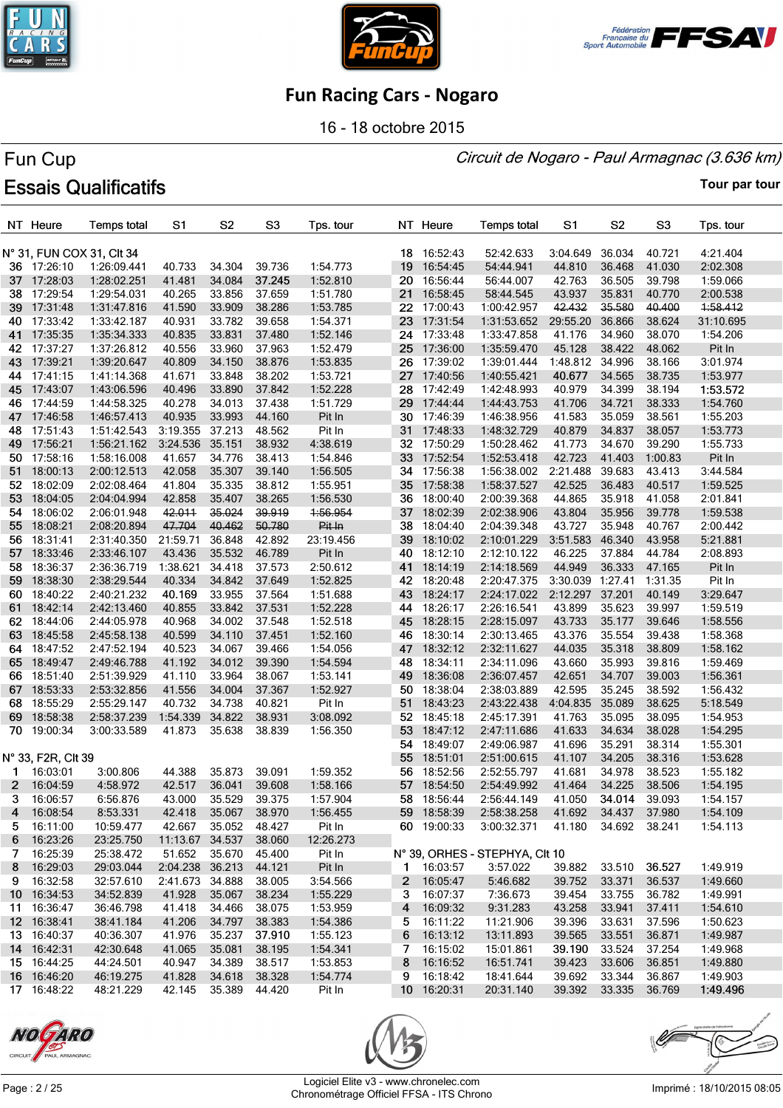





16 - 18 octobre 2015

#### Circuit de Nogaro - Paul Armagnac (3.636 km)

# Fun Cup **Essais Qualificatifs**

|         | NT Heure             | <b>Temps total</b>        | S1                        | S <sub>2</sub> | S <sub>3</sub>   | Tps. tour           |                 | NT Heure    | <b>Temps total</b>                         | S1                   | S <sub>2</sub> | S <sub>3</sub> | Tps. tour |
|---------|----------------------|---------------------------|---------------------------|----------------|------------------|---------------------|-----------------|-------------|--------------------------------------------|----------------------|----------------|----------------|-----------|
|         |                      | N° 31, FUN COX 31, CIt 34 |                           |                |                  |                     |                 | 18 16:52:43 | 52:42.633                                  | 3:04.649             | 36.034         | 40.721         | 4:21.404  |
|         | 36 17:26:10          | 1:26:09.441               | 40.733                    | 34.304         | 39.736           | 1:54.773            | 19              | 16:54:45    | 54:44.941                                  | 44.810               | 36.468         | 41.030         | 2:02.308  |
|         | 37 17:28:03          | 1:28:02.251               | 41.481                    | 34.084         | 37.245           | 1:52.810            | 20              | 16:56:44    | 56:44.007                                  | 42.763               | 36.505         | 39.798         | 1:59.066  |
| 38      | 17:29:54             | 1:29:54.031               | 40.265                    | 33.856         | 37.659           | 1:51.780            | 21              | 16:58:45    | 58:44.545                                  | 43.937               | 35.831         | 40.770         | 2:00.538  |
| 39      | 17:31:48             | 1:31:47.816               | 41.590                    | 33.909         | 38.286           | 1:53.785            |                 | 22 17:00:43 | 1:00:42.957                                | 42.432               | 35.580         | 40.400         | 1:58.412  |
| 40.     | 17:33:42             | 1:33:42.187               | 40.931                    | 33.782         | 39.658           | 1:54.371            | 23              | 17:31:54    | 1:31:53.652                                | 29:55.20             | 36.866         | 38.624         | 31:10.695 |
| 41      | 17:35:35             | 1:35:34.333               | 40.835                    | 33.831         | 37.480           | 1:52.146            | 24              | 17:33:48    | 1:33:47.858                                | 41.176               | 34.960         | 38.070         | 1:54.206  |
| 42      | 17:37:27             | 1:37:26.812               | 40.556                    | 33.960         | 37.963           | 1:52.479            | 25              | 17:36:00    | 1:35:59.470                                | 45.128               | 38.422         | 48.062         | Pit In    |
| 43      | 17:39:21             | 1:39:20.647               | 40.809                    | 34.150         | 38.876           | 1:53.835            |                 | 26 17:39:02 | 1:39:01.444                                | 1:48.812 34.996      |                | 38.166         | 3:01.974  |
|         | 44 17:41:15          | 1:41:14.368               | 41.671                    | 33.848         | 38.202           | 1:53.721            |                 | 27 17:40:56 | 1:40:55.421                                | 40.677               | 34.565         | 38.735         | 1:53.977  |
| 45      | 17:43:07             | 1:43:06.596               | 40.496                    | 33.890         | 37.842           | 1:52.228            | 28              | 17:42:49    | 1:42:48.993                                | 40.979               | 34.399         | 38.194         | 1:53.572  |
| 46      | 17:44:59             | 1:44:58.325               | 40.278                    | 34.013         | 37.438           | 1:51.729            | 29.             | 17:44:44    | 1:44:43.753                                | 41.706               | 34.721         | 38.333         | 1:54.760  |
| 47      | 17:46:58             | 1:46:57.413               | 40.935                    | 33.993         | 44.160           | Pit In              |                 | 30 17:46:39 | 1:46:38.956                                | 41.583               | 35.059         | 38.561         | 1:55.203  |
| 48      | 17:51:43             | 1:51:42.543               | 3:19.355                  | 37.213         | 48.562           | Pit In              |                 | 31 17:48:33 | 1:48:32.729                                | 40.879               | 34.837         | 38.057         | 1:53.773  |
| 49      | 17:56:21             | 1:56:21.162               | 3:24.536                  | 35.151         | 38.932           | 4:38.619            | 32              | 17:50:29    | 1:50:28.462                                | 41.773               | 34.670         | 39.290         | 1:55.733  |
| 50      | 17:58:16             | 1:58:16.008               | 41.657                    | 34.776         | 38.413           | 1:54.846            | 33 <sub>°</sub> | 17:52:54    | 1:52:53.418                                | 42.723               | 41.403         | 1:00.83        | Pit In    |
| 51      | 18:00:13             | 2:00:12.513               | 42.058                    | 35.307         | 39.140           | 1:56.505            |                 | 34 17:56:38 | 1:56:38.002                                | 2:21.488             | 39.683         | 43.413         | 3:44.584  |
| 52      | 18:02:09             | 2:02:08.464               | 41.804                    | 35.335         | 38.812           | 1:55.951            | 35              | 17:58:38    | 1:58:37.527                                | 42.525               | 36.483         | 40.517         | 1:59.525  |
| 53      | 18:04:05             | 2:04:04.994               | 42.858                    | 35.407         | 38.265           | 1:56.530            | 36              | 18:00:40    | 2:00:39.368                                | 44.865               | 35.918         | 41.058         | 2:01.841  |
| 54      | 18:06:02             | 2:06:01.948               | 42.011                    | 35.024         | 39.919           | 1:56.954            |                 | 37 18:02:39 | 2:02:38.906                                | 43.804               | 35.956         | 39.778         | 1:59.538  |
| 55      | 18:08:21             | 2:08:20.894               | 47.704                    | 40.462         | 50.780           | Pit In              | 38              | 18:04:40    | 2:04:39.348                                | 43.727               | 35.948         | 40.767         | 2:00.442  |
| 56.     | 18:31:41             | 2:31:40.350               | 21:59.71                  | 36.848         | 42.892           | 23:19.456           | 39              | 18:10:02    | 2:10:01.229                                | 3:51.583             | 46.340         | 43.958         | 5:21.881  |
| 57.     | 18:33:46             | 2:33:46.107               | 43.436                    | 35.532         | 46.789           | Pit In              | 40              | 18:12:10    | 2:12:10.122                                | 46.225               | 37.884         | 44.784         | 2:08.893  |
| 58.     | 18:36:37             | 2:36:36.719               | 1:38.621                  | 34.418         | 37.573           | 2:50.612            | 41              | 18:14:19    | 2:14:18.569                                | 44.949               | 36.333         | 47.165         | Pit In    |
| 59      | 18:38:30             | 2:38:29.544               | 40.334                    | 34.842         | 37.649           | 1:52.825            |                 | 42 18:20:48 | 2:20:47.375                                | 3:30.039 1:27.41     |                | 1:31.35        | Pit In    |
| 60      | 18:40:22             | 2:40:21.232               | 40.169                    | 33.955         | 37.564           | 1:51.688            | 43              | 18:24:17    | 2:24:17.022                                | 2:12.297             | 37.201         | 40.149         | 3:29.647  |
| 61      | 18:42:14             | 2:42:13.460               | 40.855                    | 33.842         | 37.531           | 1:52.228            | 44              | 18:26:17    | 2:26:16.541                                | 43.899               | 35.623         | 39.997         | 1:59.519  |
| 62      | 18:44:06             | 2:44:05.978               | 40.968                    | 34.002         | 37.548           | 1:52.518            | 45              | 18:28:15    | 2:28:15.097                                | 43.733               | 35.177         | 39.646         | 1:58.556  |
| 63.     | 18:45:58             | 2:45:58.138               | 40.599                    | 34.110         | 37.451           | 1:52.160            | 46              | 18:30:14    | 2:30:13.465                                | 43.376               | 35.554         | 39.438         | 1:58.368  |
| 64      | 18:47:52             | 2:47:52.194               | 40.523                    | 34.067         | 39.466           | 1:54.056            |                 | 47 18:32:12 | 2:32:11.627                                | 44.035               | 35.318         | 38.809         | 1:58.162  |
| 65      | 18:49:47             | 2:49:46.788               | 41.192                    | 34.012         | 39.390           | 1:54.594            |                 | 48 18:34:11 | 2:34:11.096                                | 43.660               | 35.993         | 39.816         | 1:59.469  |
| 66      | 18:51:40             | 2:51:39.929               | 41.110                    | 33.964         | 38.067           | 1:53.141            |                 | 49 18:36:08 | 2:36:07.457                                | 42.651               | 34.707         | 39.003         | 1:56.361  |
| 67      | 18:53:33             | 2:53:32.856               | 41.556                    | 34.004         | 37.367           | 1:52.927            | 50.             | 18:38:04    | 2:38:03.889                                | 42.595               | 35.245         | 38.592         | 1:56.432  |
| 68      | 18:55:29             | 2:55:29.147               | 40.732                    | 34.738         | 40.821           | Pit In              |                 | 51 18:43:23 | 2:43:22.438                                | 4:04.835             | 35.089         | 38.625         | 5:18.549  |
| 69      | 18:58:38             | 2:58:37.239               | 1:54.339                  | 34.822         | 38.931           | 3:08.092            |                 | 52 18:45:18 | 2:45:17.391                                | 41.763               | 35.095         | 38.095         | 1:54.953  |
| 70      | 19:00:34             | 3:00:33.589               | 41.873                    | 35.638         | 38.839           | 1:56.350            | 53              | 18:47:12    | 2:47:11.686                                | 41.633               | 34.634         | 38.028         | 1:54.295  |
|         |                      |                           |                           |                |                  |                     | 54              | 18:49:07    | 2:49:06.987                                | 41.696               | 35.291         | 38.314         | 1:55.301  |
|         | N° 33, F2R, Clt 39   |                           |                           |                |                  |                     | 55              | 18:51:01    | 2:51:00.615                                | 41.107               | 34.205         | 38.316         | 1:53.628  |
| 1.      | 16:03:01             | 3:00.806                  | 44.388                    | 35.873         | 39.091           | 1:59.352            | 56.             | 18:52:56    | 2:52:55.797                                | 41.681               | 34.978         | 38.523         | 1:55.182  |
| 2       | 16:04:59             | 4:58.972                  | 42.517                    | 36.041         | 39.608           | 1:58.166            |                 | 57 18:54:50 | 2:54:49.992                                | 41.464               | 34.225         | 38.506         | 1:54.195  |
|         | 3 16:06:57           | 6:56.876                  | 43.000                    | 35.529         | 39.375           | 1:57.904            |                 | 58 18:56:44 | 2:56:44.149                                | 41.050               | 34.014         | 39.093         | 1:54.157  |
| 4       | 16:08:54             | 8:53.331                  | 42.418                    | 35.067         | 38.970           | 1:56.455            |                 | 59 18:58:39 | 2:58:38.258                                | 41.692               | 34.437         | 37.980         | 1:54.109  |
| 5.      | 16:11:00             | 10:59.477                 | 42.667                    | 35.052         | 48.427           | Pit In              |                 | 60 19:00:33 | 3:00:32.371                                | 41.180               | 34.692 38.241  |                | 1:54.113  |
| 6       | 16:23:26<br>16:25:39 | 23:25.750<br>25:38.472    | 11:13.67 34.537<br>51.652 | 35.670         | 38.060<br>45.400 | 12:26.273<br>Pit In |                 |             |                                            |                      |                |                |           |
| 7.<br>8 | 16:29:03             | 29:03.044                 | 2:04.238                  | 36.213         | 44.121           |                     |                 | 1 16:03:57  | N° 39, ORHES - STEPHYA, CIt 10<br>3:57.022 | 39.882               | 33.510         | 36.527         | 1:49.919  |
|         | 9 16:32:58           | 32:57.610                 | 2:41.673 34.888           |                | 38.005           | Pit In<br>3:54.566  |                 | 2 16:05:47  | 5:46.682                                   | 39.752               | 33.371         | 36.537         | 1:49.660  |
|         | 10 16:34:53          | 34:52.839                 | 41.928                    | 35.067         | 38.234           | 1:55.229            | 3               | 16:07:37    | 7:36.673                                   | 39.454               | 33.755         | 36.782         | 1:49.991  |
|         | 11 16:36:47          | 36:46.798                 | 41.418                    | 34.466         | 38.075           | 1:53.959            |                 | 4 16:09:32  | 9:31.283                                   | 43.258               | 33.941         | 37.411         | 1:54.610  |
|         | 12 16:38:41          | 38:41.184                 | 41.206                    | 34.797         | 38.383           | 1:54.386            |                 | 5 16:11:22  | 11:21.906                                  | 39.396               | 33.631         | 37.596         | 1:50.623  |
|         | 13 16:40:37          | 40:36.307                 | 41.976                    | 35.237         | 37.910           | 1:55.123            | 6               | 16:13:12    | 13:11.893                                  | 39.565               | 33.551         | 36.871         | 1:49.987  |
|         | 14 16:42:31          | 42:30.648                 | 41.065                    | 35.081         | 38.195           | 1:54.341            | 7               | 16:15:02    | 15:01.861                                  | 39.190               | 33.524         | 37.254         | 1:49.968  |
|         | 15 16:44:25          | 44:24.501                 | 40.947                    | 34.389         | 38.517           | 1:53.853            | 8               | 16:16:52    | 16:51.741                                  | 39.423               | 33.606         | 36.851         | 1:49.880  |
|         | 16 16:46:20          | 46:19.275                 | 41.828                    | 34.618         | 38.328           | 1:54.774            |                 | 9 16:18:42  | 18:41.644                                  | 39.692               | 33.344         | 36.867         | 1:49.903  |
|         | 17 16:48:22          | 48:21.229                 | 42.145                    | 35.389 44.420  |                  | Pit In              |                 | 10 16:20:31 | 20:31.140                                  | 39.392 33.335 36.769 |                |                | 1:49.496  |
|         |                      |                           |                           |                |                  |                     |                 |             |                                            |                      |                |                |           |





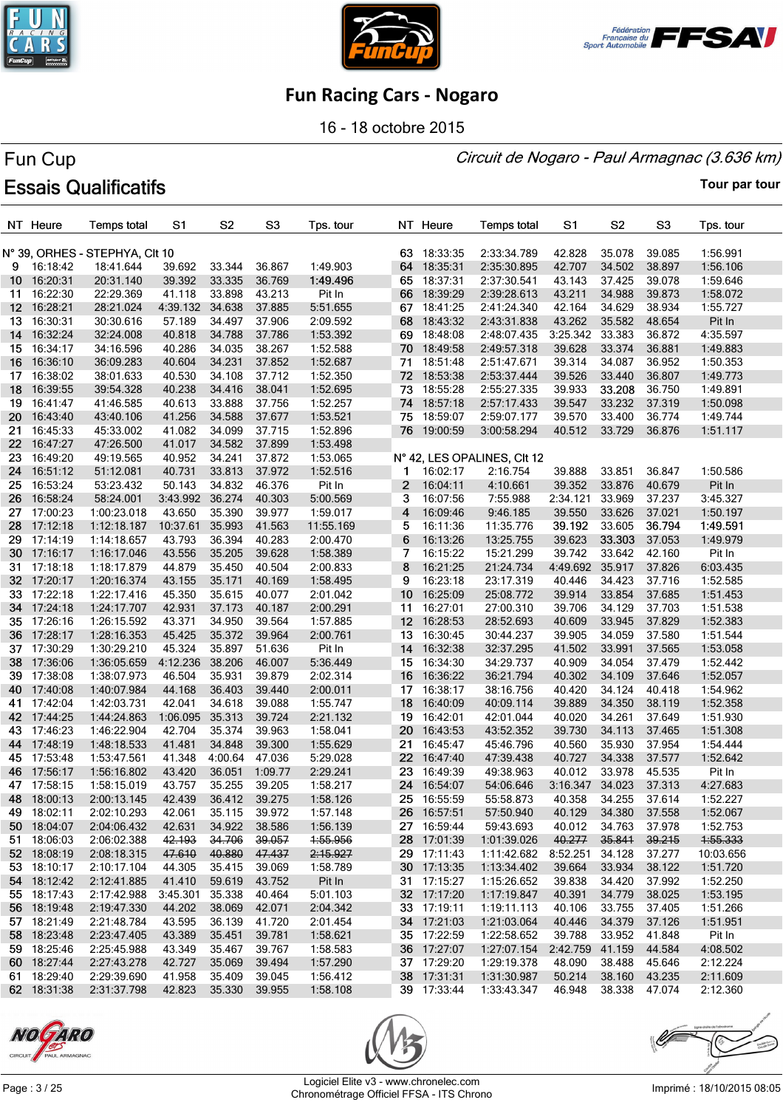





16 - 18 octobre 2015

#### Circuit de Nogaro - Paul Armagnac (3.636 km)

# Fun Cup **Essais Qualificatifs**

|                      | NT Heure    | <b>Temps total</b>                          | S <sub>1</sub> | S <sub>2</sub> | S <sub>3</sub> | Tps. tour |                 | NT Heure                | <b>Temps total</b>          | S <sub>1</sub>   | S <sub>2</sub>   | S <sub>3</sub>   | Tps. tour            |
|----------------------|-------------|---------------------------------------------|----------------|----------------|----------------|-----------|-----------------|-------------------------|-----------------------------|------------------|------------------|------------------|----------------------|
|                      |             |                                             |                |                |                |           |                 |                         |                             |                  |                  |                  |                      |
|                      | 16:18:42    | N° 39, ORHES - STEPHYA, CIt 10<br>18:41.644 | 39.692         | 33.344         | 36.867         | 1:49.903  | 63.             | 18:33:35<br>64 18:35:31 | 2:33:34.789<br>2:35:30.895  | 42.828<br>42.707 | 35.078<br>34.502 | 39.085<br>38.897 | 1:56.991<br>1:56.106 |
| 9<br>10 <sup>1</sup> | 16:20:31    | 20:31.140                                   | 39.392         | 33.335         | 36.769         | 1:49.496  | 65              | 18:37:31                | 2:37:30.541                 | 43.143           | 37.425           | 39.078           | 1:59.646             |
| 11                   | 16:22:30    | 22:29.369                                   | 41.118         | 33.898         | 43.213         | Pit In    | 66              | 18:39:29                | 2:39:28.613                 | 43.211           | 34.988           | 39.873           | 1:58.072             |
| 12 <sup>12</sup>     | 16:28:21    | 28:21.024                                   | 4:39.132       | 34.638         | 37.885         | 5:51.655  | 67              | 18:41:25                | 2:41:24.340                 | 42.164           | 34.629           | 38.934           | 1:55.727             |
|                      | 13 16:30:31 | 30:30.616                                   | 57.189         | 34.497         | 37.906         | 2:09.592  | 68              | 18:43:32                | 2:43:31.838                 | 43.262           | 35.582           | 48.654           | Pit In               |
|                      | 14 16:32:24 | 32:24.008                                   | 40.818         | 34.788         | 37.786         | 1:53.392  | 69              | 18:48:08                | 2:48:07.435                 | 3:25.342         | 33.383           | 36.872           | 4:35.597             |
|                      | 15 16:34:17 | 34:16.596                                   | 40.286         | 34.035         | 38.267         | 1:52.588  |                 | 70 18:49:58             | 2:49:57.318                 | 39.628           | 33.374           | 36.881           | 1:49.883             |
| 16 <sup>1</sup>      | 16:36:10    | 36:09.283                                   | 40.604         | 34.231         | 37.852         | 1:52.687  | 71              | 18:51:48                | 2:51:47.671                 | 39.314           | 34.087           | 36.952           | 1:50.353             |
| 17                   | 16:38:02    | 38:01.633                                   | 40.530         | 34.108         | 37.712         | 1:52.350  | 72              | 18:53:38                | 2:53:37.444                 | 39.526           | 33.440           | 36.807           | 1:49.773             |
| 18                   | 16:39:55    | 39:54.328                                   | 40.238         | 34.416         | 38.041         | 1:52.695  | 73              | 18:55:28                | 2:55:27.335                 | 39.933           | 33.208           | 36.750           | 1:49.891             |
| 19.                  | 16:41:47    | 41:46.585                                   | 40.613         | 33.888         | 37.756         | 1:52.257  |                 | 74 18:57:18             | 2:57:17.433                 | 39.547           | 33.232           | 37.319           | 1:50.098             |
| 20                   | 16:43:40    | 43:40.106                                   | 41.256         | 34.588         | 37.677         | 1:53.521  | 75              | 18:59:07                | 2:59:07.177                 | 39.570           | 33.400           | 36.774           | 1:49.744             |
| 21                   | 16:45:33    | 45:33.002                                   | 41.082         | 34.099         | 37.715         | 1:52.896  |                 | 76 19:00:59             | 3:00:58.294                 | 40.512           | 33.729           | 36.876           | 1:51.117             |
| 22                   | 16:47:27    | 47:26.500                                   | 41.017         | 34.582         | 37.899         | 1:53.498  |                 |                         |                             |                  |                  |                  |                      |
| 23                   | 16:49:20    | 49:19.565                                   | 40.952         | 34.241         | 37.872         | 1:53.065  |                 |                         | N° 42, LES OPALINES, CIt 12 |                  |                  |                  |                      |
| 24                   | 16:51:12    | 51:12.081                                   | 40.731         | 33.813         | 37.972         | 1:52.516  | 1               | 16:02:17                | 2:16.754                    | 39.888           | 33.851           | 36.847           | 1:50.586             |
| 25                   | 16:53:24    | 53:23.432                                   | 50.143         | 34.832         | 46.376         | Pit In    | $\mathbf{2}$    | 16:04:11                | 4:10.661                    | 39.352           | 33.876           | 40.679           | Pit In               |
| 26                   | 16:58:24    | 58:24.001                                   | 3:43.992       | 36.274         | 40.303         | 5:00.569  | 3               | 16:07:56                | 7:55.988                    | 2:34.121         | 33.969           | 37.237           | 3:45.327             |
| 27                   | 17:00:23    | 1:00:23.018                                 | 43.650         | 35.390         | 39.977         | 1:59.017  | 4               | 16:09:46                | 9:46.185                    | 39.550           | 33.626           | 37.021           | 1:50.197             |
| 28                   | 17:12:18    | 1:12:18.187                                 | 10:37.61       | 35.993         | 41.563         | 11:55.169 | 5               | 16:11:36                | 11:35.776                   | 39.192           | 33.605           | 36.794           | 1:49.591             |
| 29                   | 17:14:19    | 1:14:18.657                                 | 43.793         | 36.394         | 40.283         | 2:00.470  | 6               | 16:13:26                | 13:25.755                   | 39.623           | 33.303           | 37.053           | 1:49.979             |
| 30                   | 17:16:17    | 1:16:17.046                                 | 43.556         | 35.205         | 39.628         | 1:58.389  | 7               | 16:15:22                | 15:21.299                   | 39.742           | 33.642           | 42.160           | Pit In               |
| 31.                  | 17:18:18    | 1:18:17.879                                 | 44.879         | 35.450         | 40.504         | 2:00.833  | 8               | 16:21:25                | 21:24.734                   | 4:49.692         | 35.917           | 37.826           | 6:03.435             |
| 32 -                 | 17:20:17    | 1:20:16.374                                 | 43.155         | 35.171         | 40.169         | 1:58.495  | 9               | 16:23:18                | 23:17.319                   | 40.446           | 34.423           | 37.716           | 1:52.585             |
|                      | 33 17:22:18 | 1:22:17.416                                 | 45.350         | 35.615         | 40.077         | 2:01.042  | 10 <sup>°</sup> | 16:25:09                | 25:08.772                   | 39.914           | 33.854           | 37.685           | 1:51.453             |
|                      | 34 17:24:18 | 1:24:17.707                                 | 42.931         | 37.173         | 40.187         | 2:00.291  | 11              | 16:27:01                | 27:00.310                   | 39.706           | 34.129           | 37.703           | 1:51.538             |
|                      | 35 17:26:16 | 1:26:15.592                                 | 43.371         | 34.950         | 39.564         | 1:57.885  | 12 <sup>2</sup> | 16:28:53                | 28:52.693                   | 40.609           | 33.945           | 37.829           | 1:52.383             |
|                      | 36 17:28:17 | 1:28:16.353                                 | 45.425         | 35.372         | 39.964         | 2:00.761  | 13              | 16:30:45                | 30:44.237                   | 39.905           | 34.059           | 37.580           | 1:51.544             |
|                      | 37 17:30:29 | 1:30:29.210                                 | 45.324         | 35.897         | 51.636         | Pit In    |                 | 14 16:32:38             | 32:37.295                   | 41.502           | 33.991           | 37.565           | 1:53.058             |
|                      | 38 17:36:06 | 1:36:05.659                                 | 4:12.236       | 38.206         | 46.007         | 5:36.449  |                 | 15 16:34:30             | 34:29.737                   | 40.909           | 34.054           | 37.479           | 1:52.442             |
|                      | 39 17:38:08 | 1:38:07.973                                 | 46.504         | 35.931         | 39.879         | 2:02.314  | 16              | 16:36:22                | 36:21.794                   | 40.302           | 34.109           | 37.646           | 1:52.057             |
|                      | 40 17:40:08 | 1:40:07.984                                 | 44.168         | 36.403         | 39.440         | 2:00.011  | 17              | 16:38:17                | 38:16.756                   | 40.420           | 34.124           | 40.418           | 1:54.962             |
| 41                   | 17:42:04    | 1:42:03.731                                 | 42.041         | 34.618         | 39.088         | 1:55.747  | 18              | 16:40:09                | 40:09.114                   | 39.889           | 34.350           | 38.119           | 1:52.358             |
|                      | 42 17:44:25 | 1:44:24.863                                 | 1:06.095       | 35.313         | 39.724         | 2:21.132  | 19              | 16:42:01                | 42:01.044                   | 40.020           | 34.261           | 37.649           | 1:51.930             |
| 43                   | 17:46:23    | 1:46:22.904                                 | 42.704         | 35.374         | 39.963         | 1:58.041  | 20              | 16:43:53                | 43:52.352                   | 39.730           | 34.113           | 37.465           | 1:51.308             |
| 44                   | 17:48:19    | 1:48:18.533                                 | 41.481         | 34.848         | 39.300         | 1:55.629  | 21.             | 16:45:47                | 45:46.796                   | 40.560           | 35.930           | 37.954           | 1:54.444             |
|                      | 45 17:53:48 | 1:53:47.561                                 | 41.348         | 4:00.64        | 47.036         | 5:29.028  | 22 <sub>2</sub> | 16:47:40                | 47:39.438                   | 40.727           | 34.338           | 37.577           | 1:52.642             |
| 46                   | 17:56:17    | 1:56:16.802                                 | 43.420         | 36.051         | 1:09.77        | 2:29.241  | 23              | 16:49:39                | 49:38.963                   | 40.012           | 33.978           | 45.535           | Pit In               |
| 47                   | 17:58:15    | 1:58:15.019                                 | 43.757         | 35.255         | 39.205         | 1:58.217  | 24              | 16:54:07                | 54:06.646                   | 3:16.347         | 34.023           | 37.313           | 4:27.683             |
|                      | 48 18:00:13 | 2:00:13.145                                 | 42.439         | 36.412         | 39.275         | 1:58.126  |                 | 25 16:55:59             | 55:58.873                   | 40.358           | 34.255           | 37.614           | 1:52.227             |
|                      | 49 18:02:11 | 2:02:10.293                                 | 42.061         | 35.115         | 39.972         | 1:57.148  |                 | 26 16:57:51             | 57:50.940                   | 40.129           | 34.380           | 37.558           | 1:52.067             |
|                      | 50 18:04:07 | 2:04:06.432                                 | 42.631         | 34.922         | 38.586         | 1:56.139  |                 | 27 16:59:44             | 59:43.693                   | 40.012           | 34.763           | 37.978           | 1:52.753             |
| 51                   | 18:06:03    | 2:06:02.388                                 | 42.193         | 34.706         | 39.057         | 4:55.956  |                 | 28 17:01:39             | 1:01:39.026                 | 40.277           | 35.841           | 39.215           | 4:55.333             |
|                      | 52 18:08:19 | 2:08:18.315                                 | 47.610         | 40.880         | 47.437         | 2:15.927  |                 | 29 17:11:43             | 1:11:42.682                 | 8:52.251         | 34.128           | 37.277           | 10:03.656            |
|                      | 53 18:10:17 | 2:10:17.104                                 | 44.305         | 35.415         | 39.069         | 1:58.789  |                 | 30 17:13:35             | 1:13:34.402                 | 39.664           | 33.934           | 38.122           | 1:51.720             |
|                      | 54 18:12:42 | 2:12:41.885                                 | 41.410         | 59.619         | 43.752         | Pit In    |                 | 31 17:15:27             | 1:15:26.652                 | 39.838           | 34.420           | 37.992           | 1:52.250             |
|                      | 55 18:17:43 | 2:17:42.988                                 | 3:45.301       | 35.338         | 40.464         | 5:01.103  |                 | 32 17:17:20             | 1:17:19.847                 | 40.391           | 34.779           | 38.025           | 1:53.195             |
|                      | 56 18:19:48 | 2:19:47.330                                 | 44.202         | 38.069         | 42.071         | 2:04.342  |                 | 33 17:19:11             | 1:19:11.113                 | 40.106           | 33.755           | 37.405           | 1:51.266             |
|                      | 57 18:21:49 | 2:21:48.784                                 | 43.595         | 36.139         | 41.720         | 2:01.454  |                 | 34 17:21:03             | 1:21:03.064                 | 40.446           | 34.379           | 37.126           | 1:51.951             |
|                      | 58 18:23:48 | 2:23:47.405                                 | 43.389         | 35.451         | 39.781         | 1:58.621  |                 | 35 17:22:59             | 1:22:58.652                 | 39.788           | 33.952           | 41.848           | Pit In               |
|                      | 59 18:25:46 | 2:25:45.988                                 | 43.349         | 35.467         | 39.767         | 1:58.583  |                 | 36 17:27:07             | 1:27:07.154                 | 2:42.759 41.159  |                  | 44.584           | 4:08.502             |
|                      | 60 18:27:44 | 2:27:43.278                                 | 42.727         | 35.069         | 39.494         | 1:57.290  |                 | 37 17:29:20             | 1:29:19.378                 | 48.090           | 38.488           | 45.646           | 2:12.224             |
|                      | 61 18:29:40 | 2:29:39.690                                 | 41.958         | 35.409         | 39.045         | 1:56.412  |                 | 38 17:31:31             | 1:31:30.987                 | 50.214           | 38.160           | 43.235           | 2:11.609             |
|                      | 62 18:31:38 | 2:31:37.798                                 | 42.823         | 35.330         | 39.955         | 1:58.108  |                 | 39 17:33:44             | 1:33:43.347                 | 46.948           | 38.338           | 47.074           | 2:12.360             |





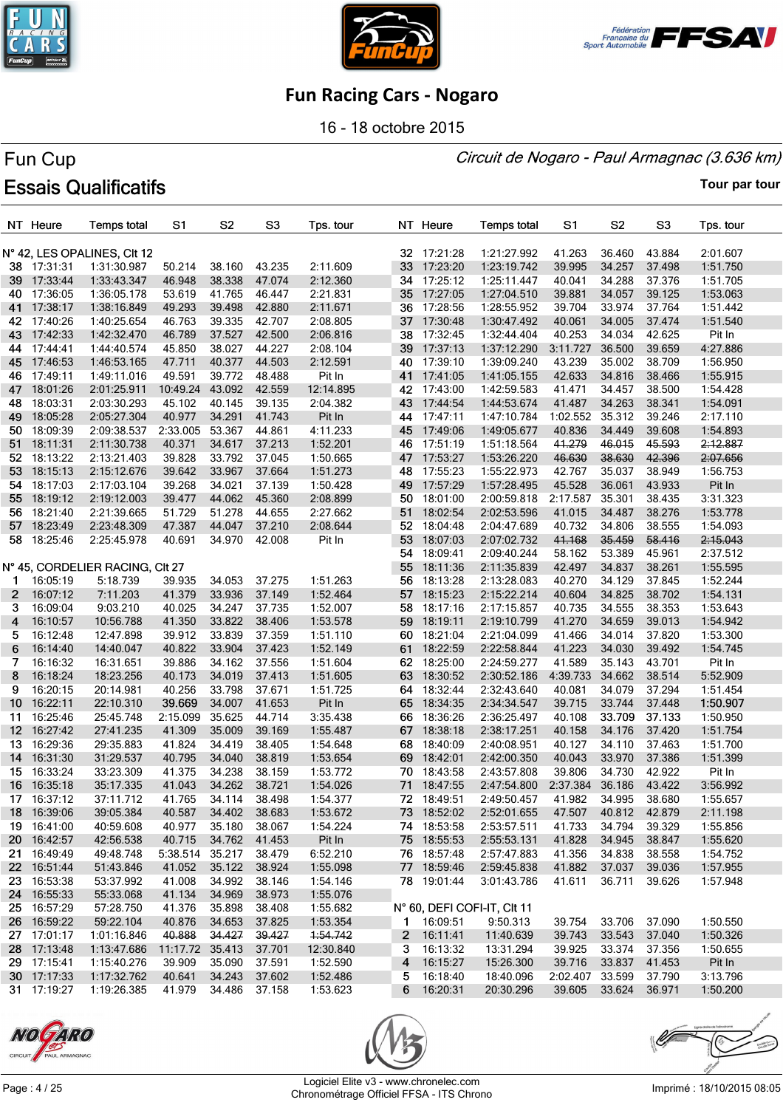





16 - 18 octobre 2015

#### Circuit de Nogaro - Paul Armagnac (3.636 km)

# Fun Cup **Essais Qualificatifs**

|                  | NT Heure    | <b>Temps total</b>              | S <sub>1</sub> | S <sub>2</sub> | S <sub>3</sub>   | Tps. tour |    | NT Heure    | <b>Temps total</b>          | S1              | S <sub>2</sub> | S <sub>3</sub> | Tps. tour            |
|------------------|-------------|---------------------------------|----------------|----------------|------------------|-----------|----|-------------|-----------------------------|-----------------|----------------|----------------|----------------------|
|                  |             | N° 42, LES OPALINES, CIt 12     |                |                |                  |           | 32 | 17:21:28    | 1:21:27.992                 | 41.263          | 36.460         | 43.884         | 2:01.607             |
|                  | 38 17:31:31 | 1:31:30.987                     | 50.214         | 38.160         | 43.235           | 2:11.609  | 33 | 17:23:20    | 1:23:19.742                 | 39.995          | 34.257         | 37.498         | 1:51.750             |
|                  | 39 17:33:44 | 1:33:43.347                     | 46.948         | 38.338         | 47.074           | 2:12.360  |    | 34 17:25:12 | 1:25:11.447                 | 40.041          | 34.288         | 37.376         | 1:51.705             |
|                  | 40 17:36:05 | 1:36:05.178                     | 53.619         | 41.765         | 46.447           | 2:21.831  | 35 | 17:27:05    | 1:27:04.510                 | 39.881          | 34.057         | 39.125         | 1:53.063             |
| 41               | 17:38:17    | 1:38:16.849                     | 49.293         | 39.498         | 42.880           | 2:11.671  | 36 | 17:28:56    | 1:28:55.952                 | 39.704          | 33.974         | 37.764         | 1:51.442             |
| 42               | 17:40:26    | 1:40:25.654                     | 46.763         | 39.335         | 42.707           | 2:08.805  |    | 37 17:30:48 | 1:30:47.492                 | 40.061          | 34.005         | 37.474         | 1:51.540             |
|                  | 43 17:42:33 | 1:42:32.470                     | 46.789         | 37.527         | 42.500           | 2:06.816  |    | 38 17:32:45 | 1:32:44.404                 | 40.253          | 34.034         | 42.625         | Pit In               |
|                  | 44 17:44:41 | 1:44:40.574                     | 45.850         | 38.027         | 44.227           | 2:08.104  |    | 39 17:37:13 | 1:37:12.290                 | 3:11.727        | 36.500         | 39.659         | 4:27.886             |
| 45               | 17:46:53    | 1:46:53.165                     | 47.711         | 40.377         | 44.503           | 2:12.591  | 40 | 17:39:10    | 1:39:09.240                 | 43.239          | 35.002         | 38.709         | 1:56.950             |
| 46               | 17:49:11    | 1:49:11.016                     | 49.591         | 39.772         | 48.488           | Pit In    |    | 41 17:41:05 | 1:41:05.155                 | 42.633          | 34.816         | 38.466         | 1:55.915             |
| 47               | 18:01:26    | 2:01:25.911                     | 10:49.24       | 43.092         | 42.559           | 12:14.895 |    | 42 17:43:00 | 1:42:59.583                 | 41.471          | 34.457         | 38.500         | 1:54.428             |
| 48               | 18:03:31    | 2:03:30.293                     | 45.102         | 40.145         | 39.135           | 2:04.382  |    | 43 17:44:54 | 1:44:53.674                 | 41.487          | 34.263         | 38.341         | 1:54.091             |
| 49               | 18:05:28    | 2:05:27.304                     | 40.977         | 34.291         | 41.743           | Pit In    | 44 | 17:47:11    | 1:47:10.784                 | 1:02.552        | 35.312         | 39.246         | 2:17.110             |
| 50               | 18:09:39    | 2:09:38.537                     | 2:33.005       | 53.367         | 44.861           | 4:11.233  |    | 45 17:49:06 | 1:49:05.677                 | 40.836          | 34.449         | 39.608         | 1:54.893             |
| 51               | 18:11:31    | 2:11:30.738                     | 40.371         | 34.617         | 37.213           | 1:52.201  |    | 46 17:51:19 | 1:51:18.564                 | 41.279          | 46.015         | 45.593         | 2:12.887             |
|                  | 52 18:13:22 | 2:13:21.403                     | 39.828         | 33.792         | 37.045           | 1:50.665  |    | 47 17:53:27 | 1:53:26.220                 | 46.630          | 38.630         | 42.396         | 2:07.656             |
| 53               | 18:15:13    | 2:15:12.676                     | 39.642         | 33.967         | 37.664           | 1:51.273  | 48 | 17:55:23    | 1:55:22.973                 | 42.767          | 35.037         | 38.949         | 1:56.753             |
| 54               | 18:17:03    | 2:17:03.104                     | 39.268         | 34.021         | 37.139           | 1:50.428  | 49 | 17:57:29    | 1:57:28.495                 | 45.528          | 36.061         | 43.933         | Pit In               |
| 55               | 18:19:12    | 2:19:12.003                     | 39.477         | 44.062         | 45.360           | 2:08.899  |    | 50 18:01:00 | 2:00:59.818                 | 2:17.587        | 35.301         | 38.435         | 3:31.323             |
|                  | 56 18:21:40 | 2:21:39.665                     | 51.729         | 51.278         | 44.655           | 2:27.662  |    | 51 18:02:54 | 2:02:53.596                 | 41.015          | 34.487         | 38.276         | 1:53.778             |
| 57 <sub>2</sub>  | 18:23:49    |                                 |                | 44.047         |                  |           | 52 |             |                             | 40.732          | 34.806         |                |                      |
|                  |             | 2:23:48.309                     | 47.387         |                | 37.210<br>42.008 | 2:08.644  | 53 | 18:04:48    | 2:04:47.689                 |                 |                | 38.555         | 1:54.093<br>2:15.043 |
|                  | 58 18:25:46 | 2:25:45.978                     | 40.691         | 34.970         |                  | Pit In    |    | 18:07:03    | 2:07:02.732                 | 41.168          | 35.459         | 58.416         |                      |
|                  |             |                                 |                |                |                  |           |    | 54 18:09:41 | 2:09:40.244                 | 58.162          | 53.389         | 45.961         | 2:37.512             |
|                  |             | N° 45, CORDELIER RACING, CIt 27 |                |                |                  |           | 55 | 18:11:36    | 2:11:35.839                 | 42.497          | 34.837         | 38.261         | 1:55.595             |
| 1.               | 16:05:19    | 5:18.739                        | 39.935         | 34.053         | 37.275           | 1:51.263  | 56 | 18:13:28    | 2:13:28.083                 | 40.270          | 34.129         | 37.845         | 1:52.244             |
| $\mathbf{2}$     | 16:07:12    | 7:11.203                        | 41.379         | 33.936         | 37.149           | 1:52.464  |    | 57 18:15:23 | 2:15:22.214                 | 40.604          | 34.825         | 38.702         | 1:54.131             |
| 3.               | 16:09:04    | 9:03.210                        | 40.025         | 34.247         | 37.735           | 1:52.007  | 58 | 18:17:16    | 2:17:15.857                 | 40.735          | 34.555         | 38.353         | 1:53.643             |
| $\overline{4}$   | 16:10:57    | 10:56.788                       | 41.350         | 33.822         | 38.406           | 1:53.578  |    | 59 18:19:11 | 2:19:10.799                 | 41.270          | 34.659         | 39.013         | 1:54.942             |
| 5                | 16:12:48    | 12:47.898                       | 39.912         | 33.839         | 37.359           | 1:51.110  |    | 60 18:21:04 | 2:21:04.099                 | 41.466          | 34.014         | 37.820         | 1:53.300             |
| 6                | 16:14:40    | 14:40.047                       | 40.822         | 33.904         | 37.423           | 1:52.149  |    | 61 18:22:59 | 2:22:58.844                 | 41.223          | 34.030         | 39.492         | 1:54.745             |
| 7                | 16:16:32    | 16:31.651                       | 39.886         | 34.162         | 37.556           | 1:51.604  |    | 62 18:25:00 | 2:24:59.277                 | 41.589          | 35.143         | 43.701         | Pit In               |
| 8                | 16:18:24    | 18:23.256                       | 40.173         | 34.019         | 37.413           | 1:51.605  |    | 63 18:30:52 | 2:30:52.186                 | 4:39.733        | 34.662         | 38.514         | 5:52.909             |
| 9                | 16:20:15    | 20:14.981                       | 40.256         | 33.798         | 37.671           | 1:51.725  |    | 64 18:32:44 | 2:32:43.640                 | 40.081          | 34.079         | 37.294         | 1:51.454             |
| 10 <sup>10</sup> | 16:22:11    | 22:10.310                       | 39.669         | 34.007         | 41.653           | Pit In    | 65 | 18:34:35    | 2:34:34.547                 | 39.715          | 33.744         | 37.448         | 1:50.907             |
| 11.              | 16:25:46    | 25:45.748                       | 2:15.099       | 35.625         | 44.714           | 3:35.438  |    | 66 18:36:26 | 2:36:25.497                 | 40.108          | 33.709         | 37.133         | 1:50.950             |
|                  | 12 16:27:42 | 27:41.235                       | 41.309         | 35.009         | 39.169           | 1:55.487  |    | 67 18:38:18 | 2:38:17.251                 | 40.158          | 34.176         | 37.420         | 1:51.754             |
|                  | 13 16:29:36 | 29:35.883                       | 41.824         | 34.419         | 38.405           | 1:54.648  |    | 68 18:40:09 | 2:40:08.951                 | 40.127          | 34.110         | 37.463         | 1:51.700             |
| 14               | 16:31:30    | 31:29.537                       | 40.795         | 34.040         | 38.819           | 1:53.654  | 69 | 18:42:01    | 2:42:00.350                 | 40.043          | 33.970         | 37.386         | 1:51.399             |
| 15.              | 16:33:24    | 33:23.309                       | 41.375         | 34.238         | 38.159           | 1:53.772  | 70 | 18:43:58    | 2:43:57.808                 | 39.806          | 34.730         | 42.922         | Pit In               |
|                  | 16 16:35:18 | 35:17.335                       | 41.043         | 34.262         | 38.721           | 1:54.026  |    | 71 18:47:55 | 2:47:54.800                 | 2:37.384        | 36.186         | 43.422         | 3:56.992             |
|                  | 17 16:37:12 | 37:11.712                       | 41.765         | 34.114         | 38.498           | 1:54.377  |    | 72 18:49:51 | 2:49:50.457                 | 41.982          | 34.995         | 38.680         | 1:55.657             |
|                  | 18 16:39:06 | 39:05.384                       | 40.587         | 34.402         | 38.683           | 1:53.672  |    | 73 18:52:02 | 2:52:01.655                 | 47.507          | 40.812         | 42.879         | 2:11.198             |
| 19               | 16:41:00    | 40:59.608                       | 40.977         | 35.180         | 38.067           | 1:54.224  |    | 74 18:53:58 | 2:53:57.511                 | 41.733          | 34.794         | 39.329         | 1:55.856             |
|                  | 20 16:42:57 | 42:56.538                       | 40.715         | 34.762         | 41.453           | Pit In    |    | 75 18:55:53 | 2:55:53.131                 | 41.828          | 34.945         | 38.847         | 1:55.620             |
|                  | 21 16:49:49 | 49:48.748                       | 5:38.514       | 35.217         | 38.479           | 6:52.210  |    | 76 18:57:48 | 2:57:47.883                 | 41.356          | 34.838         | 38.558         | 1:54.752             |
|                  | 22 16:51:44 | 51:43.846                       | 41.052         | 35.122         | 38.924           | 1:55.098  |    | 77 18:59:46 | 2:59:45.838                 | 41.882          | 37.037         | 39.036         | 1:57.955             |
|                  | 23 16:53:38 | 53:37.992                       | 41.008         | 34.992         | 38.146           | 1:54.146  |    | 78 19:01:44 | 3:01:43.786                 | 41.611          | 36.711         | 39.626         | 1:57.948             |
|                  | 24 16:55:33 | 55:33.068                       | 41.134         | 34.969         | 38.973           | 1:55.076  |    |             |                             |                 |                |                |                      |
|                  | 25 16:57:29 | 57:28.750                       | 41.376         | 35.898         | 38.408           | 1:55.682  |    |             | N° 60, DEFI COFI-IT, CIt 11 |                 |                |                |                      |
|                  | 26 16:59:22 | 59:22.104                       | 40.876         | 34.653         | 37.825           | 1:53.354  |    | 1 16:09:51  | 9:50.313                    | 39.754          | 33.706         | 37.090         | 1:50.550             |
|                  | 27 17:01:17 | 1:01:16.846                     | 40.888         | 34.427         | 39.427           | 1:54.742  |    | 2 16:11:41  | 11:40.639                   | 39.743          | 33.543         | 37.040         | 1:50.326             |
|                  | 28 17:13:48 | 1:13:47.686                     | 11:17.72       | 35.413         | 37.701           | 12:30.840 | 3. | 16:13:32    | 13:31.294                   | 39.925          | 33.374         | 37.356         | 1:50.655             |
|                  | 29 17:15:41 | 1:15:40.276                     | 39.909         | 35.090         | 37.591           | 1:52.590  | 4  | 16:15:27    | 15:26.300                   | 39.716          | 33.837         | 41.453         | Pit In               |
|                  | 30 17:17:33 | 1:17:32.762                     | 40.641         | 34.243         | 37.602           | 1:52.486  | 5  | 16:18:40    | 18:40.096                   | 2:02.407 33.599 |                | 37.790         | 3:13.796             |
|                  | 31 17:19:27 | 1:19:26.385                     | 41.979         | 34.486 37.158  |                  | 1:53.623  | 6  | 16:20:31    | 20:30.296                   | 39.605          | 33.624         | 36.971         | 1:50.200             |





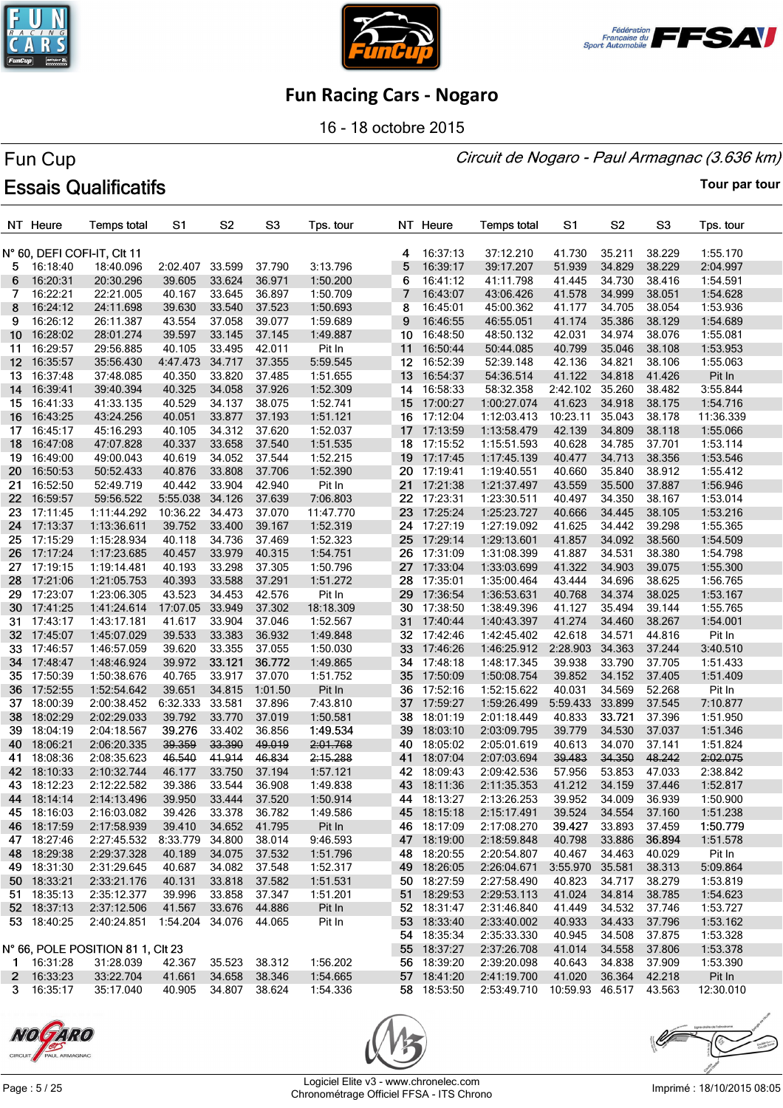





16 - 18 octobre 2015

#### Circuit de Nogaro - Paul Armagnac (3.636 km)

# Fun Cup **Essais Qualificatifs**

**Tour par tour**

|                  | NT Heure           | <b>Temps total</b>                | S <sub>1</sub>         | S <sub>2</sub> | S <sub>3</sub> | Tps. tour |    | NT Heure    | <b>Temps total</b>                 | S <sub>1</sub>  | S <sub>2</sub> | S <sub>3</sub> | Tps. tour |
|------------------|--------------------|-----------------------------------|------------------------|----------------|----------------|-----------|----|-------------|------------------------------------|-----------------|----------------|----------------|-----------|
|                  |                    |                                   |                        |                |                |           |    |             |                                    |                 |                |                |           |
|                  |                    | N° 60, DEFI COFI-IT, CIt 11       |                        |                |                |           | 4  | 16:37:13    | 37:12.210                          | 41.730          | 35.211         | 38.229         | 1:55.170  |
| 5.               | 16:18:40           | 18:40.096                         | 2:02.407               | 33.599         | 37.790         | 3:13.796  | 5  | 16:39:17    | 39:17.207                          | 51.939          | 34.829         | 38.229         | 2:04.997  |
| 6                | 16:20:31           | 20:30.296                         | 39.605                 | 33.624         | 36.971         | 1:50.200  | 6  | 16:41:12    | 41:11.798                          | 41.445          | 34.730         | 38.416         | 1:54.591  |
| 7                | 16:22:21           | 22:21.005                         | 40.167                 | 33.645         | 36.897         | 1:50.709  | 7  | 16:43:07    | 43:06.426                          | 41.578          | 34.999         | 38.051         | 1:54.628  |
| 8                | 16:24:12           | 24:11.698                         | 39.630                 | 33.540         | 37.523         | 1:50.693  | 8  | 16:45:01    | 45:00.362                          | 41.177          | 34.705         | 38.054         | 1:53.936  |
| 9                | 16:26:12           | 26:11.387                         | 43.554                 | 37.058         | 39.077         | 1:59.689  | 9  | 16:46:55    | 46:55.051                          | 41.174          | 35.386         | 38.129         | 1:54.689  |
|                  |                    |                                   |                        |                |                |           | 10 |             |                                    |                 |                |                |           |
| 10               | 16:28:02           | 28:01.274                         | 39.597                 | 33.145         | 37.145         | 1:49.887  |    | 16:48:50    | 48:50.132                          | 42.031          | 34.974         | 38.076         | 1:55.081  |
| 11.              | 16:29:57           | 29:56.885                         | 40.105                 | 33.495         | 42.011         | Pit In    | 11 | 16:50:44    | 50:44.085                          | 40.799          | 35.046         | 38.108         | 1:53.953  |
| 12 <sup>12</sup> | 16:35:57           | 35:56.430                         | 4:47.473               | 34.717         | 37.355         | 5:59.545  |    | 12 16:52:39 | 52:39.148                          | 42.136          | 34.821         | 38.106         | 1:55.063  |
| 13.              | 16:37:48           | 37:48.085                         | 40.350                 | 33.820         | 37.485         | 1:51.655  | 13 | 16:54:37    | 54:36.514                          | 41.122          | 34.818         | 41.426         | Pit In    |
| 14               | 16:39:41           | 39:40.394                         | 40.325                 | 34.058         | 37.926         | 1:52.309  |    | 14 16:58:33 | 58:32.358                          | 2:42.102 35.260 |                | 38.482         | 3:55.844  |
| 15 -             | 16:41:33           | 41:33.135                         | 40.529                 | 34.137         | 38.075         | 1:52.741  | 15 | 17:00:27    | 1:00:27.074                        | 41.623          | 34.918         | 38.175         | 1:54.716  |
| 16               | 16:43:25           | 43:24.256                         | 40.051                 | 33.877         | 37.193         | 1:51.121  | 16 | 17:12:04    | 1:12:03.413                        | 10:23.11        | 35.043         | 38.178         | 11:36.339 |
| 17.              | 16:45:17           | 45:16.293                         | 40.105                 | 34.312         | 37.620         | 1:52.037  | 17 | 17:13:59    | 1:13:58.479                        | 42.139          | 34.809         | 38.118         | 1:55.066  |
| 18               | 16:47:08           | 47:07.828                         | 40.337                 | 33.658         | 37.540         | 1:51.535  |    | 18 17:15:52 | 1:15:51.593                        | 40.628          | 34.785         | 37.701         | 1:53.114  |
| 19 -             | 16:49:00           | 49:00.043                         | 40.619                 | 34.052         | 37.544         | 1:52.215  | 19 | 17:17:45    | 1:17:45.139                        | 40.477          | 34.713         | 38.356         | 1:53.546  |
| 20 -             | 16:50:53           | 50:52.433                         | 40.876                 | 33.808         | 37.706         | 1:52.390  | 20 | 17:19:41    | 1:19:40.551                        | 40.660          | 35.840         | 38.912         | 1:55.412  |
| 21               | 16:52:50           | 52:49.719                         | 40.442                 | 33.904         | 42.940         | Pit In    | 21 | 17:21:38    | 1:21:37.497                        | 43.559          | 35.500         | 37.887         | 1:56.946  |
| 22 <sub>2</sub>  | 16:59:57           | 59:56.522                         | 5:55.038               | 34.126         | 37.639         |           |    | 22 17:23:31 | 1:23:30.511                        | 40.497          | 34.350         | 38.167         | 1:53.014  |
|                  |                    |                                   |                        | 34.473         |                | 7:06.803  | 23 | 17:25:24    |                                    |                 | 34.445         |                |           |
| 23               | 17:11:45           | 1:11:44.292                       | 10:36.22               |                | 37.070         | 11:47.770 |    |             | 1:25:23.727                        | 40.666          |                | 38.105         | 1:53.216  |
| 24               | 17:13:37           | 1:13:36.611                       | 39.752                 | 33.400         | 39.167         | 1:52.319  | 24 | 17:27:19    | 1:27:19.092                        | 41.625          | 34.442         | 39.298         | 1:55.365  |
| 25               | 17:15:29           | 1:15:28.934                       | 40.118                 | 34.736         | 37.469         | 1:52.323  | 25 | 17:29:14    | 1:29:13.601                        | 41.857          | 34.092         | 38.560         | 1:54.509  |
|                  | 26 17:17:24        | 1:17:23.685                       | 40.457                 | 33.979         | 40.315         | 1:54.751  |    | 26 17:31:09 | 1:31:08.399                        | 41.887          | 34.531         | 38.380         | 1:54.798  |
| 27               | 17:19:15           | 1:19:14.481                       | 40.193                 | 33.298         | 37.305         | 1:50.796  |    | 27 17:33:04 | 1:33:03.699                        | 41.322          | 34.903         | 39.075         | 1:55.300  |
| 28               | 17:21:06           | 1:21:05.753                       | 40.393                 | 33.588         | 37.291         | 1:51.272  | 28 | 17:35:01    | 1:35:00.464                        | 43.444          | 34.696         | 38.625         | 1:56.765  |
| 29               | 17:23:07           | 1:23:06.305                       | 43.523                 | 34.453         | 42.576         | Pit In    | 29 | 17:36:54    | 1:36:53.631                        | 40.768          | 34.374         | 38.025         | 1:53.167  |
|                  | 30 17:41:25        | 1:41:24.614                       | 17:07.05               | 33.949         | 37.302         | 18:18.309 | 30 | 17:38:50    | 1:38:49.396                        | 41.127          | 35.494         | 39.144         | 1:55.765  |
| 31.              | 17:43:17           | 1:43:17.181                       | 41.617                 | 33.904         | 37.046         | 1:52.567  |    | 31 17:40:44 | 1:40:43.397                        | 41.274          | 34.460         | 38.267         | 1:54.001  |
| 32 <sub>2</sub>  | 17:45:07           | 1:45:07.029                       | 39.533                 | 33.383         | 36.932         | 1:49.848  | 32 | 17:42:46    | 1:42:45.402                        | 42.618          | 34.571         | 44.816         | Pit In    |
|                  | 33 17:46:57        | 1:46:57.059                       | 39.620                 | 33.355         | 37.055         | 1:50.030  |    | 33 17:46:26 | 1:46:25.912                        | 2:28.903        | 34.363         | 37.244         | 3:40.510  |
|                  | 34 17:48:47        | 1:48:46.924                       | 39.972                 | 33.121         | 36.772         | 1:49.865  |    | 34 17:48:18 | 1:48:17.345                        | 39.938          | 33.790         | 37.705         | 1:51.433  |
|                  | 35 17:50:39        | 1:50:38.676                       | 40.765                 | 33.917         | 37.070         | 1:51.752  | 35 | 17:50:09    | 1:50:08.754                        | 39.852          | 34.152         | 37.405         | 1:51.409  |
| 36               | 17:52:55           | 1:52:54.642                       | 39.651                 | 34.815         | 1:01.50        | Pit In    | 36 | 17:52:16    | 1:52:15.622                        | 40.031          | 34.569         | 52.268         | Pit In    |
|                  |                    |                                   |                        |                | 37.896         |           | 37 |             |                                    | 5:59.433        |                |                |           |
| 37               | 18:00:39           | 2:00:38.452                       | 6:32.333               | 33.581         |                | 7:43.810  |    | 17:59:27    | 1:59:26.499                        |                 | 33.899         | 37.545         | 7:10.877  |
| 38               | 18:02:29           | 2:02:29.033                       | 39.792                 | 33.770         | 37.019         | 1:50.581  | 38 | 18:01:19    | 2:01:18.449                        | 40.833          | 33.721         | 37.396         | 1:51.950  |
| 39               | 18:04:19           | 2:04:18.567                       | 39.276                 | 33.402         | 36.856         | 1:49.534  | 39 | 18:03:10    | 2:03:09.795                        | 39.779          | 34.530         | 37.037         | 1:51.346  |
| 40               | 18:06:21           | 2:06:20.335                       | 39.359                 | 33.390         | 49.019         | 2:01.768  | 40 | 18:05:02    | 2:05:01.619                        | 40.613          | 34.070         | 37.141         | 1:51.824  |
| 41               | 18:08:36           | 2:08:35.623                       | 46.540                 | 41.914         | 46.834         | 2:15.288  | 41 | 18:07:04    | 2:07:03.694                        | 39.483          | 34.350         | 48.242         | 2:02.075  |
| 42               | 18:10:33           | 2:10:32.744                       | 46.177                 | 33.750         | 37.194         | 1:57.121  | 42 | 18:09:43    | 2:09:42.536                        | 57.956          | 53.853         | 47.033         | 2:38.842  |
| 43               | 18:12:23           | 2:12:22.582                       | 39.386                 | 33.544         | 36.908         | 1:49.838  | 43 | 18:11:36    | 2:11:35.353                        | 41.212          | 34.159         | 37.446         | 1:52.817  |
|                  | 44 18:14:14        | 2:14:13.496                       | 39.950                 | 33.444         | 37.520         | 1:50.914  |    | 44 18:13:27 | 2:13:26.253                        | 39.952          | 34.009         | 36.939         | 1:50.900  |
|                  | 45 18:16:03        | 2:16:03.082                       | 39.426                 | 33.378         | 36.782         | 1:49.586  |    | 45 18:15:18 | 2:15:17.491                        | 39.524          | 34.554         | 37.160         | 1:51.238  |
|                  | 46 18:17:59        | 2:17:58.939                       | 39.410                 | 34.652         | 41.795         | Pit In    |    | 46 18:17:09 | 2:17:08.270                        | 39.427          | 33.893         | 37.459         | 1:50.779  |
|                  | 47 18:27:46        | 2:27:45.532                       | 8:33.779               | 34.800         | 38.014         | 9:46.593  |    | 47 18:19:00 | 2:18:59.848                        | 40.798          | 33.886         | 36.894         | 1:51.578  |
|                  | 48 18:29:38        | 2:29:37.328                       | 40.189                 | 34.075         | 37.532         | 1:51.796  |    | 48 18:20:55 | 2:20:54.807                        | 40.467          | 34.463         | 40.029         | Pit In    |
|                  | 49 18:31:30        | 2:31:29.645                       | 40.687                 | 34.082         | 37.548         | 1:52.317  |    | 49 18:26:05 | 2:26:04.671                        | 3:55.970 35.581 |                | 38.313         | 5:09.864  |
|                  | 50 18:33:21        | 2:33:21.176                       | 40.131                 | 33.818         | 37.582         | 1:51.531  |    | 50 18:27:59 | 2:27:58.490                        | 40.823          | 34.717         | 38.279         | 1:53.819  |
|                  | 51 18:35:13        | 2:35:12.377                       | 39.996                 | 33.858         | 37.347         | 1:51.201  |    | 51 18:29:53 | 2:29:53.113                        | 41.024          | 34.814         | 38.785         |           |
|                  |                    |                                   |                        |                |                |           |    |             |                                    |                 |                |                | 1:54.623  |
|                  | 52 18:37:13        | 2:37:12.506                       | 41.567                 | 33.676         | 44.886         | Pit In    |    | 52 18:31:47 | 2:31:46.840                        | 41.449          | 34.532         | 37.746         | 1:53.727  |
|                  | 53 18:40:25        | 2:40:24.851                       | 1:54.204 34.076 44.065 |                |                | Pit In    |    | 53 18:33:40 | 2:33:40.002                        | 40.933          | 34.433         | 37.796         | 1:53.162  |
|                  |                    |                                   |                        |                |                |           |    | 54 18:35:34 | 2:35:33.330                        | 40.945          | 34.508         | 37.875         | 1:53.328  |
|                  |                    | N° 66, POLE POSITION 81 1, CIt 23 |                        |                |                |           |    | 55 18:37:27 | 2:37:26.708                        | 41.014          | 34.558         | 37.806         | 1:53.378  |
|                  | 1 16:31:28         | 31:28.039                         | 42.367                 | 35.523         | 38.312         | 1:56.202  |    | 56 18:39:20 | 2:39:20.098                        | 40.643          | 34.838         | 37.909         | 1:53.390  |
|                  | 2 16:33:23         | 33:22.704                         | 41.661                 | 34.658         | 38.346         | 1:54.665  |    | 57 18:41:20 | 2:41:19.700                        | 41.020          | 36.364         | 42.218         | Pit In    |
|                  | $3 \quad 16:35:17$ | 35:17.040                         | 40.905 34.807 38.624   |                |                | 1:54.336  |    | 58 18:53:50 | 2:53:49.710 10:59.93 46.517 43.563 |                 |                |                | 12:30.010 |







Page : 5 / 25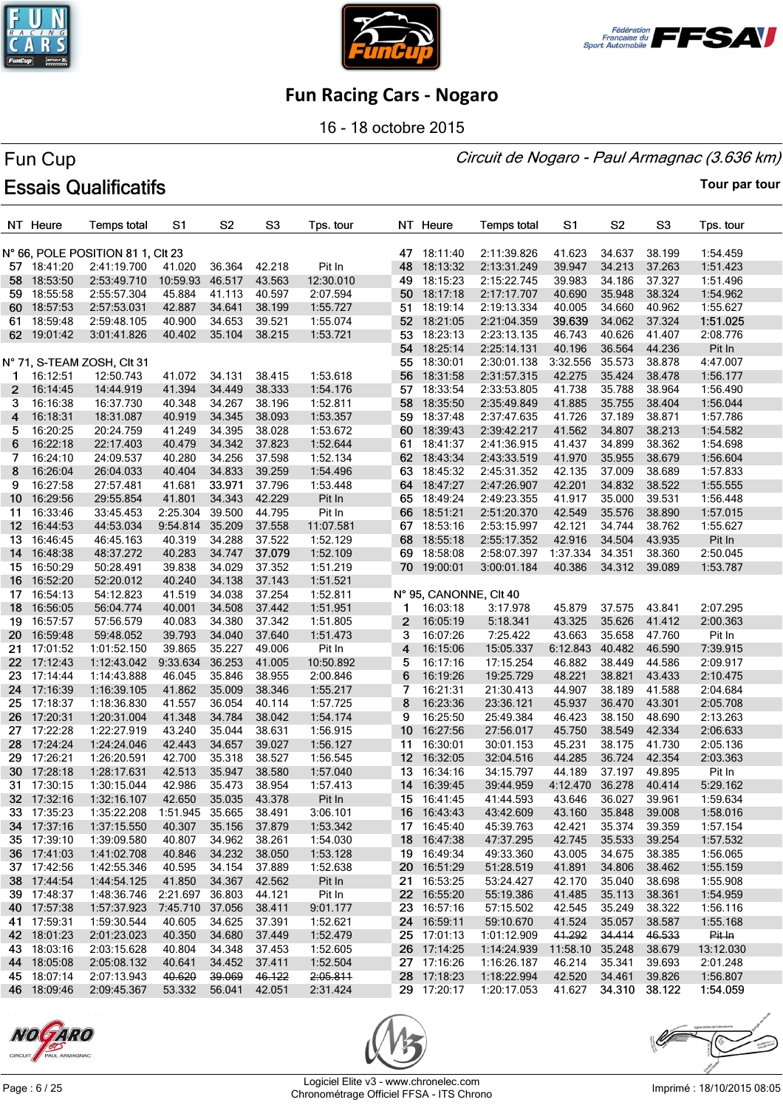





16 - 18 octobre 2015

#### Circuit de Nogaro - Paul Armagnac (3.636 km)

# Fun Cup **Essais Qualificatifs**

|                  | NT Heure                   | <b>Temps total</b>                | S1                     | S <sub>2</sub>   | S <sub>3</sub>   | Tps. tour |                 | NT Heure               | <b>Temps total</b> | S1                   | S <sub>2</sub> | S <sub>3</sub>   | Tps. tour            |
|------------------|----------------------------|-----------------------------------|------------------------|------------------|------------------|-----------|-----------------|------------------------|--------------------|----------------------|----------------|------------------|----------------------|
|                  |                            | N° 66, POLE POSITION 81 1, CIt 23 |                        |                  |                  |           |                 | 47 18:11:40            | 2:11:39.826        | 41.623               | 34.637         | 38.199           | 1:54.459             |
|                  | 57 18:41:20                | 2:41:19.700                       | 41.020                 | 36.364           | 42.218           | Pit In    | 48              | 18:13:32               | 2:13:31.249        | 39.947               | 34.213         | 37.263           | 1:51.423             |
| 58               | 18:53:50                   | 2:53:49.710                       | 10:59.93               | 46.517           | 43.563           | 12:30.010 | 49              | 18:15:23               | 2:15:22.745        | 39.983               | 34.186         | 37.327           | 1:51.496             |
| 59               | 18:55:58                   | 2:55:57.304                       | 45.884                 | 41.113           | 40.597           | 2:07.594  |                 | 50 18:17:18            | 2:17:17.707        | 40.690               | 35.948         | 38.324           | 1:54.962             |
| 60               | 18:57:53                   | 2:57:53.031                       | 42.887                 | 34.641           | 38.199           | 1:55.727  |                 | 51 18:19:14            | 2:19:13.334        | 40.005               | 34.660         | 40.962           | 1:55.627             |
| 61               | 18:59:48                   | 2:59:48.105                       | 40.900                 | 34.653           | 39.521           | 1:55.074  |                 | 52 18:21:05            | 2:21:04.359        | 39.639               | 34.062         | 37.324           | 1:51.025             |
|                  | 62 19:01:42                | 3:01:41.826                       | 40.402                 | 35.104           | 38.215           | 1:53.721  | 53              | 18:23:13               | 2:23:13.135        | 46.743               | 40.626         | 41.407           | 2:08.776             |
|                  |                            |                                   |                        |                  |                  |           |                 | 54 18:25:14            | 2:25:14.131        | 40.196               | 36.564         | 44.236           | Pit In               |
|                  |                            | N° 71, S-TEAM ZOSH, CIt 31        |                        |                  |                  |           |                 | 55 18:30:01            | 2:30:01.138        | 3:32.556             | 35.573         | 38.878           | 4:47.007             |
| 1.               | 16:12:51                   | 12:50.743                         | 41.072                 | 34.131           | 38.415           | 1:53.618  | 56              | 18:31:58               | 2:31:57.315        | 42.275               | 35.424         | 38.478           | 1:56.177             |
| $\mathbf{2}$     | 16:14:45                   | 14:44.919                         | 41.394                 | 34.449           | 38.333           | 1:54.176  | 57              | 18:33:54               | 2:33:53.805        | 41.738               | 35.788         | 38.964           | 1:56.490             |
| 3.               | 16:16:38                   | 16:37.730                         | 40.348                 | 34.267           | 38.196           | 1:52.811  |                 | 58 18:35:50            | 2:35:49.849        | 41.885               | 35.755         | 38.404           | 1:56.044             |
| 4                | 16:18:31                   | 18:31.087                         | 40.919                 | 34.345           | 38.093           | 1:53.357  | 59              | 18:37:48               | 2:37:47.635        | 41.726               | 37.189         | 38.871           | 1:57.786             |
| 5.               | 16:20:25                   | 20:24.759                         | 41.249                 | 34.395           | 38.028           | 1:53.672  |                 | 60 18:39:43            | 2:39:42.217        | 41.562               | 34.807         | 38.213           | 1:54.582             |
| 6                | 16:22:18                   | 22:17.403                         | 40.479                 | 34.342           | 37.823           | 1:52.644  |                 | 61 18:41:37            | 2:41:36.915        | 41.437               | 34.899         | 38.362           | 1:54.698             |
| 7                | 16:24:10                   | 24:09.537                         | 40.280                 | 34.256           | 37.598           | 1:52.134  |                 | 62 18:43:34            | 2:43:33.519        | 41.970               | 35.955         | 38.679           | 1:56.604             |
| 8                | 16:26:04                   | 26:04.033                         | 40.404                 | 34.833           | 39.259           | 1:54.496  |                 | 63 18:45:32            | 2:45:31.352        | 42.135               | 37.009         | 38.689           | 1:57.833             |
| 9                | 16:27:58                   | 27:57.481                         | 41.681                 | 33.971           | 37.796           | 1:53.448  | 64              | 18:47:27               | 2:47:26.907        | 42.201               | 34.832         | 38.522           | 1:55.555             |
| 10               | 16:29:56                   | 29:55.854                         | 41.801                 | 34.343           | 42.229           | Pit In    | 65              | 18:49:24               | 2:49:23.355        | 41.917               | 35.000         | 39.531           | 1:56.448             |
| 11               | 16:33:46                   | 33:45.453                         | 2:25.304               | 39.500           | 44.795           | Pit In    | 66              | 18:51:21               | 2:51:20.370        | 42.549               | 35.576         | 38.890           |                      |
|                  |                            |                                   |                        | 35.209           |                  | 11:07.581 |                 | 67 18:53:16            |                    | 42.121               | 34.744         | 38.762           | 1:57.015<br>1:55.627 |
| 12 <sup>12</sup> | 16:44:53                   | 44:53.034<br>46:45.163            | 9:54.814               |                  | 37.558<br>37.522 |           | 68              |                        | 2:53:15.997        |                      |                |                  |                      |
| 13               | 16:46:45                   |                                   | 40.319                 | 34.288<br>34.747 | 37.079           | 1:52.129  | 69              | 18:55:18<br>18:58:08   | 2:55:17.352        | 42.916               | 34.504         | 43.935           | Pit In               |
|                  | 14 16:48:38                | 48:37.272                         | 40.283<br>39.838       |                  |                  | 1:52.109  |                 |                        | 2:58:07.397        | 1:37.334             | 34.351         | 38.360           | 2:50.045             |
| 15 <sub>1</sub>  | 16:50:29                   | 50:28.491                         |                        | 34.029           | 37.352           | 1:51.219  |                 | 70 19:00:01            | 3:00:01.184        | 40.386               | 34.312         | 39.089           | 1:53.787             |
| 16.              | 16:52:20                   | 52:20.012                         | 40.240                 | 34.138           | 37.143           | 1:51.521  |                 |                        |                    |                      |                |                  |                      |
| 17               | 16:54:13                   | 54:12.823                         | 41.519                 | 34.038           | 37.254           | 1:52.811  |                 | N° 95, CANONNE, CIt 40 |                    |                      |                |                  |                      |
| 18               | 16:56:05                   | 56:04.774                         | 40.001                 | 34.508           | 37.442           | 1:51.951  | $\mathbf{1}$    | 16:03:18               | 3:17.978           | 45.879               | 37.575         | 43.841           | 2:07.295             |
| 19               | 16:57:57                   | 57:56.579                         | 40.083                 | 34.380           | 37.342           | 1:51.805  | $\mathbf{2}$    | 16:05:19               | 5:18.341           | 43.325               | 35.626         | 41.412           | 2:00.363             |
| 20               | 16:59:48                   | 59:48.052                         | 39.793                 | 34.040           | 37.640           | 1:51.473  | 3               | 16:07:26               | 7:25.422           | 43.663               | 35.658         | 47.760           | Pit In               |
| 21               | 17:01:52                   | 1:01:52.150                       | 39.865                 | 35.227           | 49.006           | Pit In    | 4               | 16:15:06               | 15:05.337          | 6:12.843             | 40.482         | 46.590           | 7:39.915             |
| 22               | 17:12:43                   | 1:12:43.042                       | 9:33.634               | 36.253           | 41.005           | 10:50.892 | 5               | 16:17:16               | 17:15.254          | 46.882               | 38.449         | 44.586           | 2:09.917             |
| 23               | 17:14:44                   | 1:14:43.888                       | 46.045                 | 35.846           | 38.955           | 2:00.846  | 6               | 16:19:26               | 19:25.729          | 48.221               | 38.821         | 43.433           | 2:10.475             |
| 24               | 17:16:39                   | 1:16:39.105                       | 41.862                 | 35.009           | 38.346           | 1:55.217  | 7               | 16:21:31               | 21:30.413          | 44.907               | 38.189         | 41.588           | 2:04.684             |
| 25               | 17:18:37                   | 1:18:36.830                       | 41.557                 | 36.054           | 40.114           | 1:57.725  | 8               | 16:23:36               | 23:36.121          | 45.937               | 36.470         | 43.301           | 2:05.708             |
| 26               | 17:20:31                   | 1:20:31.004                       | 41.348                 | 34.784           | 38.042           | 1:54.174  | 9               | 16:25:50               | 25:49.384          | 46.423               | 38.150         | 48.690           | 2:13.263             |
| 27               | 17:22:28                   | 1:22:27.919                       | 43.240                 | 35.044           | 38.631           | 1:56.915  | 10 <sup>°</sup> | 16:27:56               | 27:56.017          | 45.750               | 38.549         | 42.334           | 2:06.633             |
| 28               | 17:24:24                   | 1:24:24.046                       | 42.443                 | 34.657           | 39.027           | 1:56.127  | 11              | 16:30:01               | 30:01.153          | 45.231               | 38.175         | 41.730           | 2:05.136             |
|                  | 29 17:26:21                | 1:26:20.591                       | 42.700                 | 35.318           | 38.527           | 1:56.545  |                 | 12 16:32:05            | 32:04.516          | 44.285               | 36.724         | 42.354           | 2:03.363             |
|                  | 30 17:28:18<br>31 17:30:15 | 1:28:17.631                       | 42.513                 | 35.947           | 38.580<br>38.954 | 1:57.040  |                 | 13 16:34:16            | 34:15.797          | 44.189               | 37.197         | 49.895<br>40.414 | Pit In               |
|                  |                            | 1:30:15.044                       | 42.986                 | 35.473           |                  | 1:57.413  |                 | 14 16:39:45            | 39:44.959          | 4:12.470             | 36.278         |                  | 5:29.162             |
|                  | 32 17:32:16                | 1:32:16.107                       | 42.650                 | 35.035 43.378    |                  | Pit In    |                 | 15 16:41:45            | 41:44.593          | 43.646               | 36.027         | 39.961           | 1:59.634             |
|                  | 33 17:35:23                | 1:35:22.208                       | 1:51.945 35.665 38.491 |                  |                  | 3:06.101  |                 | 16 16:43:43            | 43:42.609          | 43.160               | 35.848         | 39.008           | 1:58.016             |
|                  | 34 17:37:16                | 1:37:15.550                       | 40.307                 | 35.156           | 37.879           | 1:53.342  |                 | 17 16:45:40            | 45:39.763          | 42.421               | 35.374         | 39.359           | 1:57.154             |
|                  | 35 17:39:10                | 1:39:09.580                       | 40.807                 | 34.962           | 38.261           | 1:54.030  |                 | 18 16:47:38            | 47:37.295          | 42.745               | 35.533         | 39.254           | 1:57.532             |
|                  | 36 17:41:03                | 1:41:02.708                       | 40.846                 | 34.232 38.050    |                  | 1:53.128  |                 | 19 16:49:34            | 49:33.360          | 43.005               | 34.675         | 38.385           | 1:56.065             |
|                  | 37 17:42:56                | 1:42:55.346                       | 40.595                 | 34.154           | 37.889           | 1:52.638  |                 | 20 16:51:29            | 51:28.519          | 41.891               | 34.806         | 38.462           | 1:55.159             |
|                  | 38 17:44:54                | 1:44:54.125                       | 41.850                 | 34.367           | 42.562           | Pit In    |                 | 21 16:53:25            | 53:24.427          | 42.170               | 35.040         | 38.698           | 1:55.908             |
|                  | 39 17:48:37                | 1:48:36.746                       | 2:21.697 36.803        |                  | 44.121           | Pit In    |                 | 22 16:55:20            | 55:19.386          | 41.485               | 35.113         | 38.361           | 1:54.959             |
|                  | 40 17:57:38                | 1:57:37.923                       | 7:45.710               | 37.056           | 38.411           | 9:01.177  |                 | 23 16:57:16            | 57:15.502          | 42.545               | 35.249         | 38.322           | 1:56.116             |
|                  | 41 17:59:31                | 1:59:30.544                       | 40.605                 | 34.625           | 37.391           | 1:52.621  |                 | 24 16:59:11            | 59:10.670          | 41.524               | 35.057         | 38.587           | 1:55.168             |
|                  | 42 18:01:23                | 2:01:23.023                       | 40.350                 | 34.680           | 37.449           | 1:52.479  |                 | 25 17:01:13            | 1:01:12.909        | 41.292               | 34.414         | 46.533           | Pit In               |
|                  | 43 18:03:16                | 2:03:15.628                       | 40.804                 | 34.348           | 37.453           | 1:52.605  |                 | 26 17:14:25            | 1:14:24.939        | 11:58.10 35.248      |                | 38.679           | 13:12.030            |
|                  | 44 18:05:08                | 2:05:08.132                       | 40.641                 | 34.452           | 37.411           | 1:52.504  |                 | 27 17:16:26            | 1:16:26.187        | 46.214               | 35.341         | 39.693           | 2:01.248             |
|                  | 45 18:07:14                | 2:07:13.943                       | 40.620                 | 39.069           | 46.122           | 2:05.811  |                 | 28 17:18:23            | 1:18:22.994        | 42.520               | 34.461         | 39.826           | 1:56.807             |
|                  | 46 18:09:46                | 2:09:45.367                       | 53.332                 | 56.041 42.051    |                  | 2:31.424  |                 | 29 17:20:17            | 1:20:17.053        | 41.627 34.310 38.122 |                |                  | 1:54.059             |





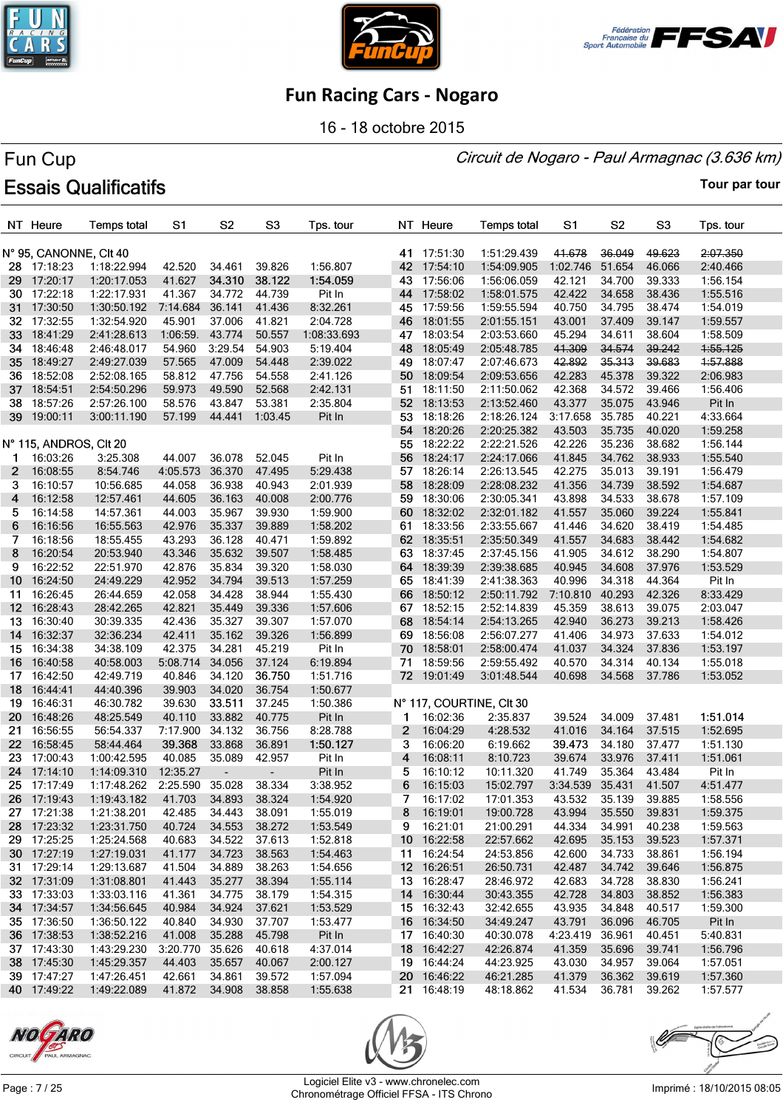





16 - 18 octobre 2015

#### Circuit de Nogaro - Paul Armagnac (3.636 km)

# Fun Cup **Essais Qualificatifs**

|                 | NT Heure               | <b>Temps total</b> | S1                   | S <sub>2</sub>           | S <sub>3</sub> | Tps. tour   |    | NT Heure    | <b>Temps total</b>       | S1       | S <sub>2</sub> | S <sub>3</sub> | Tps. tour |
|-----------------|------------------------|--------------------|----------------------|--------------------------|----------------|-------------|----|-------------|--------------------------|----------|----------------|----------------|-----------|
|                 | N° 95, CANONNE, CIt 40 |                    |                      |                          |                |             |    | 41 17:51:30 | 1:51:29.439              | 41.678   | 36.049         | 49.623         | 2:07.350  |
|                 | 28 17:18:23            | 1:18:22.994        | 42.520               | 34.461                   | 39.826         | 1:56.807    |    | 42 17:54:10 | 1:54:09.905              | 1:02.746 | 51.654         | 46.066         | 2:40.466  |
| 29              | 17:20:17               | 1:20:17.053        | 41.627               | 34.310                   | 38.122         | 1:54.059    | 43 | 17:56:06    | 1:56:06.059              | 42.121   | 34.700         | 39.333         | 1:56.154  |
| 30              | 17:22:18               | 1:22:17.931        | 41.367               | 34.772                   | 44.739         | Pit In      |    | 44 17:58:02 | 1:58:01.575              | 42.422   | 34.658         | 38.436         | 1:55.516  |
| 31              | 17:30:50               | 1:30:50.192        | 7:14.684             | 36.141                   | 41.436         | 8:32.261    |    | 45 17:59:56 | 1:59:55.594              | 40.750   | 34.795         | 38.474         | 1:54.019  |
| 32 <sub>2</sub> | 17:32:55               | 1:32:54.920        | 45.901               | 37.006                   | 41.821         | 2:04.728    | 46 | 18:01:55    | 2:01:55.151              | 43.001   | 37.409         | 39.147         | 1:59.557  |
| 33              | 18:41:29               | 2:41:28.613        | $1:06:59$ .          | 43.774                   | 50.557         | 1:08:33.693 | 47 | 18:03:54    | 2:03:53.660              | 45.294   | 34.611         | 38.604         | 1:58.509  |
| 34              | 18:46:48               | 2:46:48.017        | 54.960               | 3:29.54                  | 54.903         | 5:19.404    | 48 | 18:05:49    | 2:05:48.785              | 41.309   | 34.574         | 39.242         | 1:55.125  |
| 35 <sub>2</sub> | 18:49:27               | 2:49:27.039        | 57.565               | 47.009                   | 54.448         | 2:39.022    | 49 | 18:07:47    | 2:07:46.673              | 42.892   | 35.313         | 39.683         | 1:57.888  |
| 36              | 18:52:08               | 2:52:08.165        | 58.812               | 47.756                   | 54.558         | 2:41.126    | 50 | 18:09:54    | 2:09:53.656              | 42.283   | 45.378         | 39.322         | 2:06.983  |
| 37              | 18:54:51               | 2:54:50.296        | 59.973               | 49.590                   | 52.568         | 2:42.131    | 51 | 18:11:50    | 2:11:50.062              | 42.368   | 34.572         | 39.466         | 1:56.406  |
| 38              | 18:57:26               | 2:57:26.100        | 58.576               | 43.847                   | 53.381         | 2:35.804    | 52 | 18:13:53    | 2:13:52.460              | 43.377   | 35.075         | 43.946         | Pit In    |
| 39              | 19:00:11               | 3:00:11.190        | 57.199               | 44.441                   | 1:03.45        | Pit In      | 53 | 18:18:26    | 2:18:26.124              | 3:17.658 | 35.785         | 40.221         | 4:33.664  |
|                 |                        |                    |                      |                          |                |             | 54 | 18:20:26    | 2:20:25.382              | 43.503   | 35.735         | 40.020         | 1:59.258  |
|                 | N° 115, ANDROS, CIt 20 |                    |                      |                          |                |             |    | 55 18:22:22 | 2:22:21.526              | 42.226   | 35.236         | 38.682         | 1:56.144  |
| 1               | 16:03:26               | 3:25.308           | 44.007               | 36.078                   | 52.045         | Pit In      | 56 | 18:24:17    | 2:24:17.066              | 41.845   | 34.762         | 38.933         | 1:55.540  |
| $\mathbf{2}$    | 16:08:55               | 8:54.746           | 4:05.573             | 36.370                   | 47.495         | 5:29.438    | 57 | 18:26:14    | 2:26:13.545              | 42.275   | 35.013         | 39.191         | 1:56.479  |
| 3               | 16:10:57               | 10:56.685          | 44.058               | 36.938                   | 40.943         | 2:01.939    | 58 | 18:28:09    | 2:28:08.232              | 41.356   | 34.739         | 38.592         | 1:54.687  |
| 4               | 16:12:58               | 12:57.461          | 44.605               | 36.163                   | 40.008         | 2:00.776    | 59 | 18:30:06    | 2:30:05.341              | 43.898   | 34.533         | 38.678         | 1:57.109  |
| 5               | 16:14:58               | 14:57.361          | 44.003               | 35.967                   | 39.930         | 1:59.900    | 60 | 18:32:02    | 2:32:01.182              | 41.557   | 35.060         | 39.224         | 1:55.841  |
| 6               | 16:16:56               | 16:55.563          | 42.976               | 35.337                   | 39.889         | 1:58.202    | 61 | 18:33:56    | 2:33:55.667              | 41.446   | 34.620         | 38.419         | 1:54.485  |
| 7               | 16:18:56               | 18:55.455          | 43.293               | 36.128                   | 40.471         | 1:59.892    |    | 62 18:35:51 | 2:35:50.349              | 41.557   | 34.683         | 38.442         | 1:54.682  |
| 8               | 16:20:54               | 20:53.940          | 43.346               | 35.632                   | 39.507         | 1:58.485    |    | 63 18:37:45 | 2:37:45.156              | 41.905   | 34.612         | 38.290         | 1:54.807  |
| 9               | 16:22:52               | 22:51.970          | 42.876               | 35.834                   | 39.320         | 1:58.030    |    | 64 18:39:39 | 2:39:38.685              | 40.945   | 34.608         | 37.976         | 1:53.529  |
| 10              | 16:24:50               | 24:49.229          | 42.952               | 34.794                   | 39.513         | 1:57.259    |    | 65 18:41:39 | 2:41:38.363              | 40.996   | 34.318         | 44.364         | Pit In    |
| 11              | 16:26:45               | 26:44.659          | 42.058               | 34.428                   | 38.944         | 1:55.430    |    | 66 18:50:12 | 2:50:11.792              | 7:10.810 | 40.293         | 42.326         | 8:33.429  |
| 12              | 16:28:43               | 28:42.265          | 42.821               | 35.449                   | 39.336         | 1:57.606    |    | 67 18:52:15 | 2:52:14.839              | 45.359   | 38.613         | 39.075         | 2:03.047  |
| 13              | 16:30:40               | 30:39.335          | 42.436               | 35.327                   | 39.307         | 1:57.070    |    | 68 18:54:14 | 2:54:13.265              | 42.940   | 36.273         | 39.213         | 1:58.426  |
| 14              | 16:32:37               | 32:36.234          | 42.411               | 35.162                   | 39.326         | 1:56.899    | 69 | 18:56:08    | 2:56:07.277              | 41.406   | 34.973         | 37.633         | 1:54.012  |
| 15              | 16:34:38               | 34:38.109          | 42.375               | 34.281                   | 45.219         | Pit In      |    | 70 18:58:01 | 2:58:00.474              | 41.037   | 34.324         | 37.836         | 1:53.197  |
| 16              | 16:40:58               | 40:58.003          | 5:08.714             | 34.056                   | 37.124         | 6:19.894    | 71 | 18:59:56    | 2:59:55.492              | 40.570   | 34.314         | 40.134         | 1:55.018  |
| 17.             | 16:42:50               | 42:49.719          | 40.846               | 34.120                   | 36.750         | 1:51.716    |    | 72 19:01:49 | 3:01:48.544              | 40.698   | 34.568         | 37.786         | 1:53.052  |
| 18              | 16:44:41               | 44:40.396          | 39.903               | 34.020                   | 36.754         | 1:50.677    |    |             |                          |          |                |                |           |
| 19              | 16:46:31               | 46:30.782          | 39.630               | 33.511                   | 37.245         | 1:50.386    |    |             | N° 117, COURTINE, CIt 30 |          |                |                |           |
| 20              | 16:48:26               | 48:25.549          | 40.110               | 33.882                   | 40.775         | Pit In      | 1  | 16:02:36    | 2:35.837                 | 39.524   | 34.009         | 37.481         | 1:51.014  |
| 21              | 16:56:55               | 56:54.337          | 7:17.900             | 34.132                   | 36.756         | 8:28.788    | 2  | 16:04:29    | 4:28.532                 | 41.016   | 34.164         | 37.515         | 1:52.695  |
| 22              | 16:58:45               | 58:44.464          | 39.368               | 33.868                   | 36.891         | 1:50.127    | 3  | 16:06:20    | 6:19.662                 | 39.473   | 34.180         | 37.477         | 1:51.130  |
| 23              | 17:00:43               | 1:00:42.595        | 40.085               | 35.089                   | 42.957         | Pit In      | 4  | 16:08:11    | 8:10.723                 | 39.674   | 33.976         | 37.411         | 1:51.061  |
| 24              | 17:14:10               | 1:14:09.310        | 12:35.27             | $\overline{\phantom{a}}$ |                | Pit In      | 5  | 16:10:12    | 10:11.320                | 41.749   | 35.364         | 43.484         | Pit In    |
| 25              | 17:17:49               | 1:17:48.262        | 2:25.590             | 35.028                   | 38.334         | 3:38.952    | 6  | 16:15:03    | 15:02.797                | 3:34.539 | 35.431         | 41.507         | 4:51.477  |
|                 | 26 17:19:43            | 1:19:43.182        | 41.703               | 34.893                   | 38.324         | 1:54.920    | 7  | 16:17:02    | 17:01.353                | 43.532   | 35.139         | 39.885         | 1:58.556  |
|                 | 27 17:21:38            | 1:21:38.201        | 42.485               | 34.443 38.091            |                | 1:55.019    |    | 8 16:19:01  | 19:00.728                | 43.994   | 35.550         | 39.831         | 1:59.375  |
|                 | 28 17:23:32            | 1:23:31.750        | 40.724               | 34.553                   | 38.272         | 1:53.549    |    | 9 16:21:01  | 21:00.291                | 44.334   | 34.991         | 40.238         | 1:59.563  |
|                 | 29 17:25:25            | 1:25:24.568        | 40.683               | 34.522                   | 37.613         | 1:52.818    |    | 10 16:22:58 | 22:57.662                | 42.695   | 35.153         | 39.523         | 1:57.371  |
|                 | 30 17:27:19            | 1:27:19.031        | 41.177               | 34.723                   | 38.563         | 1:54.463    |    | 11 16:24:54 | 24:53.856                | 42.600   | 34.733         | 38.861         | 1:56.194  |
|                 | 31 17:29:14            | 1:29:13.687        | 41.504               | 34.889                   | 38.263         | 1:54.656    |    | 12 16:26:51 | 26:50.731                | 42.487   | 34.742         | 39.646         | 1:56.875  |
|                 | 32 17:31:09            | 1:31:08.801        | 41.443               | 35.277                   | 38.394         | 1:55.114    |    | 13 16:28:47 | 28:46.972                | 42.683   | 34.728         | 38.830         | 1:56.241  |
|                 | 33 17:33:03            | 1:33:03.116        | 41.361               | 34.775                   | 38.179         | 1:54.315    |    | 14 16:30:44 | 30:43.355                | 42.728   | 34.803         | 38.852         | 1:56.383  |
|                 | 34 17:34:57            | 1:34:56.645        | 40.984               | 34.924                   | 37.621         | 1:53.529    |    | 15 16:32:43 | 32:42.655                | 43.935   | 34.848         | 40.517         | 1:59.300  |
|                 | 35 17:36:50            | 1:36:50.122        | 40.840               | 34.930                   | 37.707         | 1:53.477    |    | 16 16:34:50 | 34:49.247                | 43.791   | 36.096         | 46.705         | Pit In    |
|                 | 36 17:38:53            | 1:38:52.216        | 41.008               | 35.288                   | 45.798         | Pit In      |    | 17 16:40:30 | 40:30.078                | 4:23.419 | 36.961         | 40.451         | 5:40.831  |
|                 | 37 17:43:30            | 1:43:29.230        | 3:20.770             | 35.626                   | 40.618         | 4:37.014    |    | 18 16:42:27 | 42:26.874                | 41.359   | 35.696         | 39.741         | 1:56.796  |
|                 | 38 17:45:30            | 1:45:29.357        | 44.403               | 35.657                   | 40.067         | 2:00.127    |    | 19 16:44:24 | 44:23.925                | 43.030   | 34.957         | 39.064         | 1:57.051  |
|                 | 39 17:47:27            | 1:47:26.451        | 42.661               | 34.861                   | 39.572         | 1:57.094    |    | 20 16:46:22 | 46:21.285                | 41.379   | 36.362         | 39.619         | 1:57.360  |
|                 | 40 17:49:22            | 1:49:22.089        | 41.872 34.908 38.858 |                          |                | 1:55.638    |    | 21 16:48:19 | 48:18.862                | 41.534   | 36.781         | 39.262         | 1:57.577  |
|                 |                        |                    |                      |                          |                |             |    |             |                          |          |                |                |           |





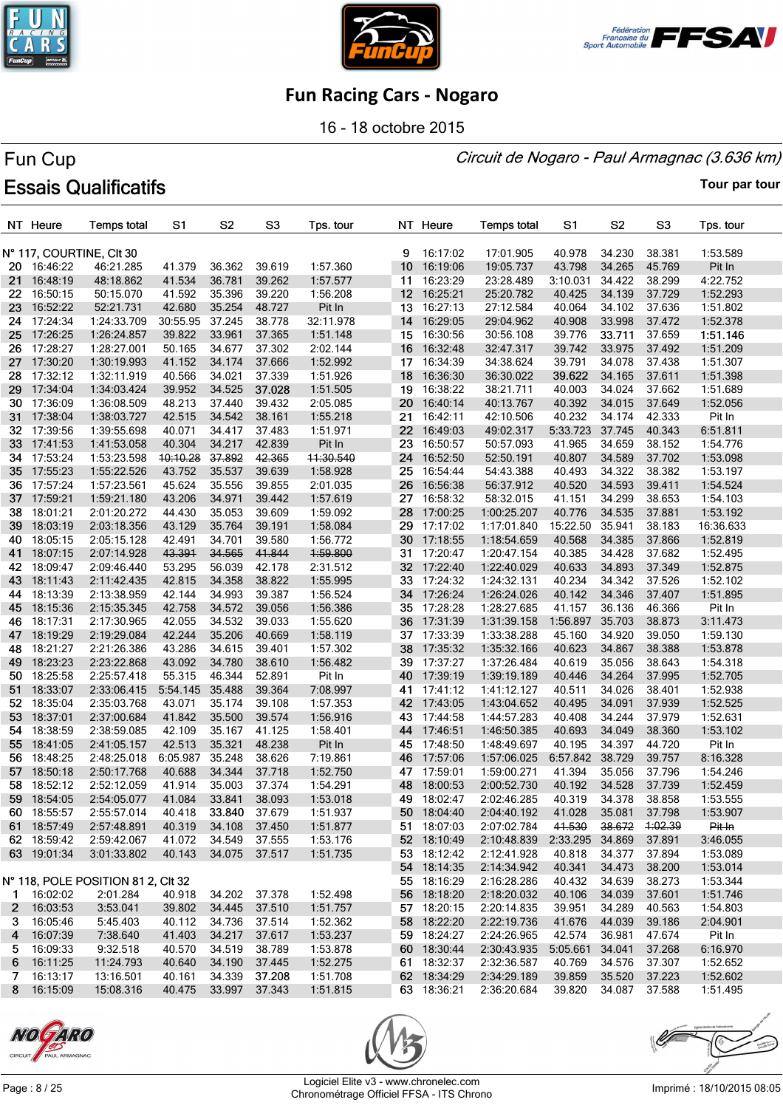





16 - 18 octobre 2015

#### Circuit de Nogaro - Paul Armagnac (3.636 km)

# Fun Cup **Essais Qualificatifs**

|     | NT Heure    | <b>Temps total</b>                 | S1       | S <sub>2</sub> | S <sub>3</sub> | Tps. tour |                  | NT Heure    | <b>Temps total</b>                  | S1              | S2             | S <sub>3</sub> | Tps. tour |
|-----|-------------|------------------------------------|----------|----------------|----------------|-----------|------------------|-------------|-------------------------------------|-----------------|----------------|----------------|-----------|
|     |             |                                    |          |                |                |           |                  |             |                                     |                 |                |                |           |
|     |             | N° 117, COURTINE, CIt 30           |          |                |                |           | 9                | 16:17:02    | 17:01.905                           | 40.978          | 34.230         | 38.381         | 1:53.589  |
|     | 20 16:46:22 | 46:21.285                          | 41.379   | 36.362         | 39.619         | 1:57.360  | 10               | 16:19:06    | 19:05.737                           | 43.798          | 34.265         | 45.769         | Pit In    |
| 21. | 16:48:19    | 48:18.862                          | 41.534   | 36.781         | 39.262         | 1:57.577  | 11               | 16:23:29    | 23:28.489                           | 3:10.031        | 34.422         | 38.299         | 4:22.752  |
| 22  | 16:50:15    | 50:15.070                          | 41.592   | 35.396         | 39.220         | 1:56.208  | 12 <sup>12</sup> | 16:25:21    | 25:20.782                           | 40.425          | 34.139         | 37.729         | 1:52.293  |
| 23. | 16:52:22    | 52:21.731                          | 42.680   | 35.254         | 48.727         | Pit In    |                  | 13 16:27:13 | 27:12.584                           | 40.064          | 34.102         | 37.636         | 1:51.802  |
| 24  | 17:24:34    | 1:24:33.709                        | 30:55.95 | 37.245         | 38.778         | 32:11.978 | 14               | 16:29:05    | 29:04.962                           | 40.908          | 33.998         | 37.472         | 1:52.378  |
| 25  | 17:26:25    | 1:26:24.857                        | 39.822   | 33.961         | 37.365         | 1:51.148  | 15 <sub>1</sub>  | 16:30:56    | 30:56.108                           | 39.776          | 33.711         | 37.659         | 1:51.146  |
| 26  | 17:28:27    | 1:28:27.001                        | 50.165   | 34.677         | 37.302         | 2:02.144  | 16               | 16:32:48    | 32:47.317                           | 39.742          | 33.975         | 37.492         | 1:51.209  |
| 27  | 17:30:20    | 1:30:19.993                        | 41.152   | 34.174         | 37.666         | 1:52.992  |                  | 17 16:34:39 | 34:38.624                           | 39.791          | 34.078         | 37.438         | 1:51.307  |
| 28. | 17:32:12    | 1:32:11.919                        | 40.566   | 34.021         | 37.339         | 1:51.926  | 18 <sup>1</sup>  | 16:36:30    | 36:30.022                           | 39.622          | 34.165         | 37.611         | 1:51.398  |
| 29. | 17:34:04    | 1:34:03.424                        | 39.952   | 34.525         | 37.028         | 1:51.505  | 19               | 16:38:22    | 38:21.711                           | 40.003          | 34.024         | 37.662         | 1:51.689  |
| 30. | 17:36:09    | 1:36:08.509                        | 48.213   | 37.440         | 39.432         | 2:05.085  | 20 <sub>1</sub>  | 16:40:14    | 40:13.767                           | 40.392          | 34.015         | 37.649         | 1:52.056  |
| 31. | 17:38:04    | 1:38:03.727                        | 42.515   | 34.542         | 38.161         | 1:55.218  |                  | 21 16:42:11 | 42:10.506                           | 40.232          | 34.174         | 42.333         | Pit In    |
| 32. | 17:39:56    | 1:39:55.698                        | 40.071   | 34.417         | 37.483         | 1:51.971  |                  | 22 16:49:03 | 49:02.317                           | 5:33.723        | 37.745         | 40.343         | 6:51.811  |
| 33  | 17:41:53    | 1:41:53.058                        | 40.304   | 34.217         | 42.839         | Pit In    | 23               | 16:50:57    | 50:57.093                           | 41.965          | 34.659         | 38.152         | 1:54.776  |
| 34  | 17:53:24    | 1:53:23.598                        | 10:10.28 | 37.892         | 42.365         | 11:30.540 | 24               | 16:52:50    | 52:50.191                           | 40.807          | 34.589         | 37.702         | 1:53.098  |
| 35  | 17:55:23    | 1:55:22.526                        | 43.752   | 35.537         | 39.639         | 1:58.928  |                  | 25 16:54:44 | 54:43.388                           | 40.493          | 34.322         | 38.382         | 1:53.197  |
| 36. | 17:57:24    | 1:57:23.561                        | 45.624   | 35.556         | 39.855         | 2:01.035  | 26               | 16:56:38    | 56:37.912                           | 40.520          | 34.593         | 39.411         | 1:54.524  |
| 37  | 17:59:21    | 1:59:21.180                        | 43.206   | 34.971         | 39.442         | 1:57.619  | 27               | 16:58:32    | 58:32.015                           | 41.151          | 34.299         | 38.653         | 1:54.103  |
| 38  | 18:01:21    | 2:01:20.272                        | 44.430   | 35.053         | 39.609         | 1:59.092  | 28               | 17:00:25    | 1:00:25.207                         | 40.776          | 34.535         | 37.881         | 1:53.192  |
| 39  | 18:03:19    | 2:03:18.356                        | 43.129   | 35.764         | 39.191         | 1:58.084  | 29               | 17:17:02    | 1:17:01.840                         | 15:22.50        | 35.941         | 38.183         | 16:36.633 |
| 40  | 18:05:15    | 2:05:15.128                        | 42.491   | 34.701         | 39.580         | 1:56.772  | 30               | 17:18:55    | 1:18:54.659                         | 40.568          | 34.385         | 37.866         | 1:52.819  |
| 41  | 18:07:15    | 2:07:14.928                        | 43.391   | 34.565         | 41.844         | 1:59.800  | 31               | 17:20:47    | 1:20:47.154                         | 40.385          | 34.428         | 37.682         | 1:52.495  |
| 42  | 18:09:47    | 2:09:46.440                        | 53.295   | 56.039         | 42.178         | 2:31.512  |                  | 32 17:22:40 | 1:22:40.029                         | 40.633          | 34.893         | 37.349         | 1:52.875  |
| 43  | 18:11:43    | 2:11:42.435                        | 42.815   | 34.358         | 38.822         | 1:55.995  |                  | 33 17:24:32 | 1:24:32.131                         | 40.234          | 34.342         | 37.526         | 1:52.102  |
| 44  | 18:13:39    | 2:13:38.959                        | 42.144   | 34.993         | 39.387         | 1:56.524  | 34               | 17:26:24    | 1:26:24.026                         | 40.142          | 34.346         | 37.407         | 1:51.895  |
| 45  | 18:15:36    | 2:15:35.345                        | 42.758   | 34.572         | 39.056         | 1:56.386  |                  | 35 17:28:28 | 1:28:27.685                         | 41.157          | 36.136         | 46.366         | Pit In    |
| 46  | 18:17:31    | 2:17:30.965                        | 42.055   | 34.532         | 39.033         | 1:55.620  | 36               | 17:31:39    | 1:31:39.158                         | 1:56.897        | 35.703         | 38.873         | 3:11.473  |
| 47  | 18:19:29    | 2:19:29.084                        | 42.244   | 35.206         | 40.669         | 1:58.119  | 37               | 17:33:39    | 1:33:38.288                         | 45.160          | 34.920         | 39.050         | 1:59.130  |
| 48  | 18:21:27    | 2:21:26.386                        | 43.286   | 34.615         | 39.401         | 1:57.302  | 38               | 17:35:32    | 1:35:32.166                         | 40.623          | 34.867         | 38.388         | 1:53.878  |
| 49  | 18:23:23    | 2:23:22.868                        | 43.092   | 34.780         | 38.610         | 1:56.482  | 39               | 17:37:27    | 1:37:26.484                         | 40.619          | 35.056         | 38.643         | 1:54.318  |
| 50. | 18:25:58    | 2:25:57.418                        | 55.315   | 46.344         | 52.891         | Pit In    |                  | 40 17:39:19 | 1:39:19.189                         | 40.446          | 34.264         | 37.995         | 1:52.705  |
| 51  | 18:33:07    | 2:33:06.415                        | 5:54.145 | 35.488         | 39.364         | 7:08.997  | 41               | 17:41:12    | 1:41:12.127                         | 40.511          | 34.026         | 38.401         | 1:52.938  |
| 52  | 18:35:04    | 2:35:03.768                        | 43.071   | 35.174         | 39.108         | 1:57.353  |                  | 42 17:43:05 | 1:43:04.652                         | 40.495          | 34.091         | 37.939         | 1:52.525  |
| 53  | 18:37:01    | 2:37:00.684                        | 41.842   | 35.500         | 39.574         | 1:56.916  |                  | 43 17:44:58 | 1:44:57.283                         | 40.408          | 34.244         | 37.979         | 1:52.631  |
| 54  | 18:38:59    | 2:38:59.085                        | 42.109   | 35.167         | 41.125         | 1:58.401  |                  | 44 17:46:51 | 1:46:50.385                         | 40.693          | 34.049         | 38.360         | 1:53.102  |
| 55  | 18:41:05    | 2:41:05.157                        | 42.513   | 35.321         | 48.238         | Pit In    |                  | 45 17:48:50 | 1:48:49.697                         | 40.195          | 34.397         | 44.720         | Pit In    |
| 56  | 18:48:25    | 2:48:25.018                        | 6:05.987 | 35.248         | 38.626         | 7:19.861  |                  | 46 17:57:06 | 1:57:06.025                         | 6:57.842        | 38.729         | 39.757         | 8:16.328  |
| 57  | 18:50:18    | 2:50:17.768                        | 40.688   | 34.344         | 37.718         | 1:52.750  |                  | 47 17:59:01 | 1:59:00.271                         | 41.394          | 35.056         | 37.796         | 1:54.246  |
| 58. | 18:52:12    | 2:52:12.059                        | 41.914   | 35.003         | 37.374         | 1:54.291  |                  | 48 18:00:53 | 2:00:52.730                         | 40.192          | 34.528         | 37.739         | 1:52.459  |
|     | 59 18:54:05 | 2:54:05.077                        | 41.084   | 33.841 38.093  |                | 1:53.018  |                  | 49 18:02:47 | 2:02:46.285  40.319  34.378  38.858 |                 |                |                | 1:53.555  |
|     | 60 18:55:57 | 2:55:57.014                        | 40.418   | 33.840 37.679  |                | 1:51.937  |                  | 50 18:04:40 | 2:04:40.192                         | 41.028          | 35.081         | 37.798         | 1:53.907  |
|     | 61 18:57:49 | 2:57:48.891                        | 40.319   | 34.108         | 37.450         | 1:51.877  |                  | 51 18:07:03 | 2:07:02.784                         | 41.530          | 38.672 1:02.39 |                | Pit In    |
|     | 62 18:59:42 | 2:59:42.067                        | 41.072   | 34.549         | 37.555         | 1:53.176  |                  | 52 18:10:49 | 2:10:48.839 2:33.295 34.869         |                 |                | 37.891         | 3:46.055  |
|     | 63 19:01:34 | 3:01:33.802                        | 40.143   | 34.075 37.517  |                | 1:51.735  |                  | 53 18:12:42 | 2:12:41.928                         | 40.818          | 34.377         | 37.894         | 1:53.089  |
|     |             |                                    |          |                |                |           |                  | 54 18:14:35 | 2:14:34.942                         | 40.341          | 34.473         | 38.200         | 1:53.014  |
|     |             | N° 118, POLE POSITION 81 2, CIt 32 |          |                |                |           |                  | 55 18:16:29 | 2:16:28.286                         | 40.432          | 34.639         | 38.273         | 1:53.344  |
|     | 1 16:02:02  | 2:01.284                           | 40.918   | 34.202 37.378  |                | 1:52.498  |                  | 56 18:18:20 | 2:18:20.032                         | 40.106          | 34.039         | 37.601         | 1:51.746  |
|     | 2 16:03:53  | 3:53.041                           | 39.802   |                | 34.445 37.510  | 1:51.757  |                  | 57 18:20:15 | 2:20:14.835                         | 39.951          | 34.289         | 40.563         | 1:54.803  |
|     | 3 16:05:46  | 5:45.403                           | 40.112   | 34.736         | 37.514         | 1:52.362  |                  | 58 18:22:20 | 2:22:19.736                         | 41.676          | 44.039         | 39.186         | 2:04.901  |
|     | 4 16:07:39  | 7:38.640                           | 41.403   | 34.217 37.617  |                | 1:53.237  |                  | 59 18:24:27 | 2:24:26.965                         | 42.574          | 36.981         | 47.674         | Pit In    |
|     | 5 16:09:33  | 9:32.518                           | 40.570   | 34.519         | 38.789         | 1:53.878  |                  | 60 18:30:44 | 2:30:43.935                         | 5:05.661 34.041 |                | 37.268         | 6:16.970  |
|     | 6 16:11:25  | 11:24.793                          | 40.640   | 34.190 37.445  |                | 1:52.275  |                  | 61 18:32:37 | 2:32:36.587                         | 40.769          | 34.576         | 37.307         | 1:52.652  |
| 7   | 16:13:17    | 13:16.501                          | 40.161   | 34.339         | 37.208         | 1:51.708  |                  | 62 18:34:29 | 2:34:29.189                         | 39.859          | 35.520         | 37.223         | 1:52.602  |
|     | 8 16:15:09  | 15:08.316                          | 40.475   | 33.997 37.343  |                | 1:51.815  |                  | 63 18:36:21 | 2:36:20.684                         | 39.820          | 34.087         | 37.588         | 1:51.495  |





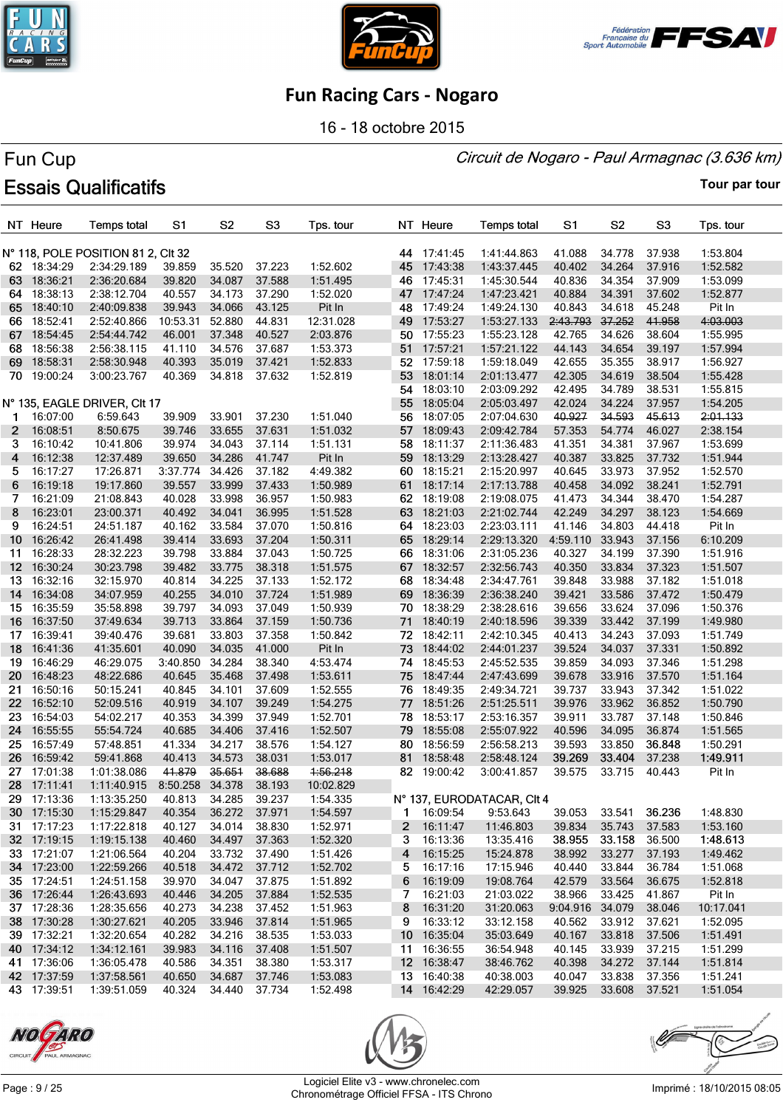





16 - 18 octobre 2015

#### Circuit de Nogaro - Paul Armagnac (3.636 km)

# Fun Cup **Essais Qualificatifs**

|                 | NT Heure    | <b>Temps total</b>                 | S1       | S <sub>2</sub>   | S <sub>3</sub>   | Tps. tour           |      | NT Heure    | <b>Temps total</b>         | S <sub>1</sub>   | S <sub>2</sub> | S <sub>3</sub> | Tps. tour |
|-----------------|-------------|------------------------------------|----------|------------------|------------------|---------------------|------|-------------|----------------------------|------------------|----------------|----------------|-----------|
|                 |             | N° 118, POLE POSITION 81 2, CIt 32 |          |                  |                  |                     |      | 44 17:41:45 | 1:41:44.863                | 41.088           | 34.778         | 37.938         | 1:53.804  |
|                 | 62 18:34:29 | 2:34:29.189                        | 39.859   | 35.520           | 37.223           | 1:52.602            |      | 45 17:43:38 | 1:43:37.445                | 40.402           | 34.264         | 37.916         | 1:52.582  |
| 63.             | 18:36:21    | 2:36:20.684                        | 39.820   | 34.087           | 37.588           | 1:51.495            | 46   | 17:45:31    | 1:45:30.544                | 40.836           | 34.354         | 37.909         | 1:53.099  |
| 64              | 18:38:13    | 2:38:12.704                        | 40.557   | 34.173           | 37.290           | 1:52.020            |      | 47 17:47:24 | 1:47:23.421                | 40.884           | 34.391         | 37.602         | 1:52.877  |
| 65              | 18:40:10    | 2:40:09.838                        | 39.943   | 34.066           | 43.125           |                     |      | 48 17:49:24 | 1:49:24.130                | 40.843           | 34.618         | 45.248         | Pit In    |
| 66.             |             | 2:52:40.866                        | 10:53.31 | 52.880           | 44.831           | Pit In<br>12:31.028 | 49   |             |                            | 2:43.793         | 37.252         | 41.958         |           |
|                 | 18:52:41    |                                    |          |                  |                  |                     | 50   | 17:53:27    | 1:53:27.133                |                  | 34.626         |                | 4:03.003  |
| 67              | 18:54:45    | 2:54:44.742                        | 46.001   | 37.348           | 40.527<br>37.687 | 2:03.876            |      | 17:55:23    | 1:55:23.128                | 42.765           |                | 38.604         | 1:55.995  |
| 68.             | 18:56:38    | 2:56:38.115                        | 41.110   | 34.576<br>35.019 |                  | 1:53.373            |      | 51 17:57:21 | 1:57:21.122                | 44.143           | 34.654         | 39.197         | 1:57.994  |
| 69.             | 18:58:31    | 2:58:30.948                        | 40.393   | 34.818           | 37.421           | 1:52.833            | 53   | 52 17:59:18 | 1:59:18.049                | 42.655           | 35.355         | 38.917         | 1:56.927  |
|                 | 70 19:00:24 | 3:00:23.767                        | 40.369   |                  | 37.632           | 1:52.819            |      | 18:01:14    | 2:01:13.477                | 42.305<br>42.495 | 34.619         | 38.504         | 1:55.428  |
|                 |             |                                    |          |                  |                  |                     | 54   | 18:03:10    | 2:03:09.292                |                  | 34.789         | 38.531         | 1:55.815  |
|                 |             | N° 135, EAGLE DRIVER, CIt 17       |          |                  |                  |                     | 55   | 18:05:04    | 2:05:03.497                | 42.024           | 34.224         | 37.957         | 1:54.205  |
| 1               | 16:07:00    | 6:59.643                           | 39.909   | 33.901           | 37.230           | 1:51.040            | 56   | 18:07:05    | 2:07:04.630                | 40.927           | 34.593         | 45.613         | 2:01.133  |
| 2               | 16:08:51    | 8:50.675                           | 39.746   | 33.655           | 37.631           | 1:51.032            | 57   | 18:09:43    | 2:09:42.784                | 57.353           | 54.774         | 46.027         | 2:38.154  |
| 3               | 16:10:42    | 10:41.806                          | 39.974   | 34.043           | 37.114           | 1:51.131            | 58   | 18:11:37    | 2:11:36.483                | 41.351           | 34.381         | 37.967         | 1:53.699  |
| 4               | 16:12:38    | 12:37.489                          | 39.650   | 34.286           | 41.747           | Pit In              | 59   | 18:13:29    | 2:13:28.427                | 40.387           | 33.825         | 37.732         | 1:51.944  |
| 5               | 16:17:27    | 17:26.871                          | 3:37.774 | 34.426           | 37.182           | 4:49.382            |      | 60 18:15:21 | 2:15:20.997                | 40.645           | 33.973         | 37.952         | 1:52.570  |
| 6               | 16:19:18    | 19:17.860                          | 39.557   | 33.999           | 37.433           | 1:50.989            | 61   | 18:17:14    | 2:17:13.788                | 40.458           | 34.092         | 38.241         | 1:52.791  |
| 7               | 16:21:09    | 21:08.843                          | 40.028   | 33.998           | 36.957           | 1:50.983            |      | 62 18:19:08 | 2:19:08.075                | 41.473           | 34.344         | 38.470         | 1:54.287  |
| 8               | 16:23:01    | 23:00.371                          | 40.492   | 34.041           | 36.995           | 1:51.528            |      | 63 18:21:03 | 2:21:02.744                | 42.249           | 34.297         | 38.123         | 1:54.669  |
| 9               | 16:24:51    | 24:51.187                          | 40.162   | 33.584           | 37.070           | 1:50.816            |      | 64 18:23:03 | 2:23:03.111                | 41.146           | 34.803         | 44.418         | Pit In    |
| 10 <sup>1</sup> | 16:26:42    | 26:41.498                          | 39.414   | 33.693           | 37.204           | 1:50.311            |      | 65 18:29:14 | 2:29:13.320                | 4:59.110 33.943  |                | 37.156         | 6:10.209  |
| 11              | 16:28:33    | 28:32.223                          | 39.798   | 33.884           | 37.043           | 1:50.725            |      | 66 18:31:06 | 2:31:05.236                | 40.327           | 34.199         | 37.390         | 1:51.916  |
| 12 <sup>2</sup> | 16:30:24    | 30:23.798                          | 39.482   | 33.775           | 38.318           | 1:51.575            |      | 67 18:32:57 | 2:32:56.743                | 40.350           | 33.834         | 37.323         | 1:51.507  |
| 13.             | 16:32:16    | 32:15.970                          | 40.814   | 34.225           | 37.133           | 1:52.172            | 68   | 18:34:48    | 2:34:47.761                | 39.848           | 33.988         | 37.182         | 1:51.018  |
| 14              | 16:34:08    | 34:07.959                          | 40.255   | 34.010           | 37.724           | 1:51.989            |      | 69 18:36:39 | 2:36:38.240                | 39.421           | 33.586         | 37.472         | 1:50.479  |
| 15              | 16:35:59    | 35:58.898                          | 39.797   | 34.093           | 37.049           | 1:50.939            |      | 70 18:38:29 | 2:38:28.616                | 39.656           | 33.624         | 37.096         | 1:50.376  |
| 16              | 16:37:50    | 37:49.634                          | 39.713   | 33.864           | 37.159           | 1:50.736            | 71   | 18:40:19    | 2:40:18.596                | 39.339           | 33.442         | 37.199         | 1:49.980  |
| 17              | 16:39:41    | 39:40.476                          | 39.681   | 33.803           | 37.358           | 1:50.842            | 72   | 18:42:11    | 2:42:10.345                | 40.413           | 34.243         | 37.093         | 1:51.749  |
| 18              | 16:41:36    | 41:35.601                          | 40.090   | 34.035           | 41.000           | Pit In              |      | 73 18:44:02 | 2:44:01.237                | 39.524           | 34.037         | 37.331         | 1:50.892  |
| 19              | 16:46:29    | 46:29.075                          | 3:40.850 | 34.284           | 38.340           | 4:53.474            |      | 74 18:45:53 | 2:45:52.535                | 39.859           | 34.093         | 37.346         | 1:51.298  |
| 20.             | 16:48:23    | 48:22.686                          | 40.645   | 35.468           | 37.498           | 1:53.611            | 75   | 18:47:44    | 2:47:43.699                | 39.678           | 33.916         | 37.570         | 1:51.164  |
| 21              | 16:50:16    | 50:15.241                          | 40.845   | 34.101           | 37.609           | 1:52.555            |      | 76 18:49:35 | 2:49:34.721                | 39.737           | 33.943         | 37.342         | 1:51.022  |
| 22              | 16:52:10    | 52:09.516                          | 40.919   | 34.107           | 39.249           | 1:54.275            | 77 - | 18:51:26    | 2:51:25.511                | 39.976           | 33.962         | 36.852         | 1:50.790  |
| 23              | 16:54:03    | 54:02.217                          | 40.353   | 34.399           | 37.949           | 1:52.701            | 78   | 18:53:17    | 2:53:16.357                | 39.911           | 33.787         | 37.148         | 1:50.846  |
| 24              | 16:55:55    | 55:54.724                          | 40.685   | 34.406           | 37.416           | 1:52.507            | 79   | 18:55:08    | 2:55:07.922                | 40.596           | 34.095         | 36.874         | 1:51.565  |
| 25              | 16:57:49    | 57:48.851                          | 41.334   | 34.217           | 38.576           | 1:54.127            |      | 80 18:56:59 | 2:56:58.213                | 39.593           | 33.850         | 36.848         | 1:50.291  |
| 26              | 16:59:42    | 59:41.868                          | 40.413   | 34.573           | 38.031           | 1:53.017            | 81   | 18:58:48    | 2:58:48.124                | 39.269           | 33.404         | 37.238         | 1:49.911  |
| 27              | 17:01:38    | 1:01:38.086                        | 41.879   | 35.651           | 38.688           | 1:56.218            |      | 82 19:00:42 | 3:00:41.857                | 39.575           | 33.715         | 40.443         | Pit In    |
| 28              | 17:11:41    | 1:11:40.915                        | 8:50.258 | 34.378           | 38.193           | 10:02.829           |      |             |                            |                  |                |                |           |
|                 | 29 17:13:36 | 1:13:35.250                        | 40.813   | 34.285           | 39.237           | 1:54.335            |      |             | N° 137. EURODATACAR. CIt 4 |                  |                |                |           |
|                 | 30 17:15:30 | 1:15:29.847                        | 40.354   | 36.272 37.971    |                  | 1:54.597            |      | 1 16:09:54  | 9:53.643                   | 39.053           | 33.541         | 36.236         | 1:48.830  |
|                 | 31 17:17:23 | 1:17:22.818                        | 40.127   | 34.014           | 38.830           | 1:52.971            |      | 2 16:11:47  | 11:46.803                  | 39.834           | 35.743         | 37.583         | 1:53.160  |
|                 | 32 17:19:15 | 1:19:15.138                        | 40.460   | 34.497           | 37.363           | 1:52.320            | 3    | 16:13:36    | 13:35.416                  | 38.955           | 33.158         | 36.500         | 1:48.613  |
|                 | 33 17:21:07 | 1:21:06.564                        | 40.204   | 33.732 37.490    |                  | 1:51.426            | 4    | 16:15:25    | 15:24.878                  | 38.992           | 33.277         | 37.193         | 1:49.462  |
|                 | 34 17:23:00 | 1:22:59.266                        | 40.518   | 34.472 37.712    |                  | 1:52.702            | 5.   | 16:17:16    | 17:15.946                  | 40.440           | 33.844         | 36.784         | 1:51.068  |
|                 | 35 17:24:51 | 1:24:51.158                        | 39.970   | 34.047           | 37.875           | 1:51.892            | 6    | 16:19:09    | 19:08.764                  | 42.579           | 33.564         | 36.675         | 1:52.818  |
|                 | 36 17:26:44 | 1:26:43.693                        | 40.446   | 34.205           | 37.884           | 1:52.535            | 7    | 16:21:03    | 21:03.022                  | 38.966           | 33.425         | 41.867         | Pit In    |
|                 | 37 17:28:36 | 1:28:35.656                        | 40.273   | 34.238           | 37.452           | 1:51.963            | 8    | 16:31:20    | 31:20.063                  | 9:04.916 34.079  |                | 38.046         | 10:17.041 |
|                 | 38 17:30:28 | 1:30:27.621                        | 40.205   | 33.946           | 37.814           | 1:51.965            | 9    | 16:33:12    | 33:12.158                  | 40.562           | 33.912         | 37.621         | 1:52.095  |
|                 | 39 17:32:21 | 1:32:20.654                        | 40.282   | 34.216           | 38.535           | 1:53.033            |      | 10 16:35:04 | 35:03.649                  | 40.167           | 33.818         | 37.506         | 1:51.491  |
|                 | 40 17:34:12 | 1:34:12.161                        | 39.983   | 34.116           | 37.408           | 1:51.507            |      | 11 16:36:55 | 36:54.948                  | 40.145           | 33.939         | 37.215         | 1:51.299  |
|                 | 41 17:36:06 | 1:36:05.478                        | 40.586   | 34.351           | 38.380           | 1:53.317            |      | 12 16:38:47 | 38:46.762                  | 40.398           | 34.272         | 37.144         | 1:51.814  |
|                 | 42 17:37:59 | 1:37:58.561                        | 40.650   | 34.687           | 37.746           | 1:53.083            |      | 13 16:40:38 | 40:38.003                  | 40.047           | 33.838         | 37.356         | 1:51.241  |
|                 | 43 17:39:51 | 1:39:51.059                        | 40.324   | 34.440 37.734    |                  | 1:52.498            |      | 14 16:42:29 | 42:29.057                  | 39.925           | 33.608 37.521  |                | 1:51.054  |





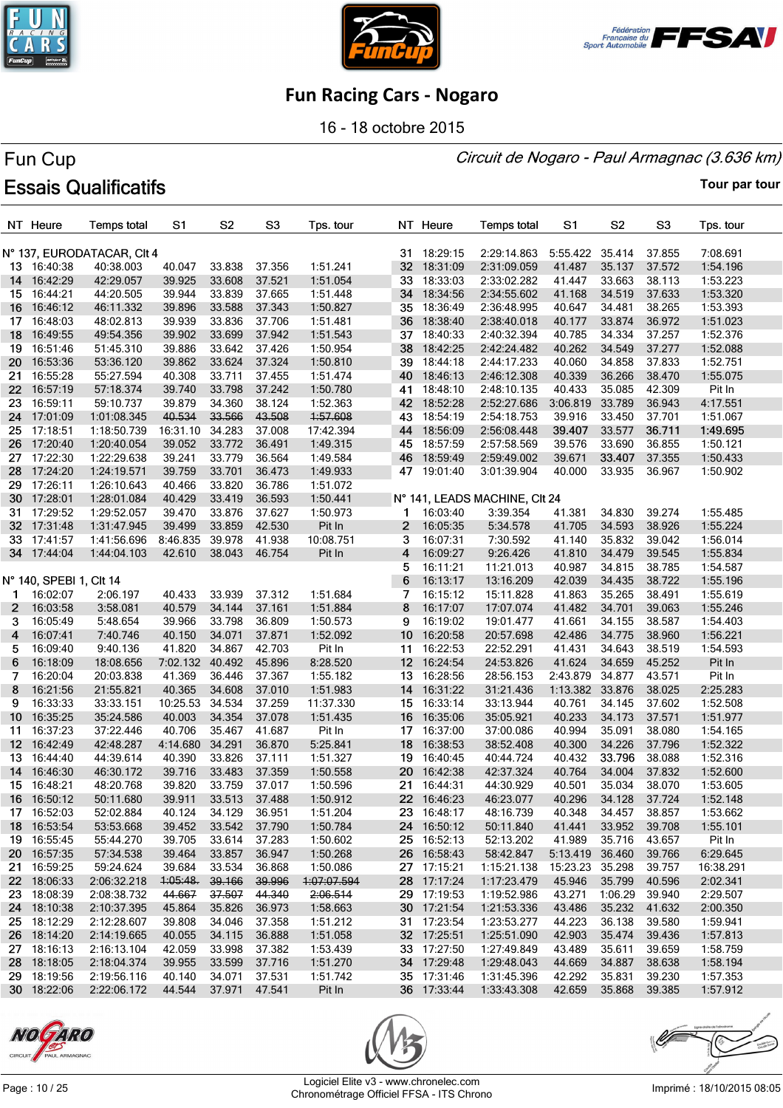





16 - 18 octobre 2015

#### Circuit de Nogaro - Paul Armagnac (3.636 km)

# Fun Cup **Essais Qualificatifs**

**Tour par tour**

|                 | NT Heure                | <b>Temps total</b>         | S1       | S <sub>2</sub> | S <sub>3</sub> | Tps. tour   |                 | NT Heure    | Temps total                   | S1              | S <sub>2</sub> | S <sub>3</sub> | Tps. tour |
|-----------------|-------------------------|----------------------------|----------|----------------|----------------|-------------|-----------------|-------------|-------------------------------|-----------------|----------------|----------------|-----------|
|                 |                         | N° 137, EURODATACAR, CIt 4 |          |                |                |             |                 | 31 18:29:15 | 2:29:14.863                   | 5:55.422        | 35.414         | 37.855         | 7:08.691  |
|                 | 13 16:40:38             | 40:38.003                  | 40.047   | 33.838         | 37.356         | 1:51.241    |                 | 32 18:31:09 | 2:31:09.059                   | 41.487          | 35.137         | 37.572         | 1:54.196  |
| 14              | 16:42:29                | 42:29.057                  | 39.925   | 33.608         | 37.521         | 1:51.054    | 33              | 18:33:03    | 2:33:02.282                   | 41.447          | 33.663         | 38.113         | 1:53.223  |
| 15              | 16:44:21                | 44:20.505                  | 39.944   | 33.839         | 37.665         | 1:51.448    |                 | 34 18:34:56 | 2:34:55.602                   | 41.168          | 34.519         | 37.633         | 1:53.320  |
| 16              | 16:46:12                | 46:11.332                  | 39.896   | 33.588         | 37.343         | 1:50.827    |                 | 35 18:36:49 | 2:36:48.995                   | 40.647          | 34.481         | 38.265         | 1:53.393  |
| 17              | 16:48:03                | 48:02.813                  | 39.939   | 33.836         | 37.706         | 1:51.481    | 36              | 18:38:40    | 2:38:40.018                   | 40.177          | 33.874         | 36.972         | 1:51.023  |
| 18              | 16:49:55                | 49:54.356                  | 39.902   | 33.699         | 37.942         | 1:51.543    | 37              | 18:40:33    | 2:40:32.394                   | 40.785          | 34.334         | 37.257         | 1:52.376  |
| 19              | 16:51:46                | 51:45.310                  | 39.886   | 33.642         | 37.426         | 1:50.954    | 38              | 18:42:25    | 2:42:24.482                   | 40.262          | 34.549         | 37.277         | 1:52.088  |
| 20              | 16:53:36                | 53:36.120                  | 39.862   | 33.624         | 37.324         | 1:50.810    |                 | 39 18:44:18 | 2:44:17.233                   | 40.060          | 34.858         | 37.833         | 1:52.751  |
| 21.             | 16:55:28                | 55:27.594                  | 40.308   | 33.711         | 37.455         | 1:51.474    | 40              | 18:46:13    | 2:46:12.308                   | 40.339          | 36.266         | 38.470         | 1:55.075  |
| 22 <sub>2</sub> | 16:57:19                | 57:18.374                  | 39.740   | 33.798         | 37.242         | 1:50.780    | 41              | 18:48:10    | 2:48:10.135                   | 40.433          | 35.085         | 42.309         | Pit In    |
| 23.             | 16:59:11                | 59:10.737                  | 39.879   | 34.360         | 38.124         | 1:52.363    | 42              | 18:52:28    | 2:52:27.686                   | 3:06.819        | 33.789         | 36.943         | 4:17.551  |
| 24              | 17:01:09                | 1:01:08.345                | 40.534   | 33.566         | 43.508         | 1:57.608    | 43              | 18:54:19    | 2:54:18.753                   | 39.916          | 33.450         | 37.701         | 1:51.067  |
| 25              | 17:18:51                | 1:18:50.739                | 16:31.10 | 34.283         | 37.008         | 17:42.394   | 44              | 18:56:09    | 2:56:08.448                   | 39.407          | 33.577         | 36.711         | 1:49.695  |
| 26              | 17:20:40                | 1:20:40.054                | 39.052   | 33.772         | 36.491         | 1:49.315    |                 | 45 18:57:59 | 2:57:58.569                   | 39.576          | 33.690         | 36.855         | 1:50.121  |
| 27              | 17:22:30                | 1:22:29.638                | 39.241   | 33.779         | 36.564         | 1:49.584    | 46              | 18:59:49    | 2:59:49.002                   | 39.671          | 33.407         | 37.355         | 1:50.433  |
| 28              | 17:24:20                | 1:24:19.571                | 39.759   | 33.701         | 36.473         | 1:49.933    | 47              | 19:01:40    | 3:01:39.904                   | 40.000          | 33.935         | 36.967         | 1:50.902  |
| 29              | 17:26:11                | 1:26:10.643                | 40.466   | 33.820         | 36.786         | 1:51.072    |                 |             |                               |                 |                |                |           |
| 30              | 17:28:01                | 1:28:01.084                | 40.429   | 33.419         | 36.593         | 1:50.441    |                 |             | N° 141, LEADS MACHINE, CIt 24 |                 |                |                |           |
| 31              | 17:29:52                | 1:29:52.057                | 39.470   | 33.876         | 37.627         | 1:50.973    | 1               | 16:03:40    | 3:39.354                      | 41.381          | 34.830         | 39.274         | 1:55.485  |
| 32              | 17:31:48                | 1:31:47.945                | 39.499   | 33.859         | 42.530         | Pit In      | $\overline{2}$  | 16:05:35    | 5:34.578                      | 41.705          | 34.593         | 38.926         | 1:55.224  |
|                 | 33 17:41:57             | 1:41:56.696                | 8:46.835 | 39.978         | 41.938         | 10:08.751   | 3               | 16:07:31    | 7:30.592                      | 41.140          | 35.832         | 39.042         | 1:56.014  |
|                 |                         |                            |          |                |                |             |                 |             |                               |                 |                |                |           |
|                 | 34 17:44:04             | 1:44:04.103                | 42.610   | 38.043         | 46.754         | Pit In      | 4               | 16:09:27    | 9:26.426                      | 41.810          | 34.479         | 39.545         | 1:55.834  |
|                 |                         |                            |          |                |                |             | 5               | 16:11:21    | 11:21.013                     | 40.987          | 34.815         | 38.785         | 1:54.587  |
|                 | N° 140, SPEBI 1, Clt 14 |                            |          |                |                |             | 6               | 16:13:17    | 13:16.209                     | 42.039          | 34.435         | 38.722         | 1:55.196  |
| 1               | 16:02:07                | 2:06.197                   | 40.433   | 33.939         | 37.312         | 1:51.684    | 7               | 16:15:12    | 15:11.828                     | 41.863          | 35.265         | 38.491         | 1:55.619  |
| 2               | 16:03:58                | 3:58.081                   | 40.579   | 34.144         | 37.161         | 1:51.884    | 8               | 16:17:07    | 17:07.074                     | 41.482          | 34.701         | 39.063         | 1:55.246  |
| 3               | 16:05:49                | 5:48.654                   | 39.966   | 33.798         | 36.809         | 1:50.573    | 9               | 16:19:02    | 19:01.477                     | 41.661          | 34.155         | 38.587         | 1:54.403  |
| 4               | 16:07:41                | 7:40.746                   | 40.150   | 34.071         | 37.871         | 1:52.092    | 10 <sup>°</sup> | 16:20:58    | 20:57.698                     | 42.486          | 34.775         | 38.960         | 1:56.221  |
| 5               | 16:09:40                | 9:40.136                   | 41.820   | 34.867         | 42.703         | Pit In      |                 | 11 16:22:53 | 22:52.291                     | 41.431          | 34.643         | 38.519         | 1:54.593  |
| 6               | 16:18:09                | 18:08.656                  | 7:02.132 | 40.492         | 45.896         | 8:28.520    |                 | 12 16:24:54 | 24:53.826                     | 41.624          | 34.659         | 45.252         | Pit In    |
| 7               | 16:20:04                | 20:03.838                  | 41.369   | 36.446         | 37.367         | 1:55.182    |                 | 13 16:28:56 | 28:56.153                     | 2:43.879        | 34.877         | 43.571         | Pit In    |
| 8               | 16:21:56                | 21:55.821                  | 40.365   | 34.608         | 37.010         | 1:51.983    |                 | 14 16:31:22 | 31:21.436                     | 1:13.382 33.876 |                | 38.025         | 2:25.283  |
| 9               | 16:33:33                | 33:33.151                  | 10:25.53 | 34.534         | 37.259         | 11:37.330   |                 | 15 16:33:14 | 33:13.944                     | 40.761          | 34.145         | 37.602         | 1:52.508  |
| 10 <sup>°</sup> | 16:35:25                | 35:24.586                  | 40.003   | 34.354         | 37.078         | 1:51.435    | 16              | 16:35:06    | 35:05.921                     | 40.233          | 34.173         | 37.571         | 1:51.977  |
| 11              | 16:37:23                | 37:22.446                  | 40.706   | 35.467         | 41.687         | Pit In      |                 | 17 16:37:00 | 37:00.086                     | 40.994          | 35.091         | 38.080         | 1:54.165  |
|                 | 12 16:42:49             | 42:48.287                  | 4:14.680 | 34.291         | 36.870         | 5:25.841    |                 | 18 16:38:53 | 38:52.408                     | 40.300          | 34.226         | 37.796         | 1:52.322  |
| 13              | 16:44:40                | 44:39.614                  | 40.390   | 33.826         | 37.111         | 1:51.327    |                 | 19 16:40:45 | 40:44.724                     | 40.432          | 33.796         | 38.088         | 1:52.316  |
| 14              | 16:46:30                | 46:30.172                  | 39.716   | 33.483         | 37.359         | 1:50.558    | 20              | 16:42:38    | 42:37.324                     | 40.764          | 34.004         | 37.832         | 1:52.600  |
| 15              | 16:48:21                | 48:20.768                  | 39.820   | 33.759         | 37.017         | 1:50.596    | 21              | 16:44:31    | 44:30.929                     | 40.501          | 35.034         | 38.070         | 1:53.605  |
|                 | 16 16:50:12             | 50:11.680                  | 39.911   | 33.513 37.488  |                | 1:50.912    |                 | 22 16:46:23 | 46:23.077                     | 40.296          | 34.128         | 37.724         | 1:52.148  |
|                 | 17 16:52:03             | 52:02.884                  | 40.124   | 34.129         | 36.951         | 1:51.204    |                 | 23 16:48:17 | 48:16.739                     | 40.348          | 34.457         | 38.857         | 1:53.662  |
|                 | 18 16:53:54             | 53:53.668                  | 39.452   | 33.542         | 37.790         | 1:50.784    |                 | 24 16:50:12 | 50:11.840                     | 41.441          | 33.952         | 39.708         | 1:55.101  |
|                 | 19 16:55:45             | 55:44.270                  | 39.705   | 33.614         | 37.283         | 1:50.602    |                 | 25 16:52:13 | 52:13.202                     | 41.989          | 35.716         | 43.657         | Pit In    |
|                 | 20 16:57:35             | 57:34.538                  | 39.464   | 33.857         | 36.947         | 1:50.268    |                 | 26 16:58:43 | 58:42.847                     | 5:13.419        | 36.460         | 39.766         | 6:29.645  |
|                 | 21 16:59:25             | 59:24.624                  | 39.684   | 33.534         | 36.868         | 1:50.086    |                 | 27 17:15:21 | 1:15:21.138                   | 15:23.23 35.298 |                | 39.757         | 16:38.291 |
|                 | 22 18:06:33             | 2:06:32.218                | 1:05:48  | 39.166         | 39.996         | 1:07:07.594 |                 | 28 17:17:24 | 1:17:23.479                   | 45.946          | 35.799         | 40.596         | 2:02.341  |
|                 | 23 18:08:39             | 2:08:38.732                | 44.667   | 37.507         | 44.340         | 2:06.514    |                 | 29 17:19:53 | 1:19:52.986                   | 43.271          | 1:06.29        | 39.940         | 2:29.507  |
|                 | 24 18:10:38             | 2:10:37.395                | 45.864   | 35.826         | 36.973         | 1:58.663    |                 | 30 17:21:54 | 1:21:53.336                   | 43.486          | 35.232         | 41.632         | 2:00.350  |
|                 | 25 18:12:29             | 2:12:28.607                | 39.808   | 34.046         | 37.358         | 1:51.212    |                 | 31 17:23:54 | 1:23:53.277                   | 44.223          | 36.138         | 39.580         | 1:59.941  |
|                 | 26 18:14:20             | 2:14:19.665                | 40.055   | 34.115         | 36.888         | 1:51.058    |                 | 32 17:25:51 | 1:25:51.090                   | 42.903          | 35.474         | 39.436         | 1:57.813  |
|                 | 27 18:16:13             | 2:16:13.104                | 42.059   | 33.998         | 37.382         | 1:53.439    |                 | 33 17:27:50 | 1:27:49.849                   | 43.489          | 35.611         | 39.659         | 1:58.759  |
|                 | 28 18:18:05             | 2:18:04.374                | 39.955   | 33.599         | 37.716         | 1:51.270    |                 | 34 17:29:48 | 1:29:48.043                   | 44.669          | 34.887         | 38.638         | 1:58.194  |
|                 | 29 18:19:56             | 2:19:56.116                | 40.140   | 34.071         | 37.531         | 1:51.742    |                 | 35 17:31:46 | 1:31:45.396                   | 42.292          | 35.831         | 39.230         | 1:57.353  |
|                 | 30 18:22:06             | 2:22:06.172                | 44.544   | 37.971         | 47.541         | Pit In      |                 | 36 17:33:44 | 1:33:43.308                   | 42.659          | 35.868         | 39.385         | 1:57.912  |







Page : 10 / 25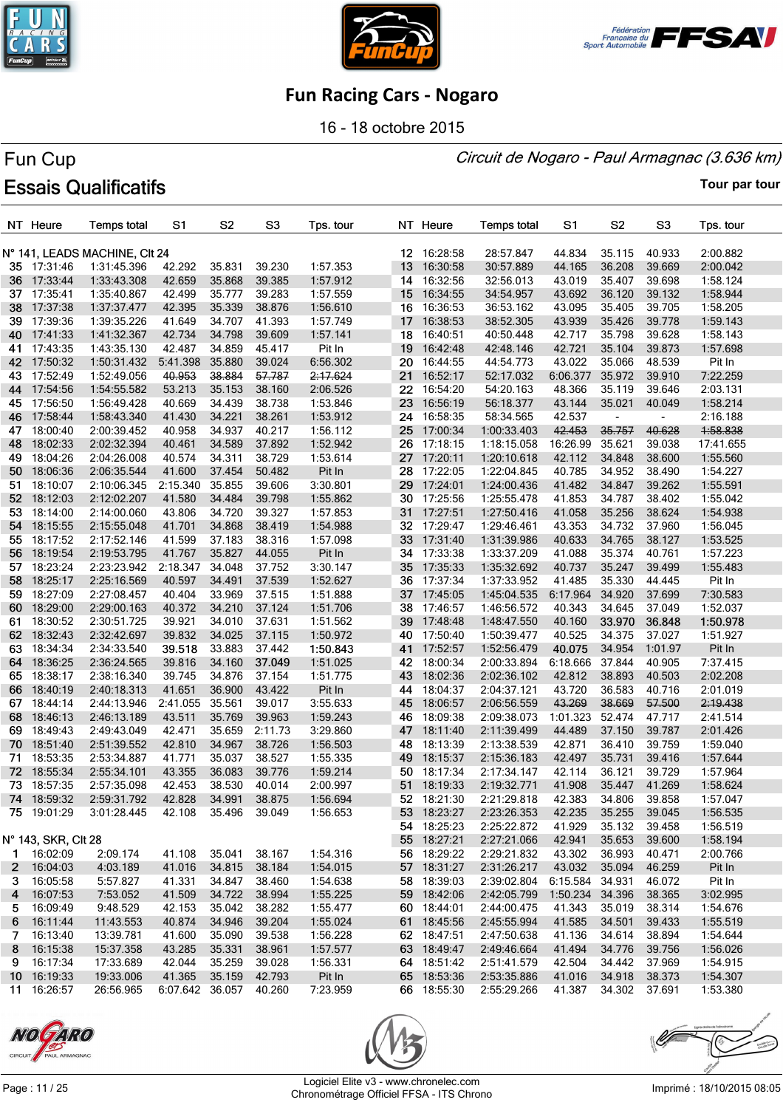





16 - 18 octobre 2015

#### Circuit de Nogaro - Paul Armagnac (3.636 km)

# Fun Cup **Essais Qualificatifs**

|           | NT Heure             | <b>Temps total</b>            | S1                     | S <sub>2</sub>   | S <sub>3</sub>   | Tps. tour            |                 | NT Heure                | <b>Temps total</b>          | S1                   | S <sub>2</sub>           | S <sub>3</sub>   | Tps. tour            |
|-----------|----------------------|-------------------------------|------------------------|------------------|------------------|----------------------|-----------------|-------------------------|-----------------------------|----------------------|--------------------------|------------------|----------------------|
|           |                      | N° 141, LEADS MACHINE, CIt 24 |                        |                  |                  |                      |                 | 12 16:28:58             | 28:57.847                   | 44.834               | 35.115                   | 40.933           | 2:00.882             |
|           | 35 17:31:46          | 1:31:45.396                   | 42.292                 | 35.831           | 39.230           | 1:57.353             | 13              | 16:30:58                | 30:57.889                   | 44.165               | 36.208                   | 39.669           | 2:00.042             |
|           | 36 17:33:44          | 1:33:43.308                   | 42.659                 | 35.868           | 39.385           | 1:57.912             | 14              | 16:32:56                | 32:56.013                   | 43.019               | 35.407                   | 39.698           | 1:58.124             |
| 37        | 17:35:41             | 1:35:40.867                   | 42.499                 | 35.777           | 39.283           | 1:57.559             | 15              | 16:34:55                | 34:54.957                   | 43.692               | 36.120                   | 39.132           | 1:58.944             |
| 38        | 17:37:38             | 1:37:37.477                   | 42.395                 | 35.339           | 38.876           | 1:56.610             |                 | 16 16:36:53             | 36:53.162                   | 43.095               | 35.405                   | 39.705           | 1:58.205             |
| 39.       | 17:39:36             | 1:39:35.226                   | 41.649                 | 34.707           | 41.393           | 1:57.749             |                 | 17 16:38:53             | 38:52.305                   | 43.939               | 35.426                   | 39.778           | 1:59.143             |
| 40        | 17:41:33             | 1:41:32.367                   | 42.734                 | 34.798           | 39.609           | 1:57.141             | 18              | 16:40:51                | 40:50.448                   | 42.717               | 35.798                   | 39.628           | 1:58.143             |
| 41        | 17:43:35             | 1:43:35.130                   | 42.487                 | 34.859           | 45.417           | Pit In               | 19 <sup>°</sup> | 16:42:48                | 42:48.146                   | 42.721               | 35.104                   | 39.873           | 1:57.698             |
| 42.       | 17:50:32             | 1:50:31.432                   | 5:41.398               | 35.880           | 39.024           | 6:56.302             |                 | 20 16:44:55             | 44:54.773                   | 43.022               | 35.066                   | 48.539           | Pit In               |
| 43.       | 17:52:49             | 1:52:49.056                   | 40.953                 | 38.884           | 57.787           | 2:17.624             |                 | 21 16:52:17             | 52:17.032                   | 6:06.377             | 35.972                   | 39.910           | 7:22.259             |
| 44        | 17:54:56             | 1:54:55.582                   | 53.213                 | 35.153           | 38.160           | 2:06.526             | 22              | 16:54:20                | 54:20.163                   | 48.366               | 35.119                   | 39.646           | 2:03.131             |
| 45        | 17:56:50             | 1:56:49.428                   | 40.669                 | 34.439           | 38.738           | 1:53.846             | 23.             | 16:56:19                | 56:18.377                   | 43.144               | 35.021                   | 40.049           | 1:58.214             |
| 46        | 17:58:44             | 1:58:43.340                   | 41.430                 | 34.221           | 38.261           | 1:53.912             |                 | 24 16:58:35             | 58:34.565                   | 42.537               | $\overline{\phantom{a}}$ |                  | 2:16.188             |
| 47        | 18:00:40             | 2:00:39.452                   | 40.958                 | 34.937           | 40.217           | 1:56.112             |                 | 25 17:00:34             | 1:00:33.403                 | 42.453               | 35.757                   | 40.628           | 1:58.838             |
| 48        | 18:02:33             | 2:02:32.394                   | 40.461                 | 34.589           | 37.892           | 1:52.942             | 26              | 17:18:15                | 1:18:15.058                 | 16:26.99             | 35.621                   | 39.038           | 17:41.655            |
| 49        | 18:04:26             | 2:04:26.008                   | 40.574                 | 34.311           | 38.729           | 1:53.614             |                 | 27 17:20:11             | 1:20:10.618                 | 42.112               | 34.848                   | 38.600           | 1:55.560             |
| 50        | 18:06:36             | 2:06:35.544                   | 41.600                 | 37.454           | 50.482           | Pit In               | 28              | 17:22:05                | 1:22:04.845                 | 40.785               | 34.952                   | 38.490           | 1:54.227             |
| 51.       | 18:10:07             | 2:10:06.345                   | 2:15.340               | 35.855           | 39.606           | 3:30.801             | 29              | 17:24:01                | 1:24:00.436                 | 41.482               | 34.847                   | 39.262           | 1:55.591             |
| 52        | 18:12:03             | 2:12:02.207                   | 41.580                 | 34.484           | 39.798           | 1:55.862             | 30              | 17:25:56                | 1:25:55.478                 | 41.853               | 34.787                   | 38.402           | 1:55.042             |
| 53.       | 18:14:00             | 2:14:00.060                   | 43.806                 | 34.720           | 39.327           | 1:57.853             |                 | 31 17:27:51             | 1:27:50.416                 | 41.058               | 35.256                   | 38.624           | 1:54.938             |
| 54        | 18:15:55             | 2:15:55.048                   | 41.701                 | 34.868           | 38.419           | 1:54.988             |                 | 32 17:29:47             | 1:29:46.461                 | 43.353               | 34.732                   | 37.960           | 1:56.045             |
| 55        | 18:17:52             | 2:17:52.146                   | 41.599                 | 37.183           | 38.316           | 1:57.098             | 33              | 17:31:40                | 1:31:39.986                 | 40.633               | 34.765                   | 38.127           | 1:53.525             |
| 56        | 18:19:54             | 2:19:53.795                   | 41.767                 | 35.827           | 44.055           | Pit In               |                 | 34 17:33:38             | 1:33:37.209                 | 41.088               | 35.374                   | 40.761           | 1:57.223             |
| 57.       | 18:23:24             | 2:23:23.942                   | 2:18.347               | 34.048           | 37.752           | 3:30.147             | 35              | 17:35:33                | 1:35:32.692                 | 40.737               | 35.247                   | 39.499           | 1:55.483             |
| 58        | 18:25:17             | 2:25:16.569                   | 40.597                 | 34.491           | 37.539           | 1:52.627             | 36              | 17:37:34                | 1:37:33.952                 | 41.485               | 35.330                   | 44.445           | Pit In               |
| 59        | 18:27:09             | 2:27:08.457                   | 40.404                 | 33.969           | 37.515           | 1:51.888             | 37              | 17:45:05                | 1:45:04.535                 | 6:17.964             | 34.920                   | 37.699           | 7:30.583             |
| 60        | 18:29:00             | 2:29:00.163                   | 40.372                 | 34.210           | 37.124           | 1:51.706             | 38              | 17:46:57                | 1:46:56.572                 | 40.343               | 34.645                   | 37.049           | 1:52.037             |
|           |                      |                               |                        |                  |                  |                      | 39              |                         |                             |                      |                          |                  |                      |
| 61        | 18:30:52<br>18:32:43 | 2:30:51.725<br>2:32:42.697    | 39.921                 | 34.010<br>34.025 | 37.631<br>37.115 | 1:51.562             | 40              | 17:48:48<br>17:50:40    | 1:48:47.550<br>1:50:39.477  | 40.160<br>40.525     | 33.970<br>34.375         | 36.848<br>37.027 | 1:50.978             |
| 62        | 18:34:34             |                               | 39.832<br>39.518       | 33.883           | 37.442           | 1:50.972<br>1:50.843 | 41              |                         |                             | 40.075               | 34.954                   | 1:01.97          | 1:51.927             |
| 63<br>64  | 18:36:25             | 2:34:33.540<br>2:36:24.565    | 39.816                 | 34.160           | 37.049           | 1:51.025             |                 | 17:52:57<br>42 18:00:34 | 1:52:56.479<br>2:00:33.894  | 6:18.666 37.844      |                          | 40.905           | Pit In<br>7:37.415   |
|           |                      |                               |                        |                  |                  |                      | 43              |                         |                             |                      |                          |                  |                      |
| 65        | 18:38:17<br>18:40:19 | 2:38:16.340                   | 39.745                 | 34.876           | 37.154           | 1:51.775             |                 | 18:02:36<br>18:04:37    | 2:02:36.102                 | 42.812               | 38.893                   | 40.503           | 2:02.208             |
| 66        | 18:44:14             | 2:40:18.313                   | 41.651                 | 36.900<br>35.561 | 43.422<br>39.017 | Pit In               | 44<br>45        |                         | 2:04:37.121                 | 43.720<br>43.269     | 36.583<br>38.669         | 40.716<br>57.500 | 2:01.019             |
| 67        |                      | 2:44:13.946                   | 2:41.055               |                  |                  | 3:55.633             |                 | 18:06:57                | 2:06:56.559                 | 1:01.323             |                          |                  | 2:19.438             |
| 68        | 18:46:13             | 2:46:13.189                   | 43.511                 | 35.769           | 39.963           | 1:59.243<br>3:29.860 | 46              | 18:09:38                | 2:09:38.073                 |                      | 52.474                   | 47.717           | 2:41.514             |
| 69.       | 18:49:43             | 2:49:43.049                   | 42.471                 | 35.659           | 2:11.73          |                      | 47<br>48        | 18:11:40                | 2:11:39.499                 | 44.489               | 37.150                   | 39.787<br>39.759 | 2:01.426             |
| 70        | 18:51:40             | 2:51:39.552                   | 42.810                 | 34.967<br>35.037 | 38.726<br>38.527 | 1:56.503             | 49              | 18:13:39                | 2:13:38.539                 | 42.871<br>42.497     | 36.410                   | 39.416           | 1:59.040             |
| 71<br>72. | 18:53:35             | 2:53:34.887<br>2:55:34.101    | 41.771<br>43.355       | 36.083           | 39.776           | 1:55.335<br>1:59.214 | 50              | 18:15:37<br>18:17:34    | 2:15:36.183                 | 42.114               | 35.731<br>36.121         | 39.729           | 1:57.644             |
| 73.       | 18:55:34<br>18:57:35 | 2:57:35.098                   | 42.453                 | 38.530           | 40.014           | 2:00.997             |                 | 51 18:19:33             | 2:17:34.147<br>2:19:32.771  | 41.908               | 35.447                   | 41.269           | 1:57.964<br>1:58.624 |
|           | 74 18:59:32          | 2:59:31.792                   | 42.828                 | 34.991           | 38.875           | 1:56.694             |                 | 52 18:21:30             | 2:21:29.818                 | 42.383               | 34.806                   | 39.858           | 1:57.047             |
|           | 75 19:01:29          | 3:01:28.445                   | 42.108 35.496 39.049   |                  |                  | 1:56.653             |                 | 53 18:23:27             |                             | 42.235               | 35.255                   | 39.045           | 1:56.535             |
|           |                      |                               |                        |                  |                  |                      |                 | 54 18:25:23             | 2:23:26.353<br>2:25:22.872  | 41.929               | 35.132                   | 39.458           |                      |
|           |                      |                               |                        |                  |                  |                      |                 |                         | 2:27:21.066                 |                      |                          |                  | 1:56.519             |
|           | N° 143, SKR, Clt 28  |                               |                        | 35.041           |                  |                      |                 | 55 18:27:21             |                             | 42.941               | 35.653                   | 39.600           | 1:58.194             |
|           | 1 16:02:09           | 2:09.174                      | 41.108                 |                  | 38.167           | 1:54.316             |                 | 56 18:29:22             | 2:29:21.832                 | 43.302               | 36.993                   | 40.471           | 2:00.766             |
|           | 2 16:04:03           | 4:03.189                      | 41.016                 | 34.815           | 38.184           | 1:54.015             |                 | 57 18:31:27             | 2:31:26.217                 | 43.032               | 35.094                   | 46.259           | Pit In               |
|           | 3 16:05:58           | 5:57.827                      | 41.331                 | 34.847           | 38.460           | 1:54.638             |                 | 58 18:39:03             | 2:39:02.804 6:15.584 34.931 |                      |                          | 46.072           | Pit In               |
|           | 4 16:07:53           | 7:53.052                      | 41.509                 |                  | 34.722 38.994    | 1:55.225             |                 | 59 18:42:06             | 2:42:05.799                 | 1:50.234 34.396      |                          | 38.365           | 3:02.995             |
|           | 5 16:09:49           | 9:48.529                      | 42.153                 | 35.042           | 38.282           | 1:55.477             |                 | 60 18:44:01             | 2:44:00.475                 | 41.343               | 35.019                   | 38.314           | 1:54.676             |
| 6.        | 16:11:44             | 11:43.553                     | 40.874                 | 34.946           | 39.204           | 1:55.024             |                 | 61 18:45:56             | 2:45:55.994                 | 41.585               | 34.501                   | 39.433           | 1:55.519             |
|           | 7 16:13:40           | 13:39.781                     | 41.600                 | 35.090           | 39.538           | 1:56.228             |                 | 62 18:47:51             | 2:47:50.638                 | 41.136               | 34.614                   | 38.894           | 1:54.644             |
|           | 8 16:15:38           | 15:37.358                     | 43.285                 | 35.331           | 38.961           | 1:57.577             |                 | 63 18:49:47             | 2:49:46.664                 | 41.494               | 34.776                   | 39.756           | 1:56.026             |
| 9         | 16:17:34             | 17:33.689                     | 42.044                 | 35.259           | 39.028           | 1:56.331             |                 | 64 18:51:42             | 2:51:41.579                 | 42.504               | 34.442                   | 37.969           | 1:54.915             |
|           | 10 16:19:33          | 19:33.006                     | 41.365                 | 35.159 42.793    |                  | Pit In               |                 | 65 18:53:36             | 2:53:35.886                 | 41.016               | 34.918                   | 38.373           | 1:54.307             |
|           | 11 16:26:57          | 26:56.965                     | 6:07.642 36.057 40.260 |                  |                  | 7:23.959             |                 | 66 18:55:30             | 2:55:29.266                 | 41.387 34.302 37.691 |                          |                  | 1:53.380             |





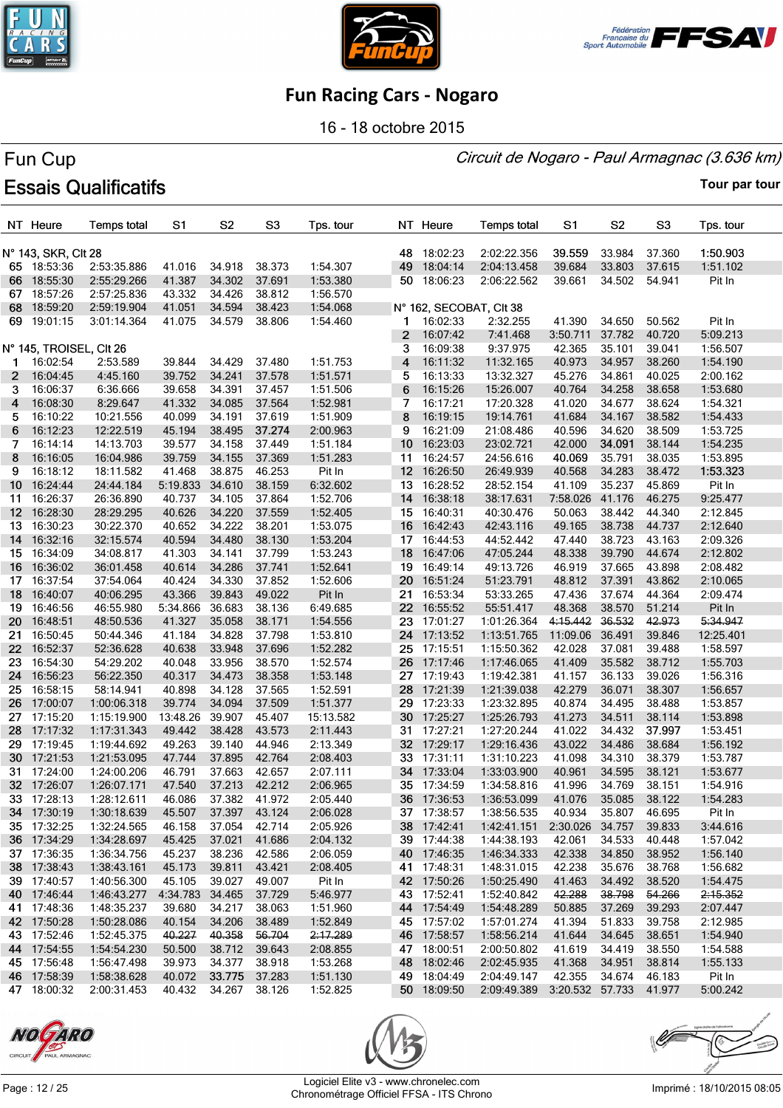





16 - 18 octobre 2015

#### Circuit de Nogaro - Paul Armagnac (3.636 km)

# Fun Cup **Essais Qualificatifs**

|                  | NT Heure                   | <b>Temps total</b>         | S1                        | S <sub>2</sub>   | S <sub>3</sub>   | Tps. tour            |              | NT Heure                   | <b>Temps total</b>                 | S1               | S <sub>2</sub>   | S <sub>3</sub>   | Tps. tour            |
|------------------|----------------------------|----------------------------|---------------------------|------------------|------------------|----------------------|--------------|----------------------------|------------------------------------|------------------|------------------|------------------|----------------------|
|                  | N° 143, SKR, Clt 28        |                            |                           |                  |                  |                      |              | 48 18:02:23                | 2:02:22.356                        | 39.559           | 33.984           | 37.360           | 1:50.903             |
|                  | 65 18:53:36                | 2:53:35.886                | 41.016                    | 34.918           | 38.373           | 1:54.307             | 49           | 18:04:14                   | 2:04:13.458                        | 39.684           | 33.803           | 37.615           | 1:51.102             |
|                  | 66 18:55:30                | 2:55:29.266                | 41.387                    | 34.302           | 37.691           | 1:53.380             | 50           | 18:06:23                   | 2:06:22.562                        | 39.661           | 34.502           | 54.941           | Pit In               |
|                  | 67 18:57:26                | 2:57:25.836                | 43.332                    | 34.426           | 38.812           | 1:56.570             |              |                            |                                    |                  |                  |                  |                      |
| 68.              | 18:59:20                   | 2:59:19.904                | 41.051                    | 34.594           | 38.423           | 1:54.068             |              | N° 162, SECOBAT, Clt 38    |                                    |                  |                  |                  |                      |
|                  | 69 19:01:15                | 3:01:14.364                | 41.075                    | 34.579           | 38.806           | 1:54.460             |              | 1 16:02:33                 | 2:32.255                           | 41.390           | 34.650           | 50.562           | Pit In               |
|                  |                            |                            |                           |                  |                  |                      | $\mathbf{2}$ | 16:07:42                   | 7:41.468                           | 3:50.711         | 37.782           | 40.720           | 5:09.213             |
|                  | N° 145, TROISEL, CIt 26    |                            |                           |                  |                  |                      | 3            | 16:09:38                   | 9:37.975                           | 42.365           | 35.101           | 39.041           | 1:56.507             |
| $\mathbf 1$      | 16:02:54                   | 2:53.589                   | 39.844                    | 34.429           | 37.480           | 1:51.753             | 4            | 16:11:32                   | 11:32.165                          | 40.973           | 34.957           | 38.260           | 1:54.190             |
| 2                | 16:04:45                   | 4:45.160                   | 39.752                    | 34.241           | 37.578           | 1:51.571             | 5            | 16:13:33                   | 13:32.327                          | 45.276           | 34.861           | 40.025           | 2:00.162             |
| 3.               | 16:06:37                   | 6:36.666                   | 39.658                    | 34.391           | 37.457           | 1:51.506             | 6            | 16:15:26                   | 15:26.007                          | 40.764           | 34.258           | 38.658           | 1:53.680             |
| 4                | 16:08:30                   | 8:29.647                   | 41.332                    | 34.085           | 37.564           | 1:52.981             | 7            | 16:17:21                   | 17:20.328                          | 41.020           | 34.677           | 38.624           | 1:54.321             |
| 5.               | 16:10:22                   | 10:21.556                  | 40.099                    | 34.191           | 37.619           | 1:51.909             | 8            | 16:19:15                   | 19:14.761                          | 41.684           | 34.167           | 38.582           | 1:54.433             |
| 6                | 16:12:23                   | 12:22.519                  | 45.194                    | 38.495           | 37.274           | 2:00.963             | 9            | 16:21:09                   | 21:08.486                          | 40.596           | 34.620           | 38.509           | 1:53.725             |
| 7                | 16:14:14                   | 14:13.703                  | 39.577                    | 34.158           | 37.449           | 1:51.184             | 10           | 16:23:03                   | 23:02.721                          | 42.000           | 34.091           | 38.144           | 1:54.235             |
| 8                | 16:16:05                   | 16:04.986                  | 39.759                    | 34.155           | 37.369           | 1:51.283             | 11           | 16:24:57                   | 24:56.616                          | 40.069           | 35.791           | 38.035           | 1:53.895             |
| 9                | 16:18:12                   | 18:11.582                  | 41.468                    | 38.875           | 46.253           | Pit In               |              | 12 16:26:50                | 26:49.939                          | 40.568           | 34.283           | 38.472           | 1:53.323             |
| $10-10$          | 16:24:44                   | 24:44.184                  | 5:19.833                  | 34.610           | 38.159           | 6:32.602             |              | 13 16:28:52                | 28:52.154                          | 41.109           | 35.237           | 45.869           | Pit In               |
| 11               | 16:26:37                   | 26:36.890                  | 40.737                    | 34.105           | 37.864           | 1:52.706             | 14           | 16:38:18                   | 38:17.631                          | 7:58.026 41.176  |                  | 46.275           | 9:25.477             |
| 12 <sup>12</sup> | 16:28:30                   | 28:29.295                  | 40.626                    | 34.220           | 37.559           | 1:52.405             | 15           | 16:40:31                   | 40:30.476                          | 50.063           | 38.442           | 44.340           | 2:12.845             |
|                  | 13 16:30:23                | 30:22.370                  | 40.652                    | 34.222           | 38.201           | 1:53.075             | 16           | 16:42:43                   | 42:43.116                          | 49.165           | 38.738           | 44.737           | 2:12.640             |
| 14               | 16:32:16                   | 32:15.574                  | 40.594                    | 34.480           | 38.130           | 1:53.204             |              | 17 16:44:53                | 44:52.442                          | 47.440           | 38.723           | 43.163           | 2:09.326             |
| 15 -             | 16:34:09                   | 34:08.817                  | 41.303                    | 34.141           | 37.799           | 1:53.243             | 18           | 16:47:06                   | 47:05.244                          | 48.338           | 39.790           | 44.674           | 2:12.802             |
|                  | 16 16:36:02                | 36:01.458                  | 40.614                    | 34.286           | 37.741           | 1:52.641             | 19           | 16:49:14                   | 49:13.726                          | 46.919           | 37.665           | 43.898           | 2:08.482             |
| 17 -             | 16:37:54                   | 37:54.064                  | 40.424                    | 34.330           | 37.852           | 1:52.606             | 20           | 16:51:24                   | 51:23.791                          | 48.812           | 37.391           | 43.862           | 2:10.065             |
| 18               | 16:40:07                   | 40:06.295                  | 43.366                    | 39.843           | 49.022           | Pit In               | 21           | 16:53:34                   | 53:33.265                          | 47.436           | 37.674           | 44.364           | 2:09.474             |
| 19               | 16:46:56                   | 46:55.980                  | 5:34.866                  | 36.683           | 38.136           | 6:49.685             | 22           | 16:55:52                   | 55:51.417                          | 48.368           | 38.570           | 51.214           | Pit In               |
| 20               | 16:48:51                   | 48:50.536                  | 41.327                    | 35.058           | 38.171           | 1:54.556             |              | 23 17:01:27                | 1:01:26.364                        | 4:15.442         | 36.532           | 42.973           | 5:34.947             |
| 21               | 16:50:45                   | 50:44.346                  | 41.184                    | 34.828           | 37.798           | 1:53.810             |              | 24 17:13:52                | 1:13:51.765                        | 11:09.06         | 36.491           | 39.846           | 12:25.401            |
| 22 <sub>2</sub>  | 16:52:37                   | 52:36.628                  | 40.638                    | 33.948           | 37.696           | 1:52.282             |              | 25 17:15:51                | 1:15:50.362                        | 42.028           | 37.081           | 39.488           | 1:58.597             |
| 23               | 16:54:30                   | 54:29.202                  | 40.048                    | 33.956           | 38.570           | 1:52.574             | 26           | 17:17:46                   | 1:17:46.065                        | 41.409           | 35.582           | 38.712           | 1:55.703             |
| 24               | 16:56:23                   | 56:22.350                  | 40.317                    | 34.473           | 38.358           | 1:53.148             |              | 27 17:19:43                | 1:19:42.381                        | 41.157           | 36.133           | 39.026           | 1:56.316             |
| 25               | 16:58:15                   | 58:14.941                  | 40.898                    | 34.128           | 37.565           | 1:52.591             | 28           | 17:21:39                   | 1:21:39.038                        | 42.279           | 36.071           | 38.307           | 1:56.657             |
| 26               | 17:00:07                   | 1:00:06.318                | 39.774                    | 34.094           | 37.509           | 1:51.377             | 29           | 17:23:33                   | 1:23:32.895                        | 40.874           | 34.495           | 38.488           | 1:53.857             |
| 27               | 17:15:20                   | 1:15:19.900                | 13:48.26                  | 39.907           | 45.407           | 15:13.582            | 30           | 17:25:27                   | 1:25:26.793                        | 41.273           | 34.511           | 38.114           | 1:53.898             |
|                  | 28 17:17:32                | 1:17:31.343                | 49.442                    | 38.428           | 43.573           | 2:11.443             |              | 31 17:27:21                | 1:27:20.244                        | 41.022           | 34.432           | 37.997           | 1:53.451             |
| 29               | 17:19:45                   | 1:19:44.692                | 49.263                    | 39.140           | 44.946           | 2:13.349             |              | 32 17:29:17                | 1:29:16.436                        | 43.022           | 34.486           | 38.684           | 1:56.192             |
|                  | 30 17:21:53                | 1:21:53.095                | 47.744                    | 37.895           | 42.764           | 2:08.403             | 33           | 17:31:11                   | 1:31:10.223                        | 41.098           | 34.310           | 38.379           | 1:53.787             |
|                  | 31 17:24:00                | 1:24:00.206                | 46.791                    | 37.663           | 42.657           | 2:07.111             |              | 34 17:33:04                | 1:33:03.900                        | 40.961           | 34.595           | 38.121           | 1:53.677             |
|                  | 32 17:26:07                | 1:26:07.171                | 47.540                    | 37.213 42.212    |                  | 2:06.965             |              | 35 17:34:59                | 1:34:58.816                        | 41.996           | 34.769           | 38.151           | 1:54.916             |
|                  | 33 17:28:13                | 1:28:12.611                | 46.086                    | 37.382 41.972    |                  | 2:05.440             |              | 36 17:36:53                | 1:36:53.099                        | 41.076           | 35.085 38.122    |                  | 1:54.283             |
|                  | 34 17:30:19                | 1:30:18.639                | 45.507                    | 37.397 43.124    |                  | 2:06.028             |              | 37 17:38:57                | 1:38:56.535                        | 40.934           | 35.807           | 46.695           | Pit In               |
|                  | 35 17:32:25                | 1:32:24.565                | 46.158                    | 37.054           | 42.714           | 2:05.926             |              | 38 17:42:41                | 1:42:41.151                        | 2:30.026         | 34.757           | 39.833           | 3:44.616             |
|                  | 36 17:34:29                | 1:34:28.697                | 45.425                    | 37.021           | 41.686           | 2:04.132             |              | 39 17:44:38                | 1:44:38.193                        | 42.061           | 34.533           | 40.448           | 1:57.042             |
|                  | 37 17:36:35                | 1:36:34.756                | 45.237                    | 38.236           | 42.586           | 2:06.059             |              | 40 17:46:35                | 1:46:34.333                        | 42.338           | 34.850           | 38.952           | 1:56.140             |
|                  | 38 17:38:43                | 1:38:43.161                | 45.173                    | 39.811           | 43.421           | 2:08.405             |              | 41 17:48:31                | 1:48:31.015                        | 42.238           | 35.676           | 38.768           | 1:56.682             |
|                  | 39 17:40:57                | 1:40:56.300                | 45.105<br>4:34.783 34.465 | 39.027           | 49.007           | Pit In               |              | 42 17:50:26                | 1:50:25.490                        | 41.463           | 34.492           | 38.520           | 1:54.475             |
|                  | 40 17:46:44                | 1:46:43.277                |                           | 34.217           | 37.729           | 5:46.977             |              | 43 17:52:41                | 1:52:40.842                        | 42.288           | 38.798           | 54.266<br>39.293 | 2:15.352             |
|                  | 41 17:48:36                | 1:48:35.237<br>1:50:28.086 | 39.680                    |                  | 38.063           | 1:51.960             |              | 44 17:54:49                | 1:54:48.289                        | 50.885           | 37.269           |                  | 2:07.447             |
|                  | 42 17:50:28<br>43 17:52:46 | 1:52:45.375                | 40.154<br>40.227          | 34.206<br>40.358 | 38.489<br>56.704 | 1:52.849             |              | 45 17:57:02<br>46 17:58:57 | 1:57:01.274                        | 41.394<br>41.644 | 51.833           | 39.758<br>38.651 | 2:12.985             |
|                  |                            |                            |                           |                  |                  | 2:17.289             |              |                            | 1:58:56.214                        |                  | 34.645           |                  | 1:54.940             |
|                  | 44 17:54:55<br>45 17:56:48 | 1:54:54.230<br>1:56:47.498 | 50.500<br>39.973          | 38.712<br>34.377 | 39.643<br>38.918 | 2:08.855<br>1:53.268 |              | 47 18:00:51<br>48 18:02:46 | 2:00:50.802<br>2:02:45.935         | 41.619<br>41.368 | 34.419<br>34.951 | 38.550<br>38.814 | 1:54.588<br>1:55.133 |
|                  | 46 17:58:39                | 1:58:38.628                | 40.072                    | 33.775           | 37.283           | 1:51.130             |              | 49 18:04:49                | 2:04:49.147                        | 42.355           | 34.674           | 46.183           | Pit In               |
|                  | 47 18:00:32                | 2:00:31.453                | 40.432                    | 34.267 38.126    |                  | 1:52.825             |              | 50 18:09:50                | 2:09:49.389 3:20.532 57.733 41.977 |                  |                  |                  | 5:00.242             |
|                  |                            |                            |                           |                  |                  |                      |              |                            |                                    |                  |                  |                  |                      |





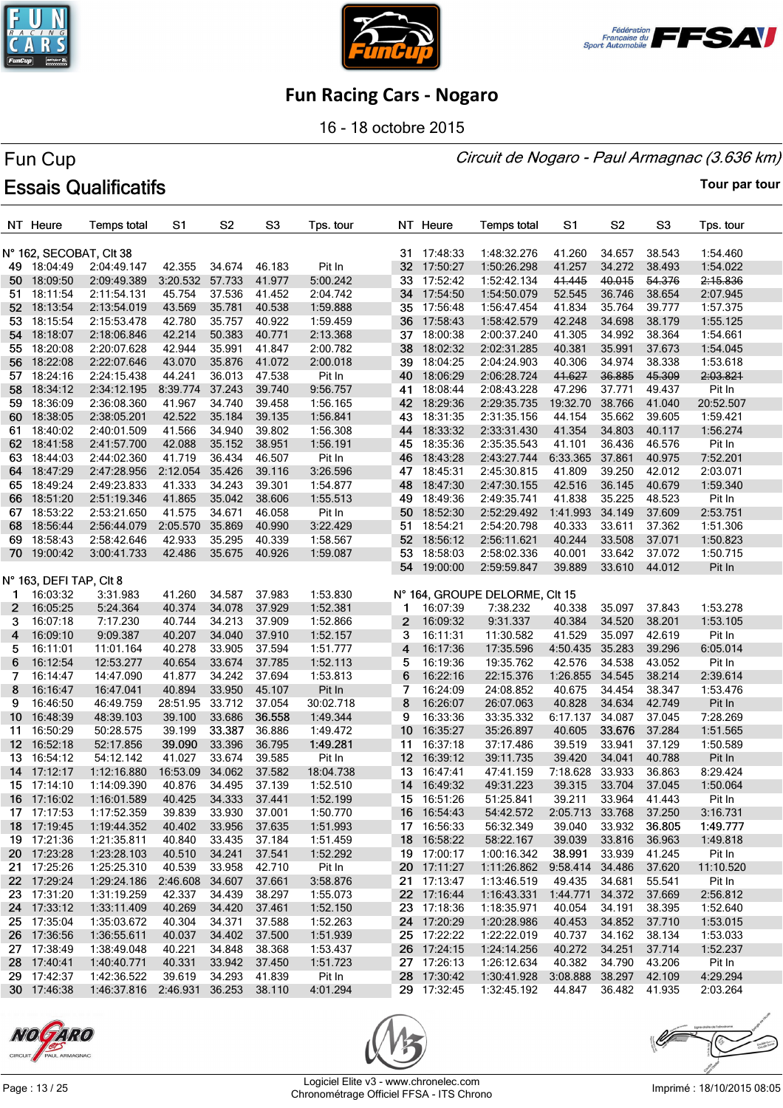





16 - 18 octobre 2015

#### Circuit de Nogaro - Paul Armagnac (3.636 km)

# Fun Cup **Essais Qualificatifs**

|                  | NT Heure                | <b>Temps total</b> | S <sub>1</sub>         | S <sub>2</sub> | S <sub>3</sub> | Tps. tour |                 | NT Heure    | <b>Temps total</b>             | S1              | S <sub>2</sub> | S <sub>3</sub> | Tps. tour |
|------------------|-------------------------|--------------------|------------------------|----------------|----------------|-----------|-----------------|-------------|--------------------------------|-----------------|----------------|----------------|-----------|
|                  | N° 162, SECOBAT, Clt 38 |                    |                        |                |                |           |                 | 31 17:48:33 | 1:48:32.276                    | 41.260          | 34.657         | 38.543         | 1:54.460  |
|                  | 49 18:04:49             | 2:04:49.147        | 42.355                 | 34.674         | 46.183         | Pit In    | 32              | 17:50:27    | 1:50:26.298                    | 41.257          | 34.272         | 38.493         | 1:54.022  |
|                  | 50 18:09:50             | 2:09:49.389        | 3:20.532               | 57.733         | 41.977         | 5:00.242  | 33              | 17:52:42    | 1:52:42.134                    | 41.445          | 40.015         | 54.376         | 2:15.836  |
|                  | 51 18:11:54             | 2:11:54.131        | 45.754                 | 37.536         | 41.452         | 2:04.742  |                 | 34 17:54:50 | 1:54:50.079                    | 52.545          | 36.746         | 38.654         | 2:07.945  |
|                  | 52 18:13:54             | 2:13:54.019        | 43.569                 | 35.781         | 40.538         | 1:59.888  | 35              | 17:56:48    | 1:56:47.454                    | 41.834          | 35.764         | 39.777         | 1:57.375  |
| 53.              | 18:15:54                | 2:15:53.478        | 42.780                 | 35.757         | 40.922         | 1:59.459  | 36              | 17:58:43    | 1:58:42.579                    | 42.248          | 34.698         | 38.179         | 1:55.125  |
| 54               | 18:18:07                | 2:18:06.846        | 42.214                 | 50.383         | 40.771         | 2:13.368  |                 | 37 18:00:38 | 2:00:37.240                    | 41.305          | 34.992         | 38.364         | 1:54.661  |
|                  | 55 18:20:08             | 2:20:07.628        | 42.944                 | 35.991         | 41.847         | 2:00.782  | 38              | 18:02:32    | 2:02:31.285                    | 40.381          | 35.991         | 37.673         | 1:54.045  |
|                  | 56 18:22:08             | 2:22:07.646        | 43.070                 | 35.876         | 41.072         | 2:00.018  | 39              | 18:04:25    | 2:04:24.903                    | 40.306          | 34.974         | 38.338         | 1:53.618  |
| 57.              | 18:24:16                | 2:24:15.438        | 44.241                 | 36.013         | 47.538         | Pit In    | 40              | 18:06:29    | 2:06:28.724                    | 41.627          | 36.885         | 45.309         | 2:03.821  |
| 58               | 18:34:12                | 2:34:12.195        | 8:39.774               | 37.243         | 39.740         | 9:56.757  | 41              | 18:08:44    | 2:08:43.228                    | 47.296          | 37.771         | 49.437         | Pit In    |
| 59               | 18:36:09                | 2:36:08.360        | 41.967                 | 34.740         | 39.458         | 1:56.165  | 42              | 18:29:36    | 2:29:35.735                    | 19:32.70        | 38.766         | 41.040         | 20:52.507 |
| 60               | 18:38:05                | 2:38:05.201        | 42.522                 | 35.184         | 39.135         | 1:56.841  | 43              | 18:31:35    | 2:31:35.156                    | 44.154          | 35.662         | 39.605         | 1:59.421  |
| 61               | 18:40:02                | 2:40:01.509        | 41.566                 | 34.940         | 39.802         | 1:56.308  |                 | 44 18:33:32 | 2:33:31.430                    | 41.354          | 34.803         | 40.117         | 1:56.274  |
| 62               | 18:41:58                | 2:41:57.700        | 42.088                 | 35.152         | 38.951         | 1:56.191  | 45              | 18:35:36    | 2:35:35.543                    | 41.101          | 36.436         | 46.576         | Pit In    |
| 63.              | 18:44:03                | 2:44:02.360        | 41.719                 | 36.434         | 46.507         | Pit In    | 46              | 18:43:28    | 2:43:27.744                    | 6:33.365        | 37.861         | 40.975         | 7:52.201  |
| 64               | 18:47:29                | 2:47:28.956        | 2:12.054               | 35.426         | 39.116         | 3:26.596  | 47              | 18:45:31    | 2:45:30.815                    | 41.809          | 39.250         | 42.012         | 2:03.071  |
| 65               | 18:49:24                | 2:49:23.833        | 41.333                 | 34.243         | 39.301         | 1:54.877  | 48              | 18:47:30    | 2:47:30.155                    | 42.516          | 36.145         | 40.679         | 1:59.340  |
| 66               | 18:51:20                | 2:51:19.346        | 41.865                 | 35.042         | 38.606         | 1:55.513  | 49              | 18:49:36    | 2:49:35.741                    | 41.838          | 35.225         | 48.523         | Pit In    |
| 67.              | 18:53:22                | 2:53:21.650        | 41.575                 | 34.671         | 46.058         | Pit In    | 50              | 18:52:30    | 2:52:29.492                    | 1:41.993        | 34.149         | 37.609         | 2:53.751  |
| 68               | 18:56:44                | 2:56:44.079        | 2:05.570               | 35.869         | 40.990         | 3:22.429  | 51              | 18:54:21    | 2:54:20.798                    | 40.333          | 33.611         | 37.362         | 1:51.306  |
| 69.              | 18:58:43                | 2:58:42.646        | 42.933                 | 35.295         | 40.339         | 1:58.567  |                 | 52 18:56:12 | 2:56:11.621                    | 40.244          | 33.508         | 37.071         | 1:50.823  |
|                  | 70 19:00:42             | 3:00:41.733        | 42.486                 | 35.675         | 40.926         | 1:59.087  |                 | 53 18:58:03 | 2:58:02.336                    | 40.001          | 33.642         | 37.072         | 1:50.715  |
|                  |                         |                    |                        |                |                |           |                 | 54 19:00:00 | 2:59:59.847                    | 39.889          | 33.610         | 44.012         | Pit In    |
|                  | N° 163, DEFI TAP, CIt 8 |                    |                        |                |                |           |                 |             |                                |                 |                |                |           |
| 1                | 16:03:32                | 3:31.983           | 41.260                 | 34.587         | 37.983         | 1:53.830  |                 |             | N° 164, GROUPE DELORME, CIt 15 |                 |                |                |           |
| $\mathbf{2}$     | 16:05:25                | 5:24.364           | 40.374                 | 34.078         | 37.929         | 1:52.381  | 1               | 16:07:39    | 7:38.232                       | 40.338          | 35.097         | 37.843         | 1:53.278  |
| 3                | 16:07:18                | 7:17.230           | 40.744                 | 34.213         | 37.909         | 1:52.866  | 2               | 16:09:32    | 9:31.337                       | 40.384          | 34.520         | 38.201         | 1:53.105  |
| 4                | 16:09:10                | 9:09.387           | 40.207                 | 34.040         | 37.910         | 1:52.157  | 3               | 16:11:31    | 11:30.582                      | 41.529          | 35.097         | 42.619         | Pit In    |
| 5                | 16:11:01                | 11:01.164          | 40.278                 | 33.905         | 37.594         | 1:51.777  | 4               | 16:17:36    | 17:35.596                      | 4:50.435        | 35.283         | 39.296         | 6:05.014  |
| 6                | 16:12:54                | 12:53.277          | 40.654                 | 33.674         | 37.785         | 1:52.113  | 5               | 16:19:36    | 19:35.762                      | 42.576          | 34.538         | 43.052         | Pit In    |
| 7                | 16:14:47                | 14:47.090          | 41.877                 | 34.242         | 37.694         | 1:53.813  | 6               | 16:22:16    | 22:15.376                      | 1:26.855        | 34.545         | 38.214         | 2:39.614  |
| 8                | 16:16:47                | 16:47.041          | 40.894                 | 33.950         | 45.107         | Pit In    | 7               | 16:24:09    | 24:08.852                      | 40.675          | 34.454         | 38.347         | 1:53.476  |
| 9                | 16:46:50                | 46:49.759          | 28:51.95               | 33.712         | 37.054         | 30:02.718 | 8               | 16:26:07    | 26:07.063                      | 40.828          | 34.634         | 42.749         | Pit In    |
| 10               | 16:48:39                | 48:39.103          | 39.100                 | 33.686         | 36.558         | 1:49.344  | 9               | 16:33:36    | 33:35.332                      | 6:17.137        | 34.087         | 37.045         | 7:28.269  |
| 11               | 16:50:29                | 50:28.575          | 39.199                 | 33.387         | 36.886         | 1:49.472  | 10              | 16:35:27    | 35:26.897                      | 40.605          | 33.676         | 37.284         | 1:51.565  |
| 12 <sup>12</sup> | 16:52:18                | 52:17.856          | 39.090                 | 33.396         | 36.795         | 1:49.281  | 11              | 16:37:18    | 37:17.486                      | 39.519          | 33.941         | 37.129         | 1:50.589  |
| 13.              | 16:54:12                | 54:12.142          | 41.027                 | 33.674         | 39.585         | Pit In    | 12              | 16:39:12    | 39:11.735                      | 39.420          | 34.041         | 40.788         | Pit In    |
| 14               | 17:12:17                | 1:12:16.880        | 16:53.09               | 34.062         | 37.582         | 18:04.738 | 13 <sup>2</sup> | 16:47:41    | 47:41.159                      | 7:18.628        | 33.933         | 36.863         | 8:29.424  |
|                  | 15 17:14:10             | 1:14:09.390        | 40.876                 | 34.495         | 37.139         | 1:52.510  |                 | 14 16:49:32 | 49:31.223                      | 39.315          | 33.704         | 37.045         | 1:50.064  |
|                  | 16 17:16:02             | 1:16:01.589        | 40.425                 | 34.333         | 37.441         | 1:52.199  |                 | 15 16:51:26 | 51:25.841                      | 39.211          | 33.964         | 41.443         | Pit In    |
|                  | 17 17:17:53             | 1:17:52.359        | 39.839                 | 33.930         | 37.001         | 1:50.770  |                 | 16 16:54:43 | 54:42.572                      | 2:05.713 33.768 |                | 37.250         | 3:16.731  |
|                  | 18 17:19:45             | 1:19:44.352        | 40.402                 | 33.956         | 37.635         | 1:51.993  |                 | 17 16:56:33 | 56:32.349                      | 39.040          | 33.932         | 36.805         | 1:49.777  |
|                  | 19 17:21:36             | 1:21:35.811        | 40.840                 | 33.435         | 37.184         | 1:51.459  |                 | 18 16:58:22 | 58:22.167                      | 39.039          | 33.816         | 36.963         | 1:49.818  |
|                  | 20 17:23:28             | 1:23:28.103        | 40.510                 | 34.241         | 37.541         | 1:52.292  |                 | 19 17:00:17 | 1:00:16.342                    | 38.991          | 33.939         | 41.245         | Pit In    |
|                  | 21 17:25:26             | 1:25:25.310        | 40.539                 | 33.958         | 42.710         | Pit In    |                 | 20 17:11:27 | 1:11:26.862  9:58.414  34.486  |                 |                | 37.620         | 11:10.520 |
|                  | 22 17:29:24             | 1:29:24.186        | 2:46.608               | 34.607         | 37.661         | 3:58.876  |                 | 21 17:13:47 | 1:13:46.519                    | 49.435          | 34.681         | 55.541         | Pit In    |
|                  | 23 17:31:20             | 1:31:19.259        | 42.337                 | 34.439         | 38.297         | 1:55.073  |                 | 22 17:16:44 | 1:16:43.331                    | 1:44.771        | 34.372         | 37.669         | 2:56.812  |
|                  | 24 17:33:12             | 1:33:11.409        | 40.269                 | 34.420         | 37.461         | 1:52.150  |                 | 23 17:18:36 | 1:18:35.971                    | 40.054          | 34.191         | 38.395         | 1:52.640  |
|                  | 25 17:35:04             | 1:35:03.672        | 40.304                 | 34.371         | 37.588         | 1:52.263  |                 | 24 17:20:29 | 1:20:28.986                    | 40.453          | 34.852         | 37.710         | 1:53.015  |
|                  | 26 17:36:56             | 1:36:55.611        | 40.037                 | 34.402 37.500  |                | 1:51.939  |                 | 25 17:22:22 | 1:22:22.019                    | 40.737          | 34.162         | 38.134         | 1:53.033  |
|                  | 27 17:38:49             | 1:38:49.048        | 40.221                 | 34.848         | 38.368         | 1:53.437  |                 | 26 17:24:15 | 1:24:14.256                    | 40.272          | 34.251         | 37.714         | 1:52.237  |
|                  | 28 17:40:41             | 1:40:40.771        | 40.331                 | 33.942         | 37.450         | 1:51.723  |                 | 27 17:26:13 | 1:26:12.634                    | 40.382          | 34.790         | 43.206         | Pit In    |
|                  | 29 17:42:37             | 1:42:36.522        | 39.619                 | 34.293         | 41.839         | Pit In    |                 | 28 17:30:42 | 1:30:41.928                    | 3:08.888 38.297 |                | 42.109         | 4:29.294  |
|                  | 30 17:46:38             | 1:46:37.816        | 2:46.931 36.253 38.110 |                |                | 4:01.294  |                 | 29 17:32:45 | 1:32:45.192                    | 44.847          | 36.482 41.935  |                | 2:03.264  |





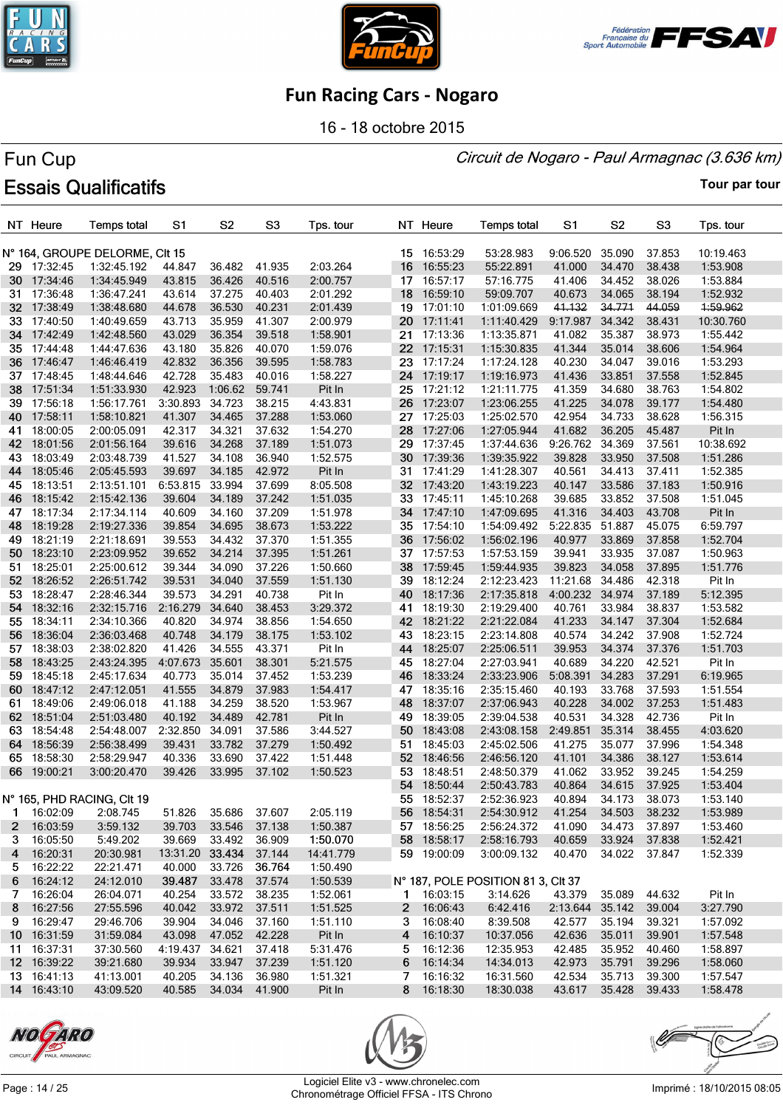





16 - 18 octobre 2015

#### Circuit de Nogaro - Paul Armagnac (3.636 km)

# Fun Cup **Essais Qualificatifs**

|     | NT Heure    | <b>Temps total</b>             | S1                     | S <sub>2</sub> | S <sub>3</sub> | Tps. tour |    | NT Heure                   | <b>Temps total</b>                 | S1                   | S <sub>2</sub>   | S <sub>3</sub>   | Tps. tour |
|-----|-------------|--------------------------------|------------------------|----------------|----------------|-----------|----|----------------------------|------------------------------------|----------------------|------------------|------------------|-----------|
|     |             | N° 164, GROUPE DELORME, CIt 15 |                        |                |                |           |    | 15 16:53:29                | 53:28.983                          | 9:06.520             | 35.090           | 37.853           | 10:19.463 |
|     | 29 17:32:45 | 1:32:45.192                    | 44.847                 | 36.482         | 41.935         | 2:03.264  |    | 16 16:55:23                | 55:22.891                          | 41.000               | 34.470           | 38.438           | 1:53.908  |
|     | 30 17:34:46 | 1:34:45.949                    | 43.815                 | 36.426         | 40.516         | 2:00.757  |    | 17 16:57:17                | 57:16.775                          | 41.406               | 34.452           | 38.026           | 1:53.884  |
| 31. | 17:36:48    | 1:36:47.241                    | 43.614                 | 37.275         | 40.403         | 2:01.292  |    | 18 16:59:10                | 59:09.707                          | 40.673               | 34.065           | 38.194           | 1:52.932  |
| 32  | 17:38:49    | 1:38:48.680                    | 44.678                 | 36.530         | 40.231         | 2:01.439  |    | 19 17:01:10                | 1:01:09.669                        | 41.132               | 34.771           | 44.059           | 1:59.962  |
| 33. | 17:40:50    | 1:40:49.659                    | 43.713                 | 35.959         | 41.307         | 2:00.979  |    | 20 17:11:41                | 1:11:40.429                        | 9:17.987             | 34.342           | 38.431           | 10:30.760 |
| 34  | 17:42:49    | 1:42:48.560                    | 43.029                 | 36.354         | 39.518         | 1:58.901  | 21 | 17:13:36                   | 1:13:35.871                        | 41.082               | 35.387           | 38.973           | 1:55.442  |
| 35  | 17:44:48    | 1:44:47.636                    | 43.180                 | 35.826         | 40.070         | 1:59.076  |    | 22 17:15:31                | 1:15:30.835                        | 41.344               | 35.014           | 38.606           | 1:54.964  |
| 36  | 17:46:47    | 1:46:46.419                    | 42.832                 | 36.356         | 39.595         | 1:58.783  |    | 23 17:17:24                | 1:17:24.128                        | 40.230               | 34.047           | 39.016           | 1:53.293  |
| 37  | 17:48:45    | 1:48:44.646                    | 42.728                 | 35.483         | 40.016         | 1:58.227  |    | 24 17:19:17                | 1:19:16.973                        | 41.436               | 33.851           | 37.558           | 1:52.845  |
| 38  | 17:51:34    | 1:51:33.930                    | 42.923                 | 1:06.62        | 59.741         | Pit In    | 25 | 17:21:12                   | 1:21:11.775                        | 41.359               | 34.680           | 38.763           | 1:54.802  |
| 39. | 17:56:18    | 1:56:17.761                    | 3:30.893               | 34.723         | 38.215         | 4:43.831  |    | 26 17:23:07                | 1:23:06.255                        | 41.225               | 34.078           | 39.177           | 1:54.480  |
| 40  | 17:58:11    | 1:58:10.821                    | 41.307                 | 34.465         | 37.288         | 1:53.060  |    | 27 17:25:03                | 1:25:02.570                        | 42.954               | 34.733           | 38.628           | 1:56.315  |
| 41  | 18:00:05    | 2:00:05.091                    | 42.317                 | 34.321         | 37.632         | 1:54.270  | 28 | 17:27:06                   | 1:27:05.944                        | 41.682               | 36.205           | 45.487           | Pit In    |
| 42  | 18:01:56    | 2:01:56.164                    | 39.616                 | 34.268         | 37.189         | 1:51.073  | 29 | 17:37:45                   | 1:37:44.636                        | 9:26.762 34.369      |                  | 37.561           | 10:38.692 |
| 43  | 18:03:49    | 2:03:48.739                    | 41.527                 | 34.108         | 36.940         | 1:52.575  |    | 30 17:39:36                | 1:39:35.922                        | 39.828               | 33.950           | 37.508           | 1:51.286  |
| 44  | 18:05:46    | 2:05:45.593                    | 39.697                 | 34.185         | 42.972         | Pit In    |    | 31 17:41:29                | 1:41:28.307                        | 40.561               | 34.413           | 37.411           | 1:52.385  |
| 45  | 18:13:51    | 2:13:51.101                    | 6:53.815               | 33.994         | 37.699         | 8:05.508  |    | 32 17:43:20                | 1:43:19.223                        | 40.147               | 33.586           | 37.183           | 1:50.916  |
| 46  | 18:15:42    | 2:15:42.136                    | 39.604                 | 34.189         | 37.242         | 1:51.035  |    | 33 17:45:11                | 1:45:10.268                        | 39.685               | 33.852           | 37.508           | 1:51.045  |
|     | 18:17:34    | 2:17:34.114                    | 40.609                 | 34.160         | 37.209         | 1:51.978  |    | 34 17:47:10                | 1:47:09.695                        | 41.316               | 34.403           | 43.708           | Pit In    |
| 47  |             |                                |                        | 34.695         | 38.673         |           |    | 35 17:54:10                | 1:54:09.492                        |                      | 51.887           | 45.075           |           |
| 48  | 18:19:28    | 2:19:27.336                    | 39.854                 |                | 37.370         | 1:53.222  | 36 |                            |                                    | 5:22.835             |                  |                  | 6:59.797  |
| 49  | 18:21:19    | 2:21:18.691<br>2:23:09.952     | 39.553                 | 34.432         |                | 1:51.355  |    | 17:56:02                   | 1:56:02.196                        | 40.977               | 33.869<br>33.935 | 37.858<br>37.087 | 1:52.704  |
| 50  | 18:23:10    |                                | 39.652                 | 34.214         | 37.395         | 1:51.261  |    | 37 17:57:53                | 1:57:53.159                        | 39.941<br>39.823     |                  |                  | 1:50.963  |
| 51  | 18:25:01    | 2:25:00.612                    | 39.344                 | 34.090         | 37.226         | 1:50.660  |    | 38 17:59:45<br>39 18:12:24 | 1:59:44.935                        |                      | 34.058           | 37.895           | 1:51.776  |
| 52. | 18:26:52    | 2:26:51.742                    | 39.531                 | 34.040         | 37.559         | 1:51.130  |    |                            | 2:12:23.423                        | 11:21.68             | 34.486           | 42.318           | Pit In    |
| 53. | 18:28:47    | 2:28:46.344                    | 39.573                 | 34.291         | 40.738         | Pit In    |    | 40 18:17:36                | 2:17:35.818                        | 4:00.232 34.974      |                  | 37.189           | 5:12.395  |
| 54  | 18:32:16    | 2:32:15.716                    | 2:16.279               | 34.640         | 38.453         | 3:29.372  |    | 41 18:19:30                | 2:19:29.400                        | 40.761               | 33.984           | 38.837           | 1:53.582  |
| 55  | 18:34:11    | 2:34:10.366                    | 40.820                 | 34.974         | 38.856         | 1:54.650  |    | 42 18:21:22                | 2:21:22.084                        | 41.233               | 34.147           | 37.304           | 1:52.684  |
| 56  | 18:36:04    | 2:36:03.468                    | 40.748                 | 34.179         | 38.175         | 1:53.102  | 43 | 18:23:15                   | 2:23:14.808                        | 40.574               | 34.242           | 37.908           | 1:52.724  |
| 57  | 18:38:03    | 2:38:02.820                    | 41.426                 | 34.555         | 43.371         | Pit In    |    | 44 18:25:07                | 2:25:06.511                        | 39.953               | 34.374           | 37.376           | 1:51.703  |
| 58  | 18:43:25    | 2:43:24.395                    | 4:07.673               | 35.601         | 38.301         | 5:21.575  |    | 45 18:27:04                | 2:27:03.941                        | 40.689               | 34.220           | 42.521           | Pit In    |
| 59  | 18:45:18    | 2:45:17.634                    | 40.773                 | 35.014         | 37.452         | 1:53.239  | 46 | 18:33:24                   | 2:33:23.906                        | 5:08.391             | 34.283           | 37.291           | 6:19.965  |
| 60  | 18:47:12    | 2:47:12.051                    | 41.555                 | 34.879         | 37.983         | 1:54.417  | 47 | 18:35:16                   | 2:35:15.460                        | 40.193               | 33.768           | 37.593           | 1:51.554  |
| 61. | 18:49:06    | 2:49:06.018                    | 41.188                 | 34.259         | 38.520         | 1:53.967  | 48 | 18:37:07                   | 2:37:06.943                        | 40.228               | 34.002           | 37.253           | 1:51.483  |
| 62  | 18:51:04    | 2:51:03.480                    | 40.192                 | 34.489         | 42.781         | Pit In    | 49 | 18:39:05                   | 2:39:04.538                        | 40.531               | 34.328           | 42.736           | Pit In    |
| 63. | 18:54:48    | 2:54:48.007                    | 2:32.850               | 34.091         | 37.586         | 3:44.527  | 50 | 18:43:08                   | 2:43:08.158                        | 2:49.851             | 35.314           | 38.455           | 4:03.620  |
| 64  | 18:56:39    | 2:56:38.499                    | 39.431                 | 33.782         | 37.279         | 1:50.492  | 51 | 18:45:03                   | 2:45:02.506                        | 41.275               | 35.077           | 37.996           | 1:54.348  |
| 65  | 18:58:30    | 2:58:29.947                    | 40.336                 | 33.690         | 37.422         | 1:51.448  |    | 52 18:46:56                | 2:46:56.120                        | 41.101               | 34.386           | 38.127           | 1:53.614  |
|     | 66 19:00:21 | 3:00:20.470                    | 39.426                 | 33.995         | 37.102         | 1:50.523  | 53 | 18:48:51                   | 2:48:50.379                        | 41.062               | 33.952<br>34.615 | 39.245           | 1:54.259  |
|     |             |                                |                        |                |                |           | 54 | 18:50:44                   | 2:50:43.783                        | 40.864               |                  | 37.925           | 1:53.404  |
|     |             | N° 165, PHD RACING, Clt 19     |                        |                |                |           |    | 55 18:52:37                | 2:52:36.923                        | 40.894               | 34.173           | 38.073           | 1:53.140  |
|     | 1 16:02:09  | 2:08.745                       | 51.826                 | 35.686 37.607  |                | 2:05.119  |    | 56 18:54:31                | 2:54:30.912                        | 41.254               | 34.503           | 38.232           | 1:53.989  |
|     | 2 16:03:59  | 3:59.132                       | 39.703                 | 33.546         | 37.138         | 1:50.387  |    | 57 18:56:25                | 2:56:24.372                        | 41.090               | 34.473           | 37.897           | 1:53.460  |
| 3.  | 16:05:50    | 5:49.202                       | 39.669                 | 33.492 36.909  |                | 1:50.070  |    | 58 18:58:17                | 2:58:16.793                        | 40.659               | 33.924           | 37.838           | 1:52.421  |
| 4   | 16:20:31    | 20:30.981                      | 13:31.20 33.434 37.144 |                |                | 14:41.779 |    | 59 19:00:09                | 3:00:09.132                        | 40.470               | 34.022 37.847    |                  | 1:52.339  |
|     | 5 16:22:22  | 22:21.471                      | 40.000                 | 33.726         | 36.764         | 1:50.490  |    |                            |                                    |                      |                  |                  |           |
|     | 6 16:24:12  | 24:12.010                      | 39.487                 | 33.478 37.574  |                | 1:50.539  |    |                            | N° 187, POLE POSITION 81 3, CIt 37 |                      |                  |                  |           |
| 7   | 16:26:04    | 26:04.071                      | 40.254                 | 33.572 38.235  |                | 1:52.061  |    | 1 16:03:15                 | 3:14.626                           | 43.379 35.089        |                  | 44.632           | Pit In    |
| 8   | 16:27:56    | 27:55.596                      | 40.042                 | 33.972         | 37.511         | 1:51.525  |    | 2 16:06:43                 | 6:42.416                           | 2:13.644 35.142      |                  | 39.004           | 3:27.790  |
|     | 9 16:29:47  | 29:46.706                      | 39.904                 | 34.046         | 37.160         | 1:51.110  |    | 3 16:08:40                 | 8:39.508                           | 42.577               | 35.194           | 39.321           | 1:57.092  |
|     | 10 16:31:59 | 31:59.084                      | 43.098                 | 47.052 42.228  |                | Pit In    |    | 4 16:10:37                 | 10:37.056                          | 42.636               | 35.011           | 39.901           | 1:57.548  |
|     | 11 16:37:31 | 37:30.560                      | 4:19.437               | 34.621         | 37.418         | 5:31.476  |    | $5 \quad 16:12:36$         | 12:35.953                          | 42.485               | 35.952           | 40.460           | 1:58.897  |
|     | 12 16:39:22 | 39:21.680                      | 39.934                 | 33.947         | 37.239         | 1:51.120  |    | 6 16:14:34                 | 14:34.013                          | 42.973               | 35.791           | 39.296           | 1:58.060  |
|     | 13 16:41:13 | 41:13.001                      | 40.205                 | 34.136         | 36.980         | 1:51.321  |    | 7 16:16:32                 | 16:31.560                          | 42.534               | 35.713           | 39.300           | 1:57.547  |
|     | 14 16:43:10 | 43:09.520                      | 40.585 34.034 41.900   |                |                | Pit In    |    | 8 16:18:30                 | 18:30.038                          | 43.617 35.428 39.433 |                  |                  | 1:58.478  |





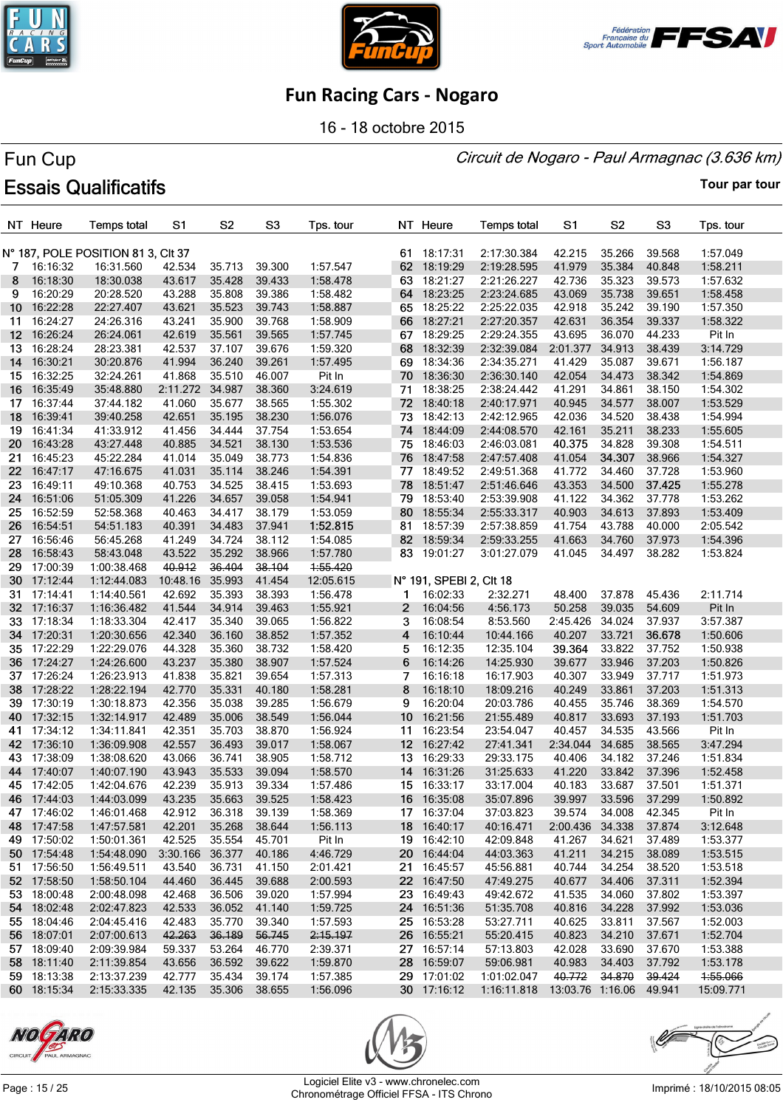





16 - 18 octobre 2015

#### Circuit de Nogaro - Paul Armagnac (3.636 km)

# Fun Cup **Essais Qualificatifs**

|                 | NT Heure    | <b>Temps total</b>                 | S1       | S2            | S <sub>3</sub> | Tps. tour |                 | NT Heure                | <b>Temps total</b>                     | S1              | S <sub>2</sub> | S <sub>3</sub> | Tps. tour |
|-----------------|-------------|------------------------------------|----------|---------------|----------------|-----------|-----------------|-------------------------|----------------------------------------|-----------------|----------------|----------------|-----------|
|                 |             | N° 187, POLE POSITION 81 3, CIt 37 |          |               |                |           |                 | 61 18:17:31             | 2:17:30.384                            | 42.215          | 35.266         | 39.568         | 1:57.049  |
| 7               | 16:16:32    | 16:31.560                          | 42.534   | 35.713        | 39.300         | 1:57.547  |                 | 62 18:19:29             | 2:19:28.595                            | 41.979          | 35.384         | 40.848         | 1:58.211  |
| 8               | 16:18:30    | 18:30.038                          | 43.617   | 35.428        | 39.433         | 1:58.478  |                 | 63 18:21:27             | 2:21:26.227                            | 42.736          | 35.323         | 39.573         | 1:57.632  |
| 9               | 16:20:29    | 20:28.520                          | 43.288   | 35.808        | 39.386         | 1:58.482  |                 | 64 18:23:25             | 2:23:24.685                            | 43.069          | 35.738         | 39.651         | 1:58.458  |
| 10              | 16:22:28    | 22:27.407                          | 43.621   | 35.523        | 39.743         | 1:58.887  |                 | 65 18:25:22             | 2:25:22.035                            | 42.918          | 35.242         | 39.190         | 1:57.350  |
| 11.             | 16:24:27    | 24:26.316                          | 43.241   | 35.900        | 39.768         | 1:58.909  |                 | 66 18:27:21             | 2:27:20.357                            | 42.631          | 36.354         | 39.337         | 1:58.322  |
| 12 <sub>2</sub> | 16:26:24    | 26:24.061                          | 42.619   | 35.561        | 39.565         | 1:57.745  |                 | 67 18:29:25             | 2:29:24.355                            | 43.695          | 36.070         | 44.233         | Pit In    |
| 13.             | 16:28:24    | 28:23.381                          | 42.537   | 37.107        | 39.676         | 1:59.320  |                 | 68 18:32:39             | 2:32:39.084                            | 2:01.377        | 34.913         | 38.439         | 3:14.729  |
| 14              | 16:30:21    | 30:20.876                          | 41.994   | 36.240        | 39.261         | 1:57.495  |                 | 69 18:34:36             | 2:34:35.271                            | 41.429          | 35.087         | 39.671         | 1:56.187  |
| 15              | 16:32:25    | 32:24.261                          | 41.868   | 35.510        | 46.007         | Pit In    |                 | 70 18:36:30             | 2:36:30.140                            | 42.054          | 34.473         | 38.342         | 1:54.869  |
| 16              | 16:35:49    | 35:48.880                          | 2:11.272 | 34.987        | 38.360         | 3:24.619  | 71              | 18:38:25                | 2:38:24.442                            | 41.291          | 34.861         | 38.150         | 1:54.302  |
| 17              | 16:37:44    | 37:44.182                          | 41.060   | 35.677        | 38.565         | 1:55.302  |                 | 72 18:40:18             | 2:40:17.971                            | 40.945          | 34.577         | 38.007         | 1:53.529  |
| 18              | 16:39:41    | 39:40.258                          | 42.651   | 35.195        | 38.230         | 1:56.076  | 73              | 18:42:13                | 2:42:12.965                            | 42.036          | 34.520         | 38.438         | 1:54.994  |
| 19.             | 16:41:34    | 41:33.912                          | 41.456   | 34.444        | 37.754         | 1:53.654  |                 | 74 18:44:09             | 2:44:08.570                            | 42.161          | 35.211         | 38.233         | 1:55.605  |
| 20              | 16:43:28    | 43:27.448                          | 40.885   | 34.521        | 38.130         | 1:53.536  |                 | 75 18:46:03             | 2:46:03.081                            | 40.375          | 34.828         | 39.308         | 1:54.511  |
| 21              | 16:45:23    | 45:22.284                          | 41.014   | 35.049        | 38.773         | 1:54.836  |                 | 76 18:47:58             | 2:47:57.408                            | 41.054          | 34.307         | 38.966         | 1:54.327  |
| 22.             | 16:47:17    | 47:16.675                          | 41.031   | 35.114        | 38.246         | 1:54.391  |                 | 77 18:49:52             | 2:49:51.368                            | 41.772          | 34.460         | 37.728         | 1:53.960  |
| 23              | 16:49:11    | 49:10.368                          | 40.753   | 34.525        | 38.415         | 1:53.693  | 78              | 18:51:47                | 2:51:46.646                            | 43.353          | 34.500         | 37.425         | 1:55.278  |
| 24              | 16:51:06    | 51:05.309                          | 41.226   | 34.657        | 39.058         | 1:54.941  |                 | 79 18:53:40             | 2:53:39.908                            | 41.122          | 34.362         | 37.778         | 1:53.262  |
| 25.             | 16:52:59    | 52:58.368                          | 40.463   | 34.417        | 38.179         | 1:53.059  | 80              | 18:55:34                | 2:55:33.317                            | 40.903          | 34.613         | 37.893         | 1:53.409  |
| 26              | 16:54:51    | 54:51.183                          | 40.391   | 34.483        | 37.941         | 1:52.815  | 81              | 18:57:39                | 2:57:38.859                            | 41.754          | 43.788         | 40.000         | 2:05.542  |
| 27              | 16:56:46    | 56:45.268                          | 41.249   | 34.724        | 38.112         | 1:54.085  | 82              | 18:59:34                | 2:59:33.255                            | 41.663          | 34.760         | 37.973         | 1:54.396  |
| 28.             | 16:58:43    | 58:43.048                          | 43.522   | 35.292        | 38.966         | 1:57.780  |                 | 83 19:01:27             | 3:01:27.079                            | 41.045          | 34.497         | 38.282         | 1:53.824  |
| 29              | 17:00:39    | 1:00:38.468                        | 40.912   | 36.404        | 38.104         | 1:55.420  |                 |                         |                                        |                 |                |                |           |
| 30.             | 17:12:44    | 1:12:44.083                        | 10:48.16 | 35.993        | 41.454         | 12:05.615 |                 | N° 191, SPEBI 2, CIt 18 |                                        |                 |                |                |           |
| 31              | 17:14:41    | 1:14:40.561                        | 42.692   | 35.393        | 38.393         | 1:56.478  | 1               | 16:02:33                | 2:32.271                               | 48.400          | 37.878         | 45.436         | 2:11.714  |
| 32              | 17:16:37    | 1:16:36.482                        | 41.544   | 34.914        | 39.463         | 1:55.921  | 2               | 16:04:56                | 4:56.173                               | 50.258          | 39.035         | 54.609         | Pit In    |
| 33.             | 17:18:34    | 1:18:33.304                        | 42.417   | 35.340        | 39.065         | 1:56.822  | 3               | 16:08:54                | 8:53.560                               | 2:45.426        | 34.024         | 37.937         | 3:57.387  |
| 34              | 17:20:31    | 1:20:30.656                        | 42.340   | 36.160        | 38.852         | 1:57.352  | 4               | 16:10:44                | 10:44.166                              | 40.207          | 33.721         | 36.678         | 1:50.606  |
| 35              | 17:22:29    | 1:22:29.076                        | 44.328   | 35.360        | 38.732         | 1:58.420  | 5               | 16:12:35                | 12:35.104                              | 39.364          | 33.822         | 37.752         | 1:50.938  |
| 36              | 17:24:27    | 1:24:26.600                        | 43.237   | 35.380        | 38.907         | 1:57.524  | 6               | 16:14:26                | 14:25.930                              | 39.677          | 33.946         | 37.203         | 1:50.826  |
| 37              | 17:26:24    | 1:26:23.913                        | 41.838   | 35.821        | 39.654         | 1:57.313  | 7               | 16:16:18                | 16:17.903                              | 40.307          | 33.949         | 37.717         | 1:51.973  |
| 38              | 17:28:22    | 1:28:22.194                        | 42.770   | 35.331        | 40.180         | 1:58.281  | 8               | 16:18:10                | 18:09.216                              | 40.249          | 33.861         | 37.203         | 1:51.313  |
| 39              | 17:30:19    | 1:30:18.873                        | 42.356   | 35.038        | 39.285         | 1:56.679  | 9               | 16:20:04                | 20:03.786                              | 40.455          | 35.746         | 38.369         | 1:54.570  |
| 40.             | 17:32:15    | 1:32:14.917                        | 42.489   | 35.006        | 38.549         | 1:56.044  | 10 <sup>°</sup> | 16:21:56                | 21:55.489                              | 40.817          | 33.693         | 37.193         | 1:51.703  |
| 41              | 17:34:12    | 1:34:11.841                        | 42.351   | 35.703        | 38.870         | 1:56.924  | 11              | 16:23:54                | 23:54.047                              | 40.457          | 34.535         | 43.566         | Pit In    |
|                 | 42 17:36:10 | 1:36:09.908                        | 42.557   | 36.493        | 39.017         | 1:58.067  |                 | 12 16:27:42             | 27:41.341                              | 2:34.044        | 34.685         | 38.565         | 3:47.294  |
|                 | 43 17:38:09 | 1:38:08.620                        | 43.066   | 36.741        | 38.905         | 1:58.712  |                 | 13 16:29:33             | 29:33.175                              | 40.406          | 34.182         | 37.246         | 1:51.834  |
|                 | 44 17:40:07 | 1:40:07.190                        | 43.943   | 35.533        | 39.094         | 1:58.570  |                 | 14 16:31:26             | 31:25.633                              | 41.220          | 33.842         | 37.396         | 1:52.458  |
|                 | 45 17:42:05 | 1:42:04.676                        | 42.239   | 35.913        | 39.334         | 1:57.486  |                 | 15 16:33:17             | 33:17.004                              | 40.183          | 33.687         | 37.501         | 1:51.371  |
|                 | 46 17:44:03 | 1:44:03.099                        | 43.235   | 35.663        | 39.525         | 1:58.423  |                 | 16 16:35:08             | 35:07.896                              | 39.997          | 33.596         | 37.299         | 1:50.892  |
|                 | 47 17:46:02 | 1:46:01.468                        | 42.912   | 36.318        | 39.139         | 1:58.369  |                 | 17 16:37:04             | 37:03.823                              | 39.574          | 34.008         | 42.345         | Pit In    |
|                 | 48 17:47:58 | 1:47:57.581                        | 42.201   | 35.268        | 38.644         | 1:56.113  |                 | 18 16:40:17             | 40:16.471                              | 2:00.436 34.338 |                | 37.874         | 3:12.648  |
|                 | 49 17:50:02 | 1:50:01.361                        | 42.525   | 35.554        | 45.701         | Pit In    |                 | 19 16:42:10             | 42:09.848                              | 41.267          | 34.621         | 37.489         | 1:53.377  |
|                 | 50 17:54:48 | 1:54:48.090                        | 3:30.166 | 36.377        | 40.186         | 4:46.729  |                 | 20 16:44:04             | 44:03.363                              | 41.211          | 34.215         | 38.089         | 1:53.515  |
|                 | 51 17:56:50 | 1:56:49.511                        | 43.540   | 36.731        | 41.150         | 2:01.421  |                 | 21 16:45:57             | 45:56.881                              | 40.744          | 34.254         | 38.520         | 1:53.518  |
|                 | 52 17:58:50 | 1:58:50.104                        | 44.460   | 36.445        | 39.688         | 2:00.593  |                 | 22 16:47:50             | 47:49.275                              | 40.677          | 34.406         | 37.311         | 1:52.394  |
|                 | 53 18:00:48 | 2:00:48.098                        | 42.468   | 36.506        | 39.020         | 1:57.994  |                 | 23 16:49:43             | 49:42.672                              | 41.535          | 34.060         | 37.802         | 1:53.397  |
|                 | 54 18:02:48 | 2:02:47.823                        | 42.533   | 36.052        | 41.140         | 1:59.725  |                 | 24 16:51:36             | 51:35.708                              | 40.816          | 34.228         | 37.992         | 1:53.036  |
|                 | 55 18:04:46 | 2:04:45.416                        | 42.483   | 35.770        | 39.340         | 1:57.593  |                 | 25 16:53:28             | 53:27.711                              | 40.625          | 33.811         | 37.567         | 1:52.003  |
|                 | 56 18:07:01 | 2:07:00.613                        | 42.263   | 36.189        | 56.745         | 2:15.197  |                 | 26 16:55:21             | 55:20.415                              | 40.823          | 34.210         | 37.671         | 1:52.704  |
|                 | 57 18:09:40 | 2:09:39.984                        | 59.337   | 53.264        | 46.770         | 2:39.371  |                 | 27 16:57:14             | 57:13.803                              | 42.028          | 33.690         | 37.670         | 1:53.388  |
|                 | 58 18:11:40 | 2:11:39.854                        | 43.656   | 36.592        | 39.622         | 1:59.870  |                 | 28 16:59:07             | 59:06.981                              | 40.983          | 34.403         | 37.792         | 1:53.178  |
|                 | 59 18:13:38 | 2:13:37.239                        | 42.777   | 35.434        | 39.174         | 1:57.385  |                 | 29 17:01:02             | 1:01:02.047                            | 40.772          | 34.870         | 39.424         | 1:55.066  |
|                 | 60 18:15:34 | 2:15:33.335                        | 42.135   | 35.306 38.655 |                | 1:56.096  |                 | 30 17:16:12             | 1:16:11.818  13:03.76  1:16.06  49.941 |                 |                |                | 15:09.771 |





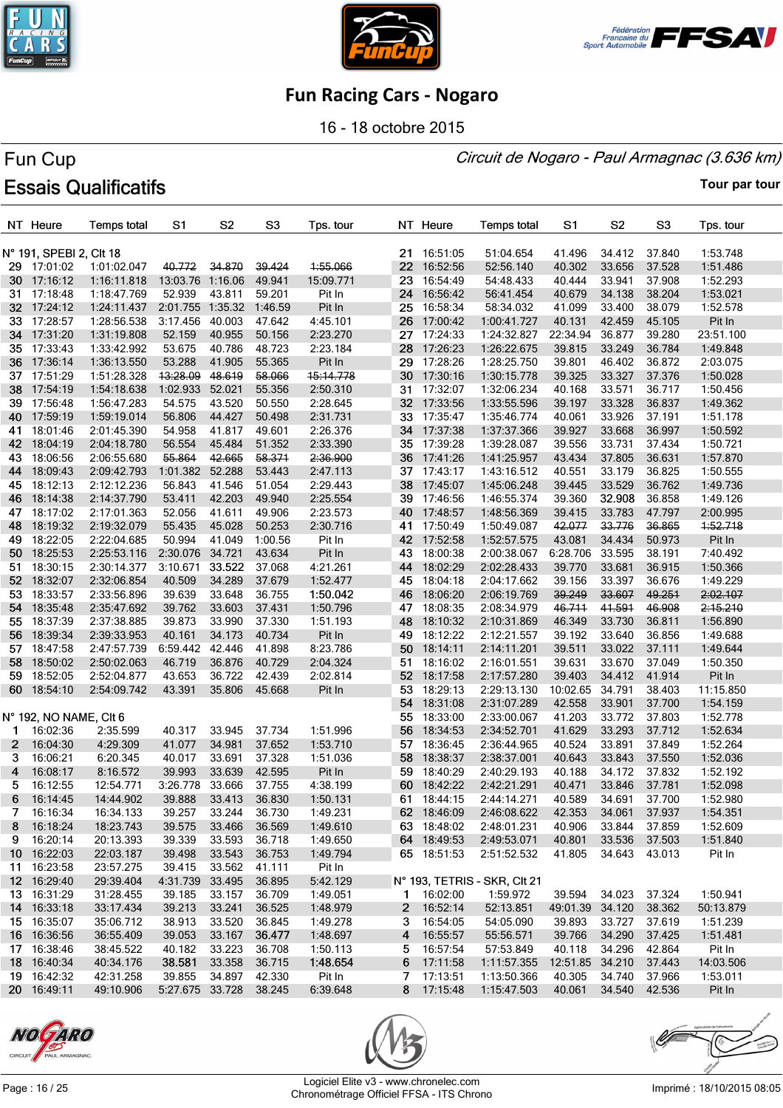





16 - 18 octobre 2015

#### Circuit de Nogaro - Paul Armagnac (3.636 km)

# Fun Cup **Essais Qualificatifs**

**Tour par tour**

|              | NT Heure                   | <b>Temps total</b>     | S1                     | S <sub>2</sub>   | S <sub>3</sub>   | Tps. tour            |                 | NT Heure                 | <b>Temps total</b>           | S1                        | S2            | S3               | Tps. tour             |
|--------------|----------------------------|------------------------|------------------------|------------------|------------------|----------------------|-----------------|--------------------------|------------------------------|---------------------------|---------------|------------------|-----------------------|
|              | N° 191, SPEBI 2, Clt 18    |                        |                        |                  |                  |                      |                 | 21 16:51:05              | 51:04.654                    | 41.496                    | 34.412        | 37.840           | 1:53.748              |
|              | 29 17:01:02                | 1:01:02.047            | 40.772                 | 34.870           | 39.424           | 1:55.066             | 22              | 16:52:56                 | 52:56.140                    | 40.302                    | 33.656        | 37.528           | 1:51.486              |
|              | 30 17:16:12                | 1:16:11.818            | 13:03.76               | 1:16.06          | 49.941           | 15:09.771            | 23.             | 16:54:49                 | 54:48.433                    | 40.444                    | 33.941        | 37.908           | 1:52.293              |
| 31.          | 17:18:48                   | 1:18:47.769            | 52.939                 | 43.811           | 59.201           | Pit In               | 24              | 16:56:42                 | 56:41.454                    | 40.679                    | 34.138        | 38.204           | 1:53.021              |
|              | 32 17:24:12                | 1:24:11.437            | 2:01.755               | 1:35.32          | 1:46.59          | Pit In               | 25              | 16:58:34                 | 58:34.032                    | 41.099                    | 33.400        | 38.079           | 1:52.578              |
|              | 33 17:28:57                | 1:28:56.538            | 3:17.456               | 40.003           | 47.642           | 4:45.101             | 26              | 17:00:42                 | 1:00:41.727                  | 40.131                    | 42.459        | 45.105           | Pit In                |
| 34           | 17:31:20                   | 1:31:19.808            | 52.159                 | 40.955           | 50.156           | 2:23.270             | 27              | 17:24:33                 | 1:24:32.827                  | 22:34.94                  | 36.877        | 39.280           | 23:51.100             |
| 35           | 17:33:43                   | 1:33:42.992            | 53.675                 | 40.786           | 48.723           | 2:23.184             | 28              | 17:26:23                 | 1:26:22.675                  | 39.815                    | 33.249        | 36.784           | 1:49.848              |
| 36           | 17:36:14                   | 1:36:13.550            | 53.288                 | 41.905           | 55.365           | Pit In               | 29              | 17:28:26                 | 1:28:25.750                  | 39.801                    | 46.402        | 36.872           | 2:03.075              |
| 37           | 17:51:29                   | 1:51:28.328            | 13:28.09               | 48.619           | 58.066           | 15:14.778            |                 | 30 17:30:16              | 1:30:15.778                  | 39.325                    | 33.327        | 37.376           | 1:50.028              |
| 38.          | 17:54:19                   | 1:54:18.638            | 1:02.933               | 52.021           | 55.356           | 2:50.310             | 31              | 17:32:07                 | 1:32:06.234                  | 40.168                    | 33.571        | 36.717           | 1:50.456              |
| 39           | 17:56:48                   | 1:56:47.283            | 54.575                 | 43.520           | 50.550           | 2:28.645             |                 | 32 17:33:56              | 1:33:55.596                  | 39.197                    | 33.328        | 36.837           | 1:49.362              |
| 40           | 17:59:19                   | 1:59:19.014            | 56.806                 | 44.427           | 50.498           | 2:31.731             |                 | 33 17:35:47              | 1:35:46.774                  | 40.061                    | 33.926        | 37.191           | 1:51.178              |
| 41           | 18:01:46                   | 2:01:45.390            | 54.958                 | 41.817           | 49.601           | 2:26.376             |                 | 34 17:37:38              | 1:37:37.366                  | 39.927                    | 33.668        | 36.997           | 1:50.592              |
| 42           | 18:04:19                   | 2:04:18.780            | 56.554                 | 45.484           | 51.352           | 2:33.390             |                 | 35 17:39:28              | 1:39:28.087                  | 39.556                    | 33.731        | 37.434           | 1:50.721              |
| 43           | 18:06:56                   | 2:06:55.680            | 55.864                 | 42.665           | 58.371           | 2.36.900             |                 | 36 17:41:26              | 1:41:25.957                  | 43.434                    | 37.805        | 36.631           | 1:57.870              |
| 44           | 18:09:43                   | 2:09:42.793            | 1:01.382               | 52.288           | 53.443           | 2:47.113             |                 | 37 17:43:17              | 1:43:16.512                  | 40.551                    | 33.179        | 36.825           | 1:50.555              |
| 45           | 18:12:13                   | 2:12:12.236            | 56.843                 | 41.546           | 51.054           | 2:29.443             | 38              | 17:45:07                 | 1:45:06.248                  | 39.445                    | 33.529        | 36.762           | 1:49.736              |
| 46           | 18:14:38                   | 2:14:37.790            | 53.411                 | 42.203           | 49.940           | 2:25.554             | 39              | 17:46:56                 | 1:46:55.374                  | 39.360                    | 32.908        | 36.858           | 1:49.126              |
| 47           | 18:17:02                   | 2:17:01.363            | 52.056                 | 41.611           | 49.906           | 2:23.573             |                 | 40 17:48:57              | 1:48:56.369                  | 39.415                    | 33.783        | 47.797           | 2:00.995              |
| 48           | 18:19:32                   | 2:19:32.079            | 55.435                 | 45.028           | 50.253           | 2:30.716             |                 | 41 17:50:49              | 1:50:49.087                  | 42.077                    | 33.776        | 36.865           | 4:52.718              |
| 49           | 18:22:05                   | 2:22:04.685            | 50.994                 | 41.049           | 1:00.56          | Pit In               |                 | 42 17:52:58              | 1:52:57.575                  | 43.081                    | 34.434        | 50.973           | Pit In                |
| 50           | 18:25:53                   | 2:25:53.116            | 2:30.076               | 34.721           | 43.634           | Pit In               | 43              | 18:00:38                 | 2:00:38.067                  | 6:28.706                  | 33.595        | 38.191           | 7:40.492              |
| 51.          | 18:30:15                   | 2:30:14.377            | 3:10.671               | 33.522           | 37.068           | 4:21.261             | 44              | 18:02:29                 | 2:02:28.433                  | 39.770                    | 33.681        | 36.915           | 1:50.366              |
| 52           | 18:32:07                   | 2:32:06.854            | 40.509                 | 34.289           | 37.679           | 1:52.477             |                 | 45 18:04:18              | 2:04:17.662                  | 39.156                    | 33.397        | 36.676           | 1:49.229              |
| 53.          | 18:33:57                   | 2:33:56.896            | 39.639                 | 33.648           | 36.755           | 1:50.042             | 46              | 18:06:20                 | 2:06:19.769                  | 39.249                    | 33.607        | 49.251           | 2:02.107              |
| 54           | 18:35:48                   | 2:35:47.692            | 39.762                 | 33.603           | 37.431           | 1:50.796             | 47              | 18:08:35                 | 2:08:34.979                  | 46.711                    | 41.591        | 46.908           | 2:15.210              |
| 55.          | 18:37:39                   | 2:37:38.885            | 39.873                 | 33.990           | 37.330           | 1:51.193             | 48              | 18:10:32                 | 2:10:31.869                  | 46.349                    | 33.730        | 36.811           | 1:56.890              |
| 56.          | 18:39:34                   | 2:39:33.953            | 40.161                 | 34.173           | 40.734           | Pit In               | 49              | 18:12:22                 | 2:12:21.557                  | 39.192                    | 33.640        | 36.856           | 1:49.688              |
| 57.          | 18:47:58                   | 2:47:57.739            | 6:59.442               | 42.446           | 41.898           | 8:23.786             | 50              | 18:14:11                 | 2:14:11.201                  | 39.511                    | 33.022        | 37.111           | 1:49.644              |
| 58           | 18:50:02                   | 2:50:02.063            | 46.719                 | 36.876           | 40.729           | 2:04.324             | 51              | 18:16:02                 | 2:16:01.551                  | 39.631                    | 33.670        | 37.049           | 1:50.350              |
| 59.          | 18:52:05                   | 2:52:04.877            | 43.653                 | 36.722           | 42.439           | 2:02.814             | 52 <sub>2</sub> | 18:17:58                 | 2:17:57.280                  | 39.403                    | 34.412        | 41.914           | Pit In                |
| 60           | 18:54:10                   | 2:54:09.742            | 43.391                 | 35.806           | 45.668           | Pit In               | 53              | 18:29:13                 | 2:29:13.130                  | 10:02.65 34.791           |               | 38.403           | 11:15.850             |
|              |                            |                        |                        |                  |                  |                      | 54              | 18:31:08                 | 2:31:07.289                  | 42.558                    | 33.901        | 37.700           | 1:54.159              |
|              | N° 192, NO NAME, CIt 6     |                        |                        |                  |                  |                      | 55              | 18:33:00                 | 2:33:00.067                  | 41.203                    | 33.772        | 37.803           | 1:52.778              |
| 1            | 16:02:36                   | 2:35.599               | 40.317                 | 33.945           | 37.734           | 1:51.996             | 56              | 18:34:53                 | 2:34:52.701                  | 41.629                    | 33.293        | 37.712           | 1:52.634              |
| $\mathbf{2}$ | 16:04:30                   | 4:29.309               | 41.077                 | 34.981           | 37.652           | 1:53.710             |                 | 57 18:36:45              | 2:36:44.965                  | 40.524                    | 33.891        | 37.849           | 1:52.264              |
| 3            | 16:06:21                   | 6:20.345               | 40.017                 | 33.691           | 37.328           | 1:51.036             | 58              | 18:38:37                 | 2:38:37.001                  | 40.643                    | 33.843        | 37.550           | 1:52.036              |
| 4            | 16:08:17                   | 8:16.572               | 39.993                 | 33.639           | 42.595           | Pit In               |                 | 59 18:40:29              | 2:40:29.193                  | 40.188                    | 34.172        | 37.832           | 1:52.192              |
| 5            | 16:12:55                   | 12:54.771              | 3:26.778               | 33.666           | 37.755           | 4:38.199             |                 | 60 18:42:22              | 2:42:21.291                  | 40.471                    | 33.846        | 37.781           | 1:52.098              |
|              | 6 16:14:45                 | 14:44.902              | 39.888                 | 33.413           | 36.830           | 1:50.131             |                 | 61 18:44:15              | 2:44:14.271                  | 40.589                    | 34.691 37.700 |                  | 1:52.980              |
|              | 7 16:16:34                 | 16:34.133              | 39.257                 | 33.244           | 36.730           | 1:49.231             |                 | 62 18:46:09              | 2:46:08.622                  | 42.353                    | 34.061        | 37.937           | 1:54.351              |
| 8.           | 16:18:24                   | 18:23.743              | 39.575                 | 33.466           | 36.569           | 1:49.610             |                 | 63 18:48:02              | 2:48:01.231                  | 40.906                    | 33.844        | 37.859           | 1:52.609              |
|              | 9 16:20:14                 | 20:13.393              | 39.339                 | 33.593           | 36.718           | 1:49.650             |                 | 64 18:49:53              | 2:49:53.071                  | 40.801                    | 33.536        | 37.503           | 1:51.840              |
|              | 10 16:22:03                | 22:03.187              | 39.498                 | 33.543<br>33.562 | 36.753           | 1:49.794             |                 | 65 18:51:53              | 2:51:52.532                  | 41.805                    | 34.643        | 43.013           | Pit In                |
|              | 11 16:23:58<br>12 16:29:40 | 23:57.275              | 39.415                 |                  | 41.111           | Pit In               |                 |                          | N° 193, TETRIS - SKR, CIt 21 |                           |               |                  |                       |
|              |                            | 29:39.404              | 4:31.739               | 33.495<br>33.157 | 36.895<br>36.709 | 5:42.129             |                 | 1 16:02:00               |                              | 39.594 34.023             |               |                  |                       |
|              | 13 16:31:29                | 31:28.455              | 39.185                 |                  |                  | 1:49.051             |                 |                          | 1:59.972<br>52:13.851        |                           |               | 37.324           | 1:50.941              |
|              | 14 16:33:18<br>15 16:35:07 | 33:17.434<br>35:06.712 | 39.213<br>38.913       | 33.241<br>33.520 | 36.525<br>36.845 | 1:48.979<br>1:49.278 |                 | 2 16:52:14<br>3 16:54:05 | 54:05.090                    | 49:01.39 34.120<br>39.893 | 33.727        | 38.362<br>37.619 | 50:13.879<br>1:51.239 |
|              | 16 16:36:56                | 36:55.409              | 39.053                 | 33.167           | 36.477           | 1:48.697             |                 | 4 16:55:57               | 55:56.571                    | 39.766                    | 34.290        | 37.425           | 1:51.481              |
|              | 17 16:38:46                | 38:45.522              | 40.182                 | 33.223           | 36.708           | 1:50.113             |                 | 5 16:57:54               | 57:53.849                    | 40.118                    | 34.296        | 42.864           | Pit In                |
|              | 18 16:40:34                | 40:34.176              | 38.581                 | 33.358           | 36.715           | 1:48.654             |                 | 6 17:11:58               | 1:11:57.355                  | 12:51.85 34.210           |               | 37.443           | 14:03.506             |
|              | 19 16:42:32                | 42:31.258              | 39.855                 | 34.897 42.330    |                  | Pit In               |                 | $7$ 17:13:51             | 1:13:50.366                  | 40.305                    | 34.740        | 37.966           | 1:53.011              |
|              | 20 16:49:11                | 49:10.906              | 5:27.675 33.728 38.245 |                  |                  | 6:39.648             |                 | 8 17:15:48               | 1:15:47.503                  | 40.061                    | 34.540 42.536 |                  | Pit In                |
|              |                            |                        |                        |                  |                  |                      |                 |                          |                              |                           |               |                  |                       |







Page : 16 / 25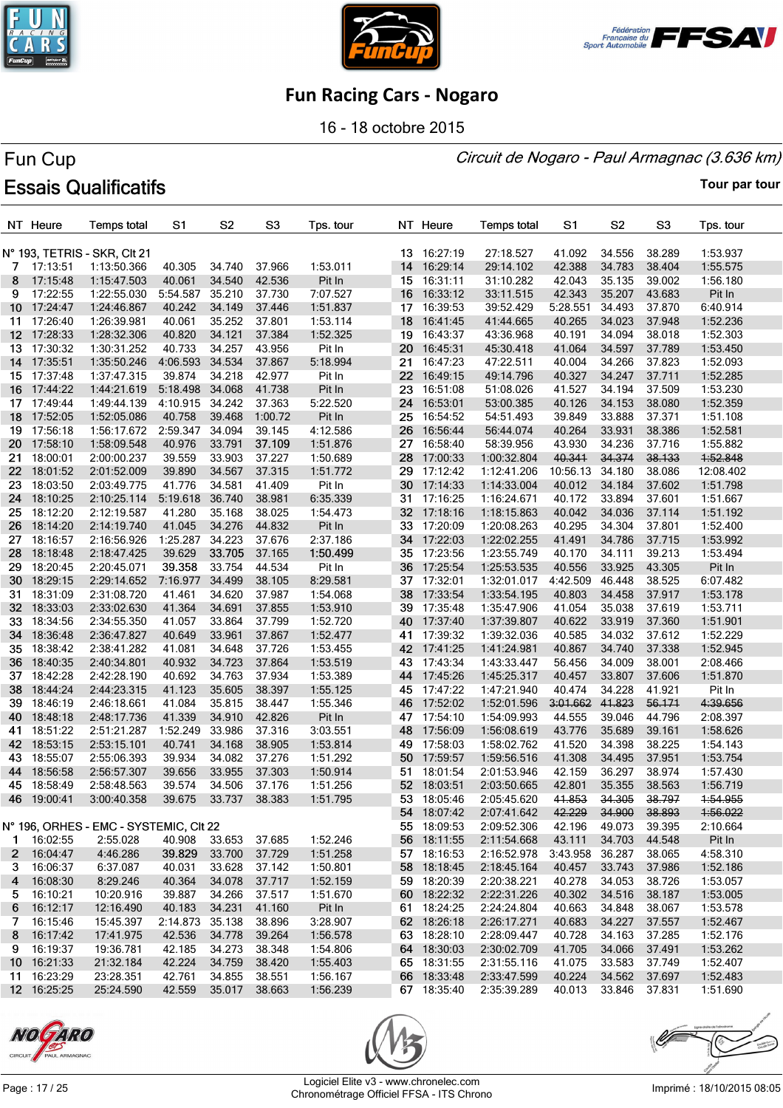





16 - 18 octobre 2015

#### Circuit de Nogaro - Paul Armagnac (3.636 km)

# Fun Cup **Essais Qualificatifs**

|                 | NT Heure    | <b>Temps total</b>                     | S1       | S <sub>2</sub> | S <sub>3</sub> | Tps. tour |                 | NT Heure    | <b>Temps total</b> | S1              | S <sub>2</sub> | S <sub>3</sub> | Tps. tour |
|-----------------|-------------|----------------------------------------|----------|----------------|----------------|-----------|-----------------|-------------|--------------------|-----------------|----------------|----------------|-----------|
|                 |             |                                        |          |                |                |           |                 |             |                    |                 |                |                |           |
|                 |             | N° 193, TETRIS - SKR, CIt 21           |          |                |                |           |                 | 13 16:27:19 | 27:18.527          | 41.092          | 34.556         | 38.289         | 1:53.937  |
| 7.              | 17:13:51    | 1:13:50.366                            | 40.305   | 34.740         | 37.966         | 1:53.011  | 14              | 16:29:14    | 29:14.102          | 42.388          | 34.783         | 38.404         | 1:55.575  |
| 8               | 17:15:48    | 1:15:47.503                            | 40.061   | 34.540         | 42.536         | Pit In    |                 | 15 16:31:11 | 31:10.282          | 42.043          | 35.135         | 39.002         | 1:56.180  |
| 9               | 17:22:55    | 1:22:55.030                            | 5:54.587 | 35.210         | 37.730         | 7:07.527  |                 | 16 16:33:12 | 33:11.515          | 42.343          | 35.207         | 43.683         | Pit In    |
| 10 <sup>1</sup> | 17:24:47    | 1:24:46.867                            | 40.242   | 34.149         | 37.446         | 1:51.837  |                 | 17 16:39:53 | 39:52.429          | 5:28.551        | 34.493         | 37.870         | 6:40.914  |
| 11.             | 17:26:40    | 1:26:39.981                            | 40.061   | 35.252         | 37.801         | 1:53.114  | 18 <sup>1</sup> | 16:41:45    | 41:44.665          | 40.265          | 34.023         | 37.948         | 1:52.236  |
| 12 <sup>2</sup> | 17:28:33    | 1:28:32.306                            | 40.820   | 34.121         | 37.384         | 1:52.325  | 19              | 16:43:37    | 43:36.968          | 40.191          | 34.094         | 38.018         | 1:52.303  |
|                 | 13 17:30:32 | 1:30:31.252                            | 40.733   | 34.257         | 43.956         | Pit In    | 20              | 16:45:31    | 45:30.418          | 41.064          | 34.597         | 37.789         | 1:53.450  |
| 14              | 17:35:51    | 1:35:50.246                            | 4:06.593 | 34.534         | 37.867         | 5:18.994  |                 | 21 16:47:23 | 47:22.511          | 40.004          | 34.266         | 37.823         | 1:52.093  |
| 15              | 17:37:48    | 1:37:47.315                            | 39.874   | 34.218         | 42.977         | Pit In    |                 | 22 16:49:15 | 49:14.796          | 40.327          | 34.247         | 37.711         | 1:52.285  |
| 16              | 17:44:22    | 1:44:21.619                            | 5:18.498 | 34.068         | 41.738         | Pit In    | 23              | 16:51:08    | 51:08.026          | 41.527          | 34.194         | 37.509         | 1:53.230  |
| 17              | 17:49:44    | 1:49:44.139                            | 4:10.915 | 34.242         | 37.363         | 5:22.520  |                 | 24 16:53:01 | 53:00.385          | 40.126          | 34.153         | 38.080         | 1:52.359  |
| 18              | 17:52:05    | 1:52:05.086                            | 40.758   | 39.468         | 1:00.72        | Pit In    | 25              | 16:54:52    | 54:51.493          | 39.849          | 33.888         | 37.371         | 1:51.108  |
| 19              | 17:56:18    | 1:56:17.672                            | 2:59.347 | 34.094         | 39.145         | 4:12.586  | 26              | 16:56:44    | 56:44.074          | 40.264          | 33.931         | 38.386         | 1:52.581  |
| 20              | 17:58:10    | 1:58:09.548                            | 40.976   | 33.791         | 37.109         | 1:51.876  | 27              | 16:58:40    | 58:39.956          | 43.930          | 34.236         | 37.716         | 1:55.882  |
| 21              | 18:00:01    | 2:00:00.237                            | 39.559   | 33.903         | 37.227         | 1:50.689  | 28              | 17:00:33    | 1:00:32.804        | 40.341          | 34.374         | 38.133         | 1:52.848  |
| 22.             | 18:01:52    | 2:01:52.009                            | 39.890   | 34.567         | 37.315         | 1:51.772  | 29              | 17:12:42    | 1:12:41.206        | 10:56.13        | 34.180         | 38.086         | 12:08.402 |
|                 | 18:03:50    |                                        | 41.776   | 34.581         | 41.409         |           | 30              |             | 1:14:33.004        | 40.012          | 34.184         | 37.602         | 1:51.798  |
| 23              | 18:10:25    | 2:03:49.775                            |          | 36.740         |                | Pit In    | 31              | 17:14:33    |                    |                 | 33.894         |                |           |
| 24              |             | 2:10:25.114                            | 5:19.618 |                | 38.981         | 6:35.339  |                 | 17:16:25    | 1:16:24.671        | 40.172          |                | 37.601         | 1:51.667  |
| 25              | 18:12:20    | 2:12:19.587                            | 41.280   | 35.168         | 38.025         | 1:54.473  |                 | 32 17:18:16 | 1:18:15.863        | 40.042          | 34.036         | 37.114         | 1:51.192  |
| 26              | 18:14:20    | 2:14:19.740                            | 41.045   | 34.276         | 44.832         | Pit In    | 33              | 17:20:09    | 1:20:08.263        | 40.295          | 34.304         | 37.801         | 1:52.400  |
| 27              | 18:16:57    | 2:16:56.926                            | 1:25.287 | 34.223         | 37.676         | 2:37.186  | 34              | 17:22:03    | 1:22:02.255        | 41.491          | 34.786         | 37.715         | 1:53.992  |
| 28              | 18:18:48    | 2:18:47.425                            | 39.629   | 33.705         | 37.165         | 1:50.499  |                 | 35 17:23:56 | 1:23:55.749        | 40.170          | 34.111         | 39.213         | 1:53.494  |
| 29              | 18:20:45    | 2:20:45.071                            | 39.358   | 33.754         | 44.534         | Pit In    |                 | 36 17:25:54 | 1:25:53.535        | 40.556          | 33.925         | 43.305         | Pit In    |
| 30              | 18:29:15    | 2:29:14.652                            | 7:16.977 | 34.499         | 38.105         | 8:29.581  |                 | 37 17:32:01 | 1:32:01.017        | 4:42.509        | 46.448         | 38.525         | 6:07.482  |
| 31              | 18:31:09    | 2:31:08.720                            | 41.461   | 34.620         | 37.987         | 1:54.068  | 38              | 17:33:54    | 1:33:54.195        | 40.803          | 34.458         | 37.917         | 1:53.178  |
| 32              | 18:33:03    | 2:33:02.630                            | 41.364   | 34.691         | 37.855         | 1:53.910  |                 | 39 17:35:48 | 1:35:47.906        | 41.054          | 35.038         | 37.619         | 1:53.711  |
| 33.             | 18:34:56    | 2:34:55.350                            | 41.057   | 33.864         | 37.799         | 1:52.720  |                 | 40 17:37:40 | 1:37:39.807        | 40.622          | 33.919         | 37.360         | 1:51.901  |
| 34              | 18:36:48    | 2:36:47.827                            | 40.649   | 33.961         | 37.867         | 1:52.477  | 41              | 17:39:32    | 1:39:32.036        | 40.585          | 34.032         | 37.612         | 1:52.229  |
| 35              | 18:38:42    | 2:38:41.282                            | 41.081   | 34.648         | 37.726         | 1:53.455  |                 | 42 17:41:25 | 1:41:24.981        | 40.867          | 34.740         | 37.338         | 1:52.945  |
| 36              | 18:40:35    | 2:40:34.801                            | 40.932   | 34.723         | 37.864         | 1:53.519  |                 | 43 17:43:34 | 1:43:33.447        | 56.456          | 34.009         | 38.001         | 2:08.466  |
| 37              | 18:42:28    | 2:42:28.190                            | 40.692   | 34.763         | 37.934         | 1:53.389  |                 | 44 17:45:26 | 1:45:25.317        | 40.457          | 33.807         | 37.606         | 1:51.870  |
| 38              | 18:44:24    | 2:44:23.315                            | 41.123   | 35.605         | 38.397         | 1:55.125  | 45              | 17:47:22    | 1:47:21.940        | 40.474          | 34.228         | 41.921         | Pit In    |
| 39              | 18:46:19    | 2:46:18.661                            | 41.084   | 35.815         | 38.447         | 1:55.346  |                 | 46 17:52:02 | 1:52:01.596        | 3:01.662        | 41.823         | 56.171         | 4:39.656  |
| 40              | 18:48:18    | 2:48:17.736                            | 41.339   | 34.910         | 42.826         | Pit In    |                 | 47 17:54:10 | 1:54:09.993        | 44.555          | 39.046         | 44.796         | 2:08.397  |
| 41              | 18:51:22    | 2:51:21.287                            | 1:52.249 | 33.986         | 37.316         | 3:03.551  | 48              | 17:56:09    | 1:56:08.619        | 43.776          | 35.689         | 39.161         | 1:58.626  |
| 42              | 18:53:15    | 2:53:15.101                            | 40.741   | 34.168         | 38.905         | 1:53.814  | 49              | 17:58:03    | 1:58:02.762        | 41.520          | 34.398         | 38.225         | 1:54.143  |
| 43.             | 18:55:07    | 2:55:06.393                            | 39.934   | 34.082         | 37.276         | 1:51.292  |                 | 50 17:59:57 | 1:59:56.516        | 41.308          | 34.495         | 37.951         | 1:53.754  |
| 44              | 18:56:58    | 2:56:57.307                            | 39.656   | 33.955         | 37.303         | 1:50.914  | 51              | 18:01:54    | 2:01:53.946        | 42.159          | 36.297         | 38.974         | 1:57.430  |
| 45              | 18:58:49    | 2:58:48.563                            | 39.574   | 34.506         | 37.176         | 1:51.256  |                 | 52 18:03:51 | 2:03:50.665        | 42.801          | 35.355         | 38.563         | 1:56.719  |
|                 | 46 19:00:41 | 3:00:40.358                            | 39.675   | 33.737         | 38.383         | 1:51.795  |                 | 53 18:05:46 | 2:05:45.620        | 41.853          | 34.305         | 38.797         | 1:54.955  |
|                 |             |                                        |          |                |                |           |                 | 54 18:07:42 | 2:07:41.642        | 42.229          | 34.900         | 38.893         | 4:56.022  |
|                 |             | N° 196, ORHES - EMC - SYSTEMIC, CIt 22 |          |                |                |           |                 | 55 18:09:53 | 2:09:52.306        | 42.196          | 49.073         | 39.395         | 2:10.664  |
|                 | 1 16:02:55  | 2:55.028                               | 40.908   | 33.653         | 37.685         | 1:52.246  |                 | 56 18:11:55 | 2:11:54.668        | 43.111          | 34.703         | 44.548         | Pit In    |
|                 | 2 16:04:47  |                                        |          |                | 37.729         |           |                 | 57 18:16:53 | 2:16:52.978        | 3:43.958 36.287 |                | 38.065         | 4:58.310  |
|                 |             | 4:46.286                               | 39.829   | 33.700         |                | 1:51.258  |                 |             |                    |                 |                |                |           |
| 3.              | 16:06:37    | 6:37.087                               | 40.031   | 33.628         | 37.142         | 1:50.801  |                 | 58 18:18:45 | 2:18:45.164        | 40.457          | 33.743         | 37.986         | 1:52.186  |
| 4               | 16:08:30    | 8:29.246                               | 40.364   | 34.078         | 37.717         | 1:52.159  |                 | 59 18:20:39 | 2:20:38.221        | 40.278          | 34.053         | 38.726         | 1:53.057  |
| 5.              | 16:10:21    | 10:20.916                              | 39.887   | 34.266         | 37.517         | 1:51.670  |                 | 60 18:22:32 | 2:22:31.226        | 40.302          | 34.516         | 38.187         | 1:53.005  |
| 6               | 16:12:17    | 12:16.490                              | 40.183   | 34.231         | 41.160         | Pit In    |                 | 61 18:24:25 | 2:24:24.804        | 40.663          | 34.848         | 38.067         | 1:53.578  |
| 7               | 16:15:46    | 15:45.397                              | 2:14.873 | 35.138         | 38.896         | 3:28.907  |                 | 62 18:26:18 | 2:26:17.271        | 40.683          | 34.227         | 37.557         | 1:52.467  |
| 8               | 16:17:42    | 17:41.975                              | 42.536   | 34.778         | 39.264         | 1:56.578  |                 | 63 18:28:10 | 2:28:09.447        | 40.728          | 34.163         | 37.285         | 1:52.176  |
| 9.              | 16:19:37    | 19:36.781                              | 42.185   | 34.273         | 38.348         | 1:54.806  |                 | 64 18:30:03 | 2:30:02.709        | 41.705          | 34.066         | 37.491         | 1:53.262  |
|                 | 10 16:21:33 | 21:32.184                              | 42.224   | 34.759         | 38.420         | 1:55.403  |                 | 65 18:31:55 | 2:31:55.116        | 41.075          | 33.583         | 37.749         | 1:52.407  |
|                 | 11 16:23:29 | 23:28.351                              | 42.761   | 34.855         | 38.551         | 1:56.167  |                 | 66 18:33:48 | 2:33:47.599        | 40.224          | 34.562         | 37.697         | 1:52.483  |
|                 | 12 16:25:25 | 25:24.590                              | 42.559   | 35.017 38.663  |                | 1:56.239  |                 | 67 18:35:40 | 2:35:39.289        | 40.013          | 33.846 37.831  |                | 1:51.690  |





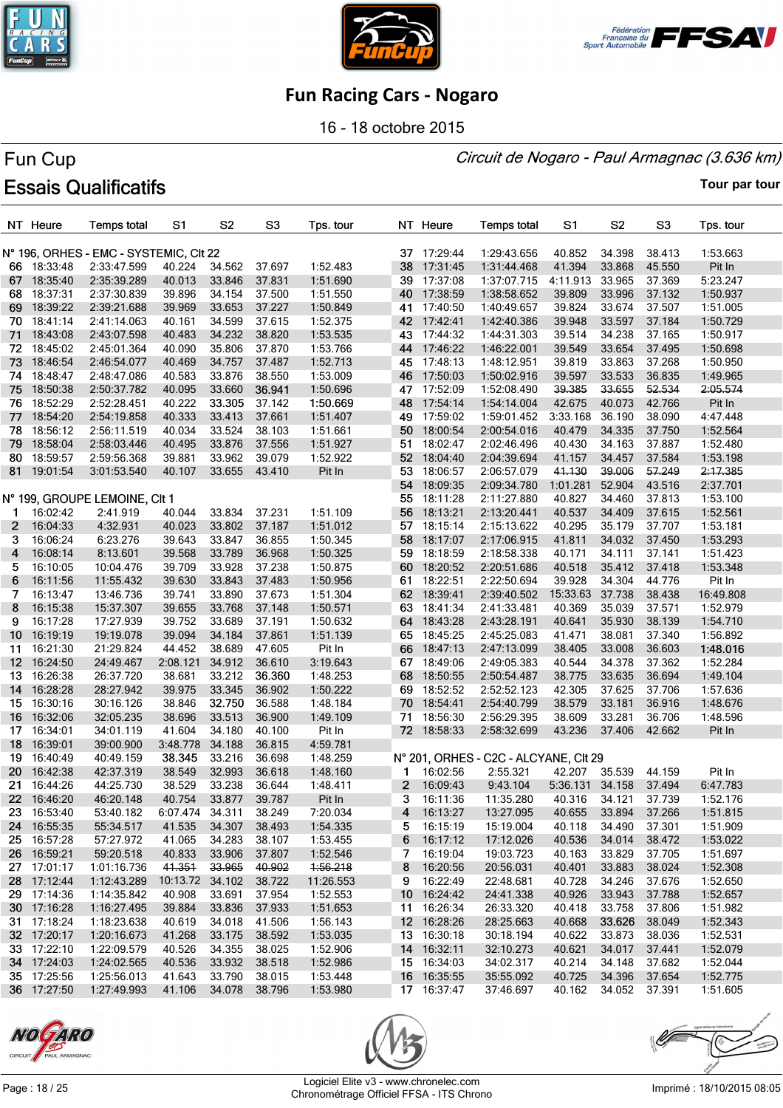





16 - 18 octobre 2015

#### Circuit de Nogaro - Paul Armagnac (3.636 km)

# Fun Cup **Essais Qualificatifs**

|                  | NT Heure    | <b>Temps total</b>                     | S <sub>1</sub>  | S <sub>2</sub> | S <sub>3</sub> | Tps. tour |       | NT Heure                   | <b>Temps total</b>                    | S1              | S <sub>2</sub> | S <sub>3</sub>   | Tps. tour |
|------------------|-------------|----------------------------------------|-----------------|----------------|----------------|-----------|-------|----------------------------|---------------------------------------|-----------------|----------------|------------------|-----------|
|                  |             | N° 196, ORHES - EMC - SYSTEMIC, CIt 22 |                 |                |                |           |       | 37 17:29:44                | 1:29:43.656                           | 40.852          | 34.398         | 38.413           | 1:53.663  |
|                  | 66 18:33:48 | 2:33:47.599                            | 40.224          | 34.562         | 37.697         | 1:52.483  |       | 38 17:31:45                | 1:31:44.468                           | 41.394          | 33.868         | 45.550           | Pit In    |
| 67.              | 18:35:40    | 2:35:39.289                            | 40.013          | 33.846         | 37.831         | 1:51.690  | 39    | 17:37:08                   | 1:37:07.715                           | 4:11.913        | 33.965         | 37.369           | 5:23.247  |
| 68.              | 18:37:31    | 2:37:30.839                            | 39.896          | 34.154         | 37.500         | 1:51.550  |       | 40 17:38:59                | 1:38:58.652                           | 39.809          | 33.996         | 37.132           | 1:50.937  |
|                  | 69 18:39:22 | 2:39:21.688                            | 39.969          | 33.653         | 37.227         | 1:50.849  |       | 41 17:40:50                | 1:40:49.657                           | 39.824          | 33.674         | 37.507           | 1:51.005  |
|                  | 70 18:41:14 | 2:41:14.063                            | 40.161          | 34.599         | 37.615         | 1:52.375  |       | 42 17:42:41                | 1:42:40.386                           | 39.948          | 33.597         | 37.184           | 1:50.729  |
| 71.              | 18:43:08    | 2:43:07.598                            | 40.483          | 34.232         | 38.820         | 1:53.535  |       | 43 17:44:32                | 1:44:31.303                           | 39.514          | 34.238         | 37.165           | 1:50.917  |
|                  | 72 18:45:02 | 2:45:01.364                            | 40.090          | 35.806         | 37.870         | 1:53.766  |       | 44 17:46:22                | 1:46:22.001                           | 39.549          | 33.654         | 37.495           | 1:50.698  |
| 73.              | 18:46:54    | 2:46:54.077                            | 40.469          | 34.757         | 37.487         | 1:52.713  |       | 45 17:48:13                | 1:48:12.951                           | 39.819          | 33.863         | 37.268           | 1:50.950  |
| 74               | 18:48:47    | 2:48:47.086                            | 40.583          | 33.876         | 38.550         | 1:53.009  | 46    | 17:50:03                   | 1:50:02.916                           | 39.597          | 33.533         | 36.835           | 1:49.965  |
| 75.              | 18:50:38    | 2:50:37.782                            | 40.095          | 33.660         | 36.941         | 1:50.696  |       | 47 17:52:09                | 1:52:08.490                           | 39.385          | 33.655         | 52.534           | 2:05.574  |
|                  | 76 18:52:29 | 2:52:28.451                            | 40.222          | 33.305         | 37.142         | 1:50.669  | 48    | 17:54:14                   | 1:54:14.004                           | 42.675          | 40.073         | 42.766           | Pit In    |
| 77               | 18:54:20    | 2:54:19.858                            | 40.333          | 33.413         | 37.661         | 1:51.407  | 49    | 17:59:02                   | 1:59:01.452                           | 3:33.168        | 36.190         | 38.090           | 4:47.448  |
| 78               | 18:56:12    | 2:56:11.519                            | 40.034          | 33.524         | 38.103         | 1:51.661  | 50    | 18:00:54                   | 2:00:54.016                           | 40.479          | 34.335         | 37.750           | 1:52.564  |
| 79               | 18:58:04    | 2:58:03.446                            | 40.495          | 33.876         | 37.556         | 1:51.927  |       | 51 18:02:47                | 2:02:46.496                           | 40.430          | 34.163         | 37.887           | 1:52.480  |
| 80.              | 18:59:57    | 2:59:56.368                            | 39.881          | 33.962         | 39.079         | 1:52.922  |       | 52 18:04:40                | 2:04:39.694                           | 41.157          | 34.457         | 37.584           | 1:53.198  |
|                  |             |                                        |                 |                |                |           |       | 53 18:06:57                | 2:06:57.079                           | 41.130          | 39.006         | 57.249           |           |
|                  | 81 19:01:54 | 3:01:53.540                            | 40.107          | 33.655         | 43.410         | Pit In    |       |                            |                                       |                 |                |                  | 2:17.385  |
|                  |             |                                        |                 |                |                |           |       | 54 18:09:35<br>55 18:11:28 | 2:09:34.780                           | 1:01.281        | 52.904         | 43.516<br>37.813 | 2:37.701  |
|                  |             | N° 199, GROUPE LEMOINE, CIt 1          |                 | 33.834         |                |           |       |                            | 2:11:27.880                           | 40.827          | 34.460         |                  | 1:53.100  |
| $\mathbf 1$      | 16:02:42    | 2:41.919                               | 40.044          |                | 37.231         | 1:51.109  |       | 56 18:13:21                | 2:13:20.441                           | 40.537          | 34.409         | 37.615           | 1:52.561  |
| $\mathbf{2}$     | 16:04:33    | 4:32.931                               | 40.023          | 33.802         | 37.187         | 1:51.012  |       | 57 18:15:14                | 2:15:13.622                           | 40.295          | 35.179         | 37.707           | 1:53.181  |
| 3                | 16:06:24    | 6:23.276                               | 39.643          | 33.847         | 36.855         | 1:50.345  |       | 58 18:17:07                | 2:17:06.915                           | 41.811          | 34.032         | 37.450           | 1:53.293  |
| 4                | 16:08:14    | 8:13.601                               | 39.568          | 33.789         | 36.968         | 1:50.325  |       | 59 18:18:59                | 2:18:58.338                           | 40.171          | 34.111         | 37.141           | 1:51.423  |
| 5.               | 16:10:05    | 10:04.476                              | 39.709          | 33.928         | 37.238         | 1:50.875  |       | 60 18:20:52                | 2:20:51.686                           | 40.518          | 35.412         | 37.418           | 1:53.348  |
| 6                | 16:11:56    | 11:55.432                              | 39.630          | 33.843         | 37.483         | 1:50.956  | 61    | 18:22:51                   | 2:22:50.694                           | 39.928          | 34.304         | 44.776           | Pit In    |
| 7                | 16:13:47    | 13:46.736                              | 39.741          | 33.890         | 37.673         | 1:51.304  |       | 62 18:39:41                | 2:39:40.502                           | 15:33.63 37.738 |                | 38.438           | 16:49.808 |
| 8                | 16:15:38    | 15:37.307                              | 39.655          | 33.768         | 37.148         | 1:50.571  |       | 63 18:41:34                | 2:41:33.481                           | 40.369          | 35.039         | 37.571           | 1:52.979  |
| 9                | 16:17:28    | 17:27.939                              | 39.752          | 33.689         | 37.191         | 1:50.632  |       | 64 18:43:28                | 2:43:28.191                           | 40.641          | 35.930         | 38.139           | 1:54.710  |
| 10 <sup>1</sup>  | 16:19:19    | 19:19.078                              | 39.094          | 34.184         | 37.861         | 1:51.139  |       | 65 18:45:25                | 2:45:25.083                           | 41.471          | 38.081         | 37.340           | 1:56.892  |
| 11               | 16:21:30    | 21:29.824                              | 44.452          | 38.689         | 47.605         | Pit In    |       | 66 18:47:13                | 2:47:13.099                           | 38.405          | 33.008         | 36.603           | 1:48.016  |
| 12 <sup>12</sup> | 16:24:50    | 24:49.467                              | 2:08.121        | 34.912         | 36.610         | 3:19.643  |       | 67 18:49:06                | 2:49:05.383                           | 40.544          | 34.378         | 37.362           | 1:52.284  |
| 13.              | 16:26:38    | 26:37.720                              | 38.681          | 33.212         | 36.360         | 1:48.253  | 68    | 18:50:55                   | 2:50:54.487                           | 38.775          | 33.635         | 36.694           | 1:49.104  |
| 14               | 16:28:28    | 28:27.942                              | 39.975          | 33.345         | 36.902         | 1:50.222  | 69    | 18:52:52                   | 2:52:52.123                           | 42.305          | 37.625         | 37.706           | 1:57.636  |
|                  | 15 16:30:16 | 30:16.126                              | 38.846          | 32.750         | 36.588         | 1:48.184  |       | 70 18:54:41                | 2:54:40.799                           | 38.579          | 33.181         | 36.916           | 1:48.676  |
| 16               | 16:32:06    | 32:05.235                              | 38.696          | 33.513         | 36.900         | 1:49.109  | 71    | 18:56:30                   | 2:56:29.395                           | 38.609          | 33.281         | 36.706           | 1:48.596  |
| 17               | 16:34:01    | 34:01.119                              | 41.604          | 34.180         | 40.100         | Pit In    |       | 72 18:58:33                | 2:58:32.699                           | 43.236          | 37.406         | 42.662           | Pit In    |
| 18               | 16:39:01    | 39:00.900                              | 3:48.778        | 34.188         | 36.815         | 4:59.781  |       |                            |                                       |                 |                |                  |           |
| 19               | 16:40:49    | 40:49.159                              | 38.345          | 33.216         | 36.698         | 1:48.259  |       |                            | N° 201, ORHES - C2C - ALCYANE, CIt 29 |                 |                |                  |           |
| 20               | 16:42:38    | 42:37.319                              | 38.549          | 32.993         | 36.618         | 1:48.160  | 1     | 16:02:56                   | 2:55.321                              | 42.207          | 35.539         | 44.159           | Pit In    |
| 21.              | 16:44:26    | 44:25.730                              | 38.529          | 33.238         | 36.644         | 1:48.411  | $2 -$ | 16:09:43                   | 9:43.104                              | 5:36.131 34.158 |                | 37.494           | 6:47.783  |
|                  | 22 16:46:20 | 46:20.148                              | 40.754          | 33.877         | 39.787         | Pit In    | 3     | 16:11:36                   | 11:35.280                             | 40.316          | 34.121         | 37.739           | 1:52.176  |
|                  | 23 16:53:40 | 53:40.182                              | 6:07.474 34.311 |                | 38.249         | 7:20.034  | 4     | 16:13:27                   | 13:27.095                             | 40.655          | 33.894         | 37.266           | 1:51.815  |
| 24               | 16:55:35    | 55:34.517                              | 41.535          | 34.307         | 38.493         | 1:54.335  | 5     | 16:15:19                   | 15:19.004                             | 40.118          | 34.490         | 37.301           | 1:51.909  |
|                  | 25 16:57:28 | 57:27.972                              | 41.065          | 34.283         | 38.107         | 1:53.455  | 6     | 16:17:12                   | 17:12.026                             | 40.536          | 34.014         | 38.472           | 1:53.022  |
| 26               | 16:59:21    | 59:20.518                              | 40.833          | 33.906         | 37.807         | 1:52.546  | 7     | 16:19:04                   | 19:03.723                             | 40.163          | 33.829         | 37.705           | 1:51.697  |
|                  | 27 17:01:17 | 1:01:16.736                            | 41.351          | 33.965         | 40.902         | 1:56.218  | 8     | 16:20:56                   | 20:56.031                             | 40.401          | 33.883         | 38.024           | 1:52.308  |
|                  | 28 17:12:44 | 1:12:43.289                            | 10:13.72        | 34.102         | 38.722         | 11:26.553 | 9     | 16:22:49                   | 22:48.681                             | 40.728          | 34.246         | 37.676           | 1:52.650  |
|                  | 29 17:14:36 | 1:14:35.842                            | 40.908          | 33.691         | 37.954         | 1:52.553  |       | 10 16:24:42                | 24:41.338                             | 40.926          | 33.943         | 37.788           | 1:52.657  |
|                  | 30 17:16:28 | 1:16:27.495                            | 39.884          | 33.836         | 37.933         | 1:51.653  |       | 11 16:26:34                | 26:33.320                             | 40.418          | 33.758         | 37.806           | 1:51.982  |
|                  | 31 17:18:24 | 1:18:23.638                            | 40.619          | 34.018         | 41.506         | 1:56.143  |       | 12 16:28:26                | 28:25.663                             | 40.668          | 33.626         | 38.049           | 1:52.343  |
|                  | 32 17:20:17 | 1:20:16.673                            | 41.268          | 33.175         | 38.592         | 1:53.035  |       | 13 16:30:18                | 30:18.194                             | 40.622          | 33.873         | 38.036           | 1:52.531  |
|                  | 33 17:22:10 | 1:22:09.579                            | 40.526          | 34.355         | 38.025         | 1:52.906  |       | 14 16:32:11                | 32:10.273                             | 40.621          | 34.017         | 37.441           | 1:52.079  |
|                  | 34 17:24:03 | 1:24:02.565                            | 40.536          | 33.932         | 38.518         | 1:52.986  |       | 15 16:34:03                | 34:02.317                             | 40.214          | 34.148         | 37.682           | 1:52.044  |
|                  | 35 17:25:56 | 1:25:56.013                            | 41.643          | 33.790         | 38.015         | 1:53.448  |       | 16 16:35:55                | 35:55.092                             | 40.725          | 34.396         | 37.654           | 1:52.775  |
|                  | 36 17:27:50 | 1:27:49.993                            | 41.106          | 34.078         | 38.796         | 1:53.980  |       | 17 16:37:47                | 37:46.697                             | 40.162          | 34.052         | 37.391           | 1:51.605  |





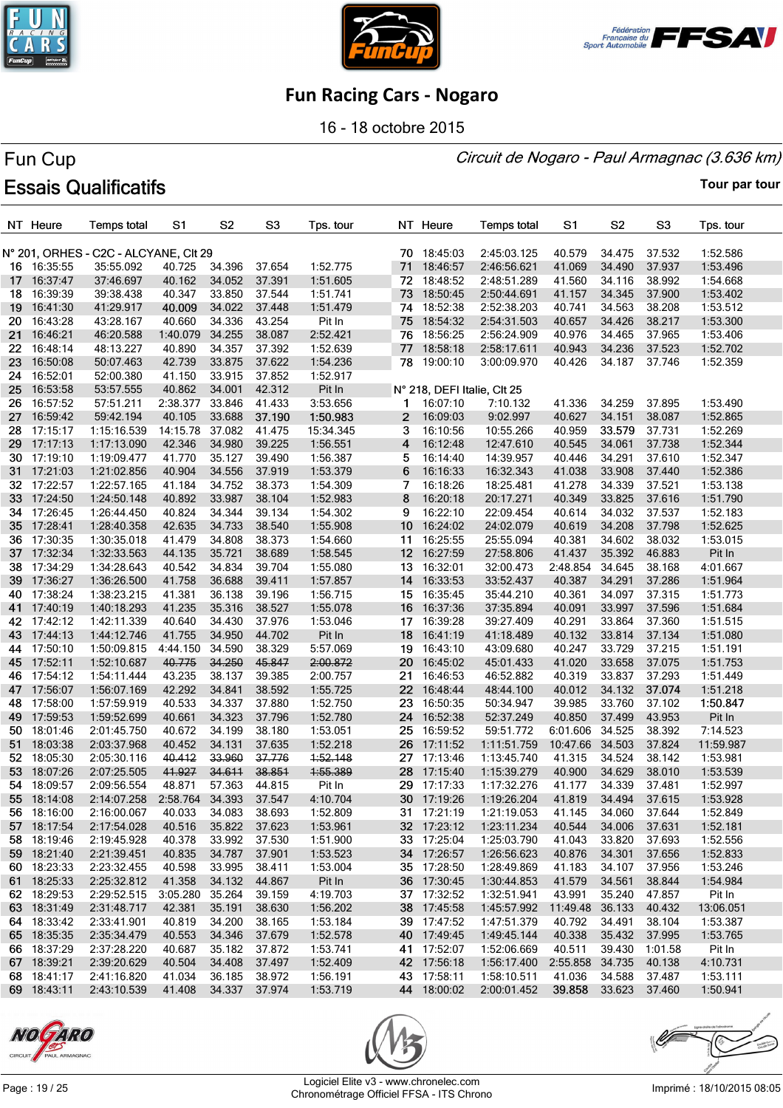





16 - 18 octobre 2015

#### Circuit de Nogaro - Paul Armagnac (3.636 km)

# Fun Cup **Essais Qualificatifs**

|     | NT Heure                   | <b>Temps total</b>                    | S1                   | S <sub>2</sub>   | S <sub>3</sub>   | Tps. tour            |                 | NT Heure                    | <b>Temps total</b>               | S1                        | S <sub>2</sub> | S3               | Tps. tour            |
|-----|----------------------------|---------------------------------------|----------------------|------------------|------------------|----------------------|-----------------|-----------------------------|----------------------------------|---------------------------|----------------|------------------|----------------------|
|     |                            | N° 201, ORHES - C2C - ALCYANE, CIt 29 |                      |                  |                  |                      |                 | 70 18:45:03                 | 2:45:03.125                      | 40.579                    | 34.475         | 37.532           | 1:52.586             |
|     | 16 16:35:55                | 35:55.092                             | 40.725               | 34.396           | 37.654           | 1:52.775             | 71              | 18:46:57                    | 2:46:56.621                      | 41.069                    | 34.490         | 37.937           | 1:53.496             |
| 17  | 16:37:47                   | 37:46.697                             | 40.162               | 34.052           | 37.391           | 1:51.605             | 72              | 18:48:52                    | 2:48:51.289                      | 41.560                    | 34.116         | 38.992           | 1:54.668             |
| 18  | 16:39:39                   | 39:38.438                             | 40.347               | 33.850           | 37.544           | 1:51.741             | 73              | 18:50:45                    | 2:50:44.691                      | 41.157                    | 34.345         | 37.900           | 1:53.402             |
| 19  | 16:41:30                   | 41:29.917                             | 40.009               | 34.022           | 37.448           | 1:51.479             |                 | 74 18:52:38                 | 2:52:38.203                      | 40.741                    | 34.563         | 38.208           | 1:53.512             |
| 20  | 16:43:28                   | 43:28.167                             | 40.660               | 34.336           | 43.254           | Pit In               |                 | 75 18:54:32                 | 2:54:31.503                      | 40.657                    | 34.426         | 38.217           | 1:53.300             |
| 21  | 16:46:21                   | 46:20.588                             | 1:40.079             | 34.255           | 38.087           | 2:52.421             | 76              | 18:56:25                    | 2:56:24.909                      | 40.976                    | 34.465         | 37.965           | 1:53.406             |
| 22. | 16:48:14                   | 48:13.227                             | 40.890               | 34.357           | 37.392           | 1:52.639             | 77              | 18:58:18                    | 2:58:17.611                      | 40.943                    | 34.236         | 37.523           | 1:52.702             |
| 23. | 16:50:08                   | 50:07.463                             | 42.739               | 33.875           | 37.622           | 1:54.236             | 78              | 19:00:10                    | 3:00:09.970                      | 40.426                    | 34.187         | 37.746           | 1:52.359             |
| 24  | 16:52:01                   | 52:00.380                             | 41.150               | 33.915           | 37.852           | 1:52.917             |                 |                             |                                  |                           |                |                  |                      |
| 25  | 16:53:58                   | 53:57.555                             | 40.862               | 34.001           | 42.312           | Pit In               |                 | N° 218, DEFI Italie, Clt 25 |                                  |                           |                |                  |                      |
| 26. | 16:57:52                   | 57:51.211                             | 2:38.377             | 33.846           | 41.433           | 3:53.656             | 1               | 16:07:10                    | 7:10.132                         | 41.336                    | 34.259         | 37.895           | 1:53.490             |
| 27  | 16:59:42                   | 59:42.194                             | 40.105               | 33.688           | 37.190           | 1:50.983             | 2               | 16:09:03                    | 9:02.997                         | 40.627                    | 34.151         | 38.087           | 1:52.865             |
| 28. | 17:15:17                   | 1:15:16.539                           | 14:15.78             | 37.082           | 41.475           | 15:34.345            | 3               | 16:10:56                    | 10:55.266                        | 40.959                    | 33.579         | 37.731           | 1:52.269             |
| 29  | 17:17:13                   | 1:17:13.090                           | 42.346               | 34.980           | 39.225           | 1:56.551             | 4               | 16:12:48                    | 12:47.610                        | 40.545                    | 34.061         | 37.738           | 1:52.344             |
|     | 30 17:19:10                | 1:19:09.477                           | 41.770               | 35.127           | 39.490           | 1:56.387             | 5               | 16:14:40                    | 14:39.957                        | 40.446                    | 34.291         | 37.610           | 1:52.347             |
|     | 31 17:21:03                | 1:21:02.856                           | 40.904               | 34.556           | 37.919           | 1:53.379             | 6               | 16:16:33                    | 16:32.343                        | 41.038                    | 33.908         | 37.440           | 1:52.386             |
|     | 32 17:22:57                | 1:22:57.165                           | 41.184               | 34.752           | 38.373           | 1:54.309             | 7               | 16:18:26                    | 18:25.481                        | 41.278                    | 34.339         | 37.521           | 1:53.138             |
|     | 33 17:24:50                | 1:24:50.148                           | 40.892               | 33.987           | 38.104           | 1:52.983             | 8               | 16:20:18                    | 20:17.271                        | 40.349                    | 33.825         | 37.616           | 1:51.790             |
|     | 34 17:26:45                | 1:26:44.450                           | 40.824               | 34.344           | 39.134           | 1:54.302             | 9               | 16:22:10                    | 22:09.454                        | 40.614                    | 34.032         | 37.537           | 1:52.183             |
|     | 35 17:28:41                | 1:28:40.358                           | 42.635               | 34.733           | 38.540           | 1:55.908             | 10 <sub>1</sub> | 16:24:02                    | 24:02.079                        | 40.619                    | 34.208         | 37.798           | 1:52.625             |
| 36  | 17:30:35                   | 1:30:35.018                           | 41.479               | 34.808           | 38.373           | 1:54.660             | 11              | 16:25:55                    | 25:55.094                        | 40.381                    | 34.602         | 38.032           | 1:53.015             |
| 37  | 17:32:34                   | 1:32:33.563                           | 44.135               | 35.721           | 38.689           | 1:58.545             |                 | 12 16:27:59                 | 27:58.806                        | 41.437                    | 35.392         | 46.883           | Pit In               |
|     | 38 17:34:29                | 1:34:28.643                           | 40.542               | 34.834           | 39.704           | 1:55.080             | 13 <sup>2</sup> | 16:32:01                    | 32:00.473                        | 2:48.854                  | 34.645         | 38.168           | 4:01.667             |
| 39  | 17:36:27                   | 1:36:26.500                           | 41.758               | 36.688           | 39.411           | 1:57.857             | 14              | 16:33:53                    | 33:52.437                        | 40.387                    | 34.291         | 37.286           | 1:51.964             |
| 40  | 17:38:24                   | 1:38:23.215                           | 41.381               | 36.138           | 39.196           | 1:56.715             | 15              | 16:35:45                    | 35:44.210                        | 40.361                    | 34.097         | 37.315           | 1:51.773             |
| 41  | 17:40:19                   | 1:40:18.293                           | 41.235               | 35.316           | 38.527           | 1:55.078             | 16              | 16:37:36                    | 37:35.894                        | 40.091                    | 33.997         | 37.596           | 1:51.684             |
| 42  | 17:42:12                   | 1:42:11.339                           | 40.640               | 34.430           | 37.976           | 1:53.046             |                 | 17 16:39:28                 | 39:27.409                        | 40.291                    | 33.864         | 37.360           | 1:51.515             |
| 43  | 17:44:13                   | 1:44:12.746                           | 41.755               | 34.950           | 44.702           | Pit In               | 18              | 16:41:19                    | 41:18.489                        | 40.132                    | 33.814         | 37.134           | 1:51.080             |
| 44  | 17:50:10                   | 1:50:09.815                           | 4:44.150             | 34.590           | 38.329           | 5:57.069             | 19              | 16:43:10                    | 43:09.680                        | 40.247                    | 33.729         | 37.215           | 1:51.191             |
|     | 45 17:52:11                | 1:52:10.687                           | 40.775               | 34.250           | 45.847           | 2:00.872             | 20              | 16:45:02                    | 45:01.433                        | 41.020                    | 33.658         | 37.075           | 1:51.753             |
| 46  | 17:54:12                   | 1:54:11.444                           | 43.235               | 38.137           | 39.385           | 2:00.757             | 21              | 16:46:53                    | 46:52.882                        | 40.319                    | 33.837         | 37.293           | 1:51.449             |
| 47  | 17:56:07                   | 1:56:07.169                           | 42.292               | 34.841           | 38.592           | 1:55.725             | 22              | 16:48:44                    | 48:44.100                        | 40.012                    | 34.132         | 37.074           | 1:51.218             |
| 48  | 17:58:00                   | 1:57:59.919                           | 40.533               | 34.337           | 37.880           | 1:52.750             | 23              | 16:50:35                    | 50:34.947                        | 39.985                    | 33.760         | 37.102           | 1:50.847             |
| 49  | 17:59:53                   | 1:59:52.699                           | 40.661               | 34.323           | 37.796           | 1:52.780             | 24              | 16:52:38                    | 52:37.249                        | 40.850                    | 37.499         | 43.953           | Pit In               |
| 50  | 18:01:46                   | 2:01:45.750                           | 40.672               | 34.199           | 38.180           | 1:53.051             | 25              | 16:59:52                    | 59:51.772                        | 6:01.606                  | 34.525         | 38.392           | 7:14.523             |
| 51  | 18:03:38                   | 2:03:37.968                           | 40.452               | 34.131           | 37.635           | 1:52.218             | 26              | 17:11:52                    | 1:11:51.759                      | 10:47.66                  | 34.503         | 37.824           | 11:59.987            |
|     | 52 18:05:30                | 2:05:30.116                           | 40.412               | 33.960           | 37.776           | 1:52.148             |                 | 27 17:13:46                 | 1:13:45.740                      | 41.315                    | 34.524         | 38.142           | 1:53.981             |
| 53  | 18:07:26                   | 2:07:25.505                           | 41.927               | 34.611           | 38.851           | 1:55.389             |                 | 28 17:15:40                 | 1:15:39.279                      | 40.900                    | 34.629         | 38.010           | 1:53.539             |
|     | 54 18:09:57                | 2:09:56.554                           | 48.871               | 57.363           | 44.815           | Pit In               |                 | 29 17:17:33                 | 1:17:32.276                      | 41.177                    | 34.339         | 37.481           | 1:52.997             |
|     | 55 18:14:08                | 2:14:07.258                           | 2:58.764 34.393      |                  | 37.547           | 4:10.704             |                 | 30 17:19:26                 | 1:19:26.204                      | 41.819                    | 34.494         | 37.615           | 1:53.928             |
|     | 56 18:16:00                | 2:16:00.067                           | 40.033               | 34.083 38.693    |                  | 1:52.809             |                 | 31 17:21:19                 | 1:21:19.053                      | 41.145                    | 34.060 37.644  |                  | 1:52.849             |
|     | 57 18:17:54                | 2:17:54.028                           | 40.516               | 35.822           | 37.623           | 1:53.961             |                 | 32 17:23:12                 | 1:23:11.234                      | 40.544                    | 34.006         | 37.631           | 1:52.181             |
|     | 58 18:19:46                | 2:19:45.928                           | 40.378               | 33.992           | 37.530           | 1:51.900             |                 | 33 17:25:04                 | 1:25:03.790                      | 41.043                    | 33.820         | 37.693           | 1:52.556             |
|     | 59 18:21:40                | 2:21:39.451                           | 40.835               | 34.787           | 37.901           | 1:53.523             |                 | 34 17:26:57                 | 1:26:56.623                      | 40.876                    | 34.301         | 37.656           | 1:52.833             |
|     | 60 18:23:33                | 2:23:32.455                           | 40.598               | 33.995           | 38.411           | 1:53.004             |                 | 35 17:28:50                 | 1:28:49.869                      | 41.183                    | 34.107         | 37.956           | 1:53.246             |
|     | 61 18:25:33                | 2:25:32.812                           | 41.358               | 34.132           | 44.867           | Pit In               |                 | 36 17:30:45                 | 1:30:44.853                      | 41.579                    | 34.561         | 38.844           | 1:54.984             |
|     | 62 18:29:53                | 2:29:52.515                           | 3:05.280             | 35.264           | 39.159           | 4:19.703             |                 | 37 17:32:52                 | 1:32:51.941                      | 43.991                    | 35.240         | 47.857           | Pit In               |
|     | 63 18:31:49                | 2:31:48.717                           | 42.381               | 35.191           | 38.630           | 1:56.202             |                 | 38 17:45:58                 | 1:45:57.992                      | 11:49.48 36.133           |                | 40.432           | 13:06.051            |
|     | 64 18:33:42                | 2:33:41.901                           | 40.819               | 34.200           | 38.165           | 1:53.184             |                 | 39 17:47:52                 | 1:47:51.379                      | 40.792                    | 34.491         | 38.104           | 1:53.387             |
|     | 65 18:35:35                |                                       | 40.553               | 34.346           | 37.679           |                      |                 | 40 17:49:45                 |                                  | 40.338                    | 35.432         | 37.995           |                      |
|     | 66 18:37:29                | 2:35:34.479                           |                      |                  |                  | 1:52.578             |                 | 41 17:52:07                 | 1:49:45.144                      |                           |                |                  | 1:53.765             |
|     |                            | 2:37:28.220                           | 40.687               | 35.182<br>34.408 | 37.872           | 1:53.741<br>1:52.409 |                 |                             | 1:52:06.669                      | 40.511                    | 39.430         | 1:01.58          | Pit In               |
|     | 67 18:39:21<br>68 18:41:17 | 2:39:20.629<br>2:41:16.820            | 40.504<br>41.034     | 36.185           | 37.497<br>38.972 | 1:56.191             |                 | 42 17:56:18<br>43 17:58:11  | 1:56:17.400<br>1:58:10.511       | 2:55.858 34.735<br>41.036 | 34.588         | 40.138<br>37.487 | 4:10.731<br>1:53.111 |
|     |                            |                                       |                      |                  |                  |                      |                 |                             |                                  |                           |                |                  |                      |
|     | 69 18:43:11                | 2:43:10.539                           | 41.408 34.337 37.974 |                  |                  | 1:53.719             |                 | 44 18:00:02                 | 2:00:01.452 39.858 33.623 37.460 |                           |                |                  | 1:50.941             |





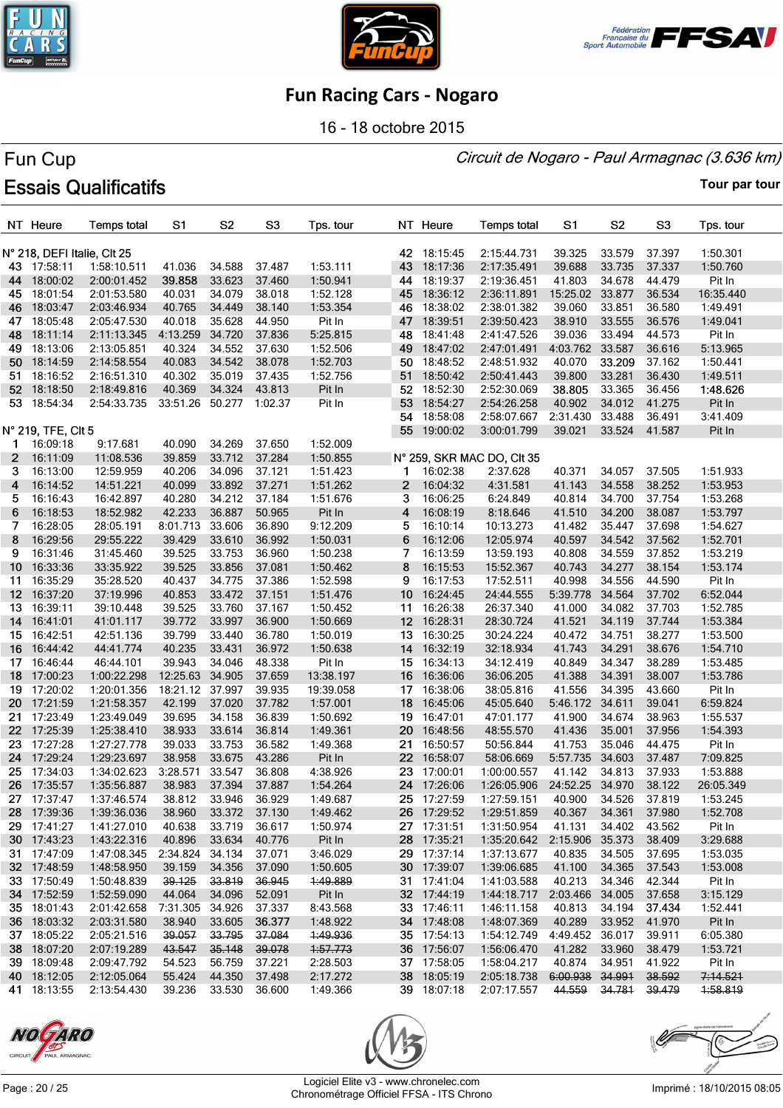





16 - 18 octobre 2015

#### Circuit de Nogaro - Paul Armagnac (3.636 km)

# Fun Cup **Essais Qualificatifs**

|                  | NT Heure                                   | <b>Temps total</b> | S1              | S <sub>2</sub>   | S <sub>3</sub> | Tps. tour |                   | NT Heure                | <b>Temps total</b>         | S <sub>1</sub>  | S <sub>2</sub> | S <sub>3</sub> | Tps. tour |
|------------------|--------------------------------------------|--------------------|-----------------|------------------|----------------|-----------|-------------------|-------------------------|----------------------------|-----------------|----------------|----------------|-----------|
|                  |                                            |                    |                 |                  |                |           |                   |                         | 2:15:44.731                | 39.325          |                |                |           |
|                  | N° 218, DEFI Italie, CIt 25<br>43 17:58:11 | 1:58:10.511        |                 |                  | 37.487         |           |                   | 42 18:15:45             |                            |                 | 33.579         | 37.397         | 1:50.301  |
|                  |                                            |                    | 41.036          | 34.588<br>33.623 | 37.460         | 1:53.111  |                   | 43 18:17:36<br>18:19:37 | 2:17:35.491                | 39.688          | 33.735         | 37.337         | 1:50.760  |
| 44               | 18:00:02                                   | 2:00:01.452        | 39.858          | 34.079           | 38.018         | 1:50.941  | 44                |                         | 2:19:36.451                | 41.803          | 34.678         | 44.479         | Pit In    |
| 45               | 18:01:54                                   | 2:01:53.580        | 40.031          |                  |                | 1:52.128  |                   | 45 18:36:12             | 2:36:11.891                | 15:25.02        | 33.877         | 36.534         | 16:35.440 |
| 46               | 18:03:47                                   | 2:03:46.934        | 40.765          | 34.449           | 38.140         | 1:53.354  |                   | 46 18:38:02             | 2:38:01.382                | 39.060          | 33.851         | 36.580         | 1:49.491  |
|                  | 47 18:05:48                                | 2:05:47.530        | 40.018          | 35.628           | 44.950         | Pit In    | 47                | 18:39:51                | 2:39:50.423                | 38.910          | 33.555         | 36.576         | 1:49.041  |
| 48               | 18:11:14                                   | 2:11:13.345        | 4:13.259        | 34.720           | 37.836         | 5:25.815  | 48                | 18:41:48                | 2:41:47.526                | 39.036          | 33.494         | 44.573         | Pit In    |
| 49.              | 18:13:06                                   | 2:13:05.851        | 40.324          | 34.552           | 37.630         | 1:52.506  | 49                | 18:47:02                | 2:47:01.491                | 4:03.762 33.587 |                | 36.616         | 5:13.965  |
|                  | 50 18:14:59                                | 2:14:58.554        | 40.083          | 34.542           | 38.078         | 1:52.703  |                   | 50 18:48:52             | 2:48:51.932                | 40.070          | 33.209         | 37.162         | 1:50.441  |
| 51.              | 18:16:52                                   | 2:16:51.310        | 40.302          | 35.019           | 37.435         | 1:52.756  | 51                | 18:50:42                | 2:50:41.443                | 39.800          | 33.281         | 36.430         | 1:49.511  |
|                  | 52 18:18:50                                | 2:18:49.816        | 40.369          | 34.324           | 43.813         | Pit In    |                   | 52 18:52:30             | 2:52:30.069                | 38.805          | 33.365         | 36.456         | 1:48.626  |
| 53               | 18:54:34                                   | 2:54:33.735        | 33:51.26        | 50.277           | 1:02.37        | Pit In    | 53                | 18:54:27                | 2:54:26.258                | 40.902          | 34.012         | 41.275         | Pit In    |
|                  |                                            |                    |                 |                  |                |           | 54                | 18:58:08                | 2:58:07.667                | 2:31.430        | 33.488         | 36.491         | 3:41.409  |
|                  | N° 219, TFE, Clt 5                         |                    |                 |                  |                |           | 55                | 19:00:02                | 3:00:01.799                | 39.021          | 33.524         | 41.587         | Pit In    |
| 1                | 16:09:18                                   | 9:17.681           | 40.090          | 34.269           | 37.650         | 1:52.009  |                   |                         |                            |                 |                |                |           |
| $\mathbf{2}$     | 16:11:09                                   | 11:08.536          | 39.859          | 33.712           | 37.284         | 1:50.855  |                   |                         | N° 259, SKR MAC DO, CIt 35 |                 |                |                |           |
| 3                | 16:13:00                                   | 12:59.959          | 40.206          | 34.096           | 37.121         | 1:51.423  | 1                 | 16:02:38                | 2:37.628                   | 40.371          | 34.057         | 37.505         | 1:51.933  |
| 4                | 16:14:52                                   | 14:51.221          | 40.099          | 33.892           | 37.271         | 1:51.262  | $\mathbf{2}$      | 16:04:32                | 4:31.581                   | 41.143          | 34.558         | 38.252         | 1:53.953  |
| 5                | 16:16:43                                   | 16:42.897          | 40.280          | 34.212           | 37.184         | 1:51.676  | 3                 | 16:06:25                | 6:24.849                   | 40.814          | 34.700         | 37.754         | 1:53.268  |
| 6                | 16:18:53                                   | 18:52.982          | 42.233          | 36.887           | 50.965         | Pit In    | 4                 | 16:08:19                | 8:18.646                   | 41.510          | 34.200         | 38.087         | 1:53.797  |
| 7                | 16:28:05                                   | 28:05.191          | 8:01.713        | 33.606           | 36.890         | 9:12.209  | 5                 | 16:10:14                | 10:13.273                  | 41.482          | 35.447         | 37.698         | 1:54.627  |
| 8                | 16:29:56                                   | 29:55.222          | 39.429          | 33.610           | 36.992         | 1:50.031  | 6                 | 16:12:06                | 12:05.974                  | 40.597          | 34.542         | 37.562         | 1:52.701  |
| 9                | 16:31:46                                   | 31:45.460          | 39.525          | 33.753           | 36.960         | 1:50.238  | 7                 | 16:13:59                | 13:59.193                  | 40.808          | 34.559         | 37.852         | 1:53.219  |
| 10               | 16:33:36                                   | 33:35.922          | 39.525          | 33.856           | 37.081         | 1:50.462  | 8                 | 16:15:53                | 15:52.367                  | 40.743          | 34.277         | 38.154         | 1:53.174  |
| 11               | 16:35:29                                   | 35:28.520          | 40.437          | 34.775           | 37.386         | 1:52.598  | 9                 | 16:17:53                | 17:52.511                  | 40.998          | 34.556         | 44.590         | Pit In    |
| 12 <sup>12</sup> | 16:37:20                                   | 37:19.996          | 40.853          | 33.472           | 37.151         | 1:51.476  | 10 <sup>°</sup>   | 16:24:45                | 24:44.555                  | 5:39.778        | 34.564         | 37.702         | 6:52.044  |
| 13               | 16:39:11                                   | 39:10.448          | 39.525          | 33.760           | 37.167         | 1:50.452  | 11                | 16:26:38                | 26:37.340                  | 41.000          | 34.082         | 37.703         | 1:52.785  |
| 14               | 16:41:01                                   | 41:01.117          | 39.772          | 33.997           | 36.900         | 1:50.669  |                   | 12 16:28:31             | 28:30.724                  | 41.521          | 34.119         | 37.744         | 1:53.384  |
| 15               | 16:42:51                                   | 42:51.136          | 39.799          | 33.440           | 36.780         | 1:50.019  |                   | 13 16:30:25             | 30:24.224                  | 40.472          | 34.751         | 38.277         | 1:53.500  |
| 16               | 16:44:42                                   | 44:41.774          | 40.235          | 33.431           | 36.972         | 1:50.638  |                   | 14 16:32:19             | 32:18.934                  | 41.743          | 34.291         | 38.676         | 1:54.710  |
| 17               | 16:46:44                                   | 46:44.101          | 39.943          | 34.046           | 48.338         | Pit In    |                   | 15 16:34:13             | 34:12.419                  | 40.849          | 34.347         | 38.289         | 1:53.485  |
| 18               | 17:00:23                                   | 1:00:22.298        | 12:25.63        | 34.905           | 37.659         | 13:38.197 | 16                | 16:36:06                | 36:06.205                  | 41.388          | 34.391         | 38.007         | 1:53.786  |
| 19.              | 17:20:02                                   | 1:20:01.356        | 18:21.12 37.997 |                  | 39.935         | 19:39.058 |                   | 17 16:38:06             | 38:05.816                  | 41.556          | 34.395         | 43.660         | Pit In    |
| 20               | 17:21:59                                   | 1:21:58.357        | 42.199          | 37.020           | 37.782         | 1:57.001  | 18                | 16:45:06                | 45:05.640                  | 5:46.172        | 34.611         | 39.041         | 6:59.824  |
| 21.              | 17:23:49                                   | 1:23:49.049        | 39.695          | 34.158           | 36.839         | 1:50.692  | 19                | 16:47:01                | 47:01.177                  | 41.900          | 34.674         | 38.963         | 1:55.537  |
| 22 <sub>2</sub>  | 17:25:39                                   | 1:25:38.410        | 38.933          | 33.614           | 36.814         | 1:49.361  | 20                | 16:48:56                | 48:55.570                  | 41.436          | 35.001         | 37.956         | 1:54.393  |
|                  | 23 17:27:28                                | 1:27:27.778        | 39.033          | 33.753           | 36.582         | 1:49.368  |                   | 21 16:50:57             | 50:56.844                  | 41.753          | 35.046         | 44.475         | Pit In    |
| 24               | 17:29:24                                   | 1:29:23.697        | 38.958          | 33.675           | 43.286         | Pit In    | $22 \overline{ }$ | 16:58:07                | 58:06.669                  | 5:57.735        | 34.603         | 37.487         | 7:09.825  |
|                  | 25 17:34:03                                | 1:34:02.623        | 3:28.571        | 33.547           | 36.808         | 4:38.926  |                   | 23 17:00:01             | 1:00:00.557                | 41.142          | 34.813         | 37.933         | 1:53.888  |
| 26               | 17:35:57                                   | 1:35:56.887        | 38.983          | 37.394           | 37.887         | 1:54.264  |                   | 24 17:26:06             | 1:26:05.906                | 24:52.25 34.970 |                | 38.122         | 26:05.349 |
|                  | 27 17:37:47                                | 1:37:46.574        | 38.812          | 33.946           | 36.929         | 1:49.687  |                   | 25 17:27:59             | 1:27:59.151                | 40.900          | 34.526         | 37.819         | 1:53.245  |
|                  | 28 17:39:36                                | 1:39:36.036        | 38.960          | 33.372 37.130    |                | 1:49.462  |                   | 26 17:29:52             | 1:29:51.859                | 40.367          | 34.361         | 37.980         | 1:52.708  |
|                  | 29 17:41:27                                | 1:41:27.010        | 40.638          | 33.719           | 36.617         | 1:50.974  |                   | 27 17:31:51             | 1:31:50.954                | 41.131          | 34.402         | 43.562         | Pit In    |
|                  | 30 17:43:23                                | 1:43:22.316        | 40.896          | 33.634           | 40.776         | Pit In    |                   | 28 17:35:21             | 1:35:20.642                | 2:15.906 35.373 |                | 38.409         | 3:29.688  |
|                  | 31 17:47:09                                | 1:47:08.345        | 2:34.824        | 34.134           | 37.071         | 3:46.029  |                   | 29 17:37:14             | 1:37:13.677                | 40.835          | 34.505         | 37.695         | 1:53.035  |
|                  | 32 17:48:59                                | 1:48:58.950        | 39.159          | 34.356           | 37.090         | 1:50.605  |                   | 30 17:39:07             | 1:39:06.685                | 41.100          | 34.365         | 37.543         | 1:53.008  |
|                  | 33 17:50:49                                | 1:50:48.839        | 39.125          | 33.819           | 36.945         | 4:49.889  |                   | 31 17:41:04             | 1:41:03.588                | 40.213          | 34.346         | 42.344         | Pit In    |
|                  | 34 17:52:59                                | 1:52:59.090        | 44.064          | 34.096           | 52.091         | Pit In    |                   | 32 17:44:19             | 1:44:18.717                | 2:03.466 34.005 |                | 37.658         | 3:15.129  |
|                  | 35 18:01:43                                | 2:01:42.658        | 7:31.305        | 34.926           | 37.337         | 8:43.568  |                   | 33 17:46:11             | 1:46:11.158                | 40.813          | 34.194         | 37.434         | 1:52.441  |
|                  | 36 18:03:32                                | 2:03:31.580        | 38.940          | 33.605           | 36.377         | 1:48.922  |                   | 34 17:48:08             | 1:48:07.369                | 40.289          | 33.952         | 41.970         | Pit In    |
|                  | 37 18:05:22                                | 2:05:21.516        | 39.057          | 33.795           | 37.084         | 1:49.936  |                   | 35 17:54:13             | 1:54:12.749                | 4:49.452        | 36.017         | 39.911         | 6:05.380  |
|                  | 38 18:07:20                                | 2:07:19.289        | 43.547          | 35.148           | 39.078         | 1:57.773  |                   | 36 17:56:07             | 1:56:06.470                | 41.282          | 33.960         | 38.479         | 1:53.721  |
|                  | 39 18:09:48                                | 2:09:47.792        | 54.523          | 56.759           | 37.221         | 2:28.503  |                   | 37 17:58:05             | 1:58:04.217                | 40.874          | 34.951         | 41.922         | Pit In    |
|                  | 40 18:12:05                                | 2:12:05.064        | 55.424          | 44.350           | 37.498         | 2:17.272  |                   | 38 18:05:19             | 2:05:18.738                | 6:00.938 34.991 |                | 38.592         | 7:14.521  |
|                  | 41 18:13:55                                | 2:13:54.430        | 39.236          | 33.530           | 36.600         | 1:49.366  |                   | 39 18:07:18             | 2:07:17.557                | 44.559          | 34.781         | 39.479         | 1:58.819  |





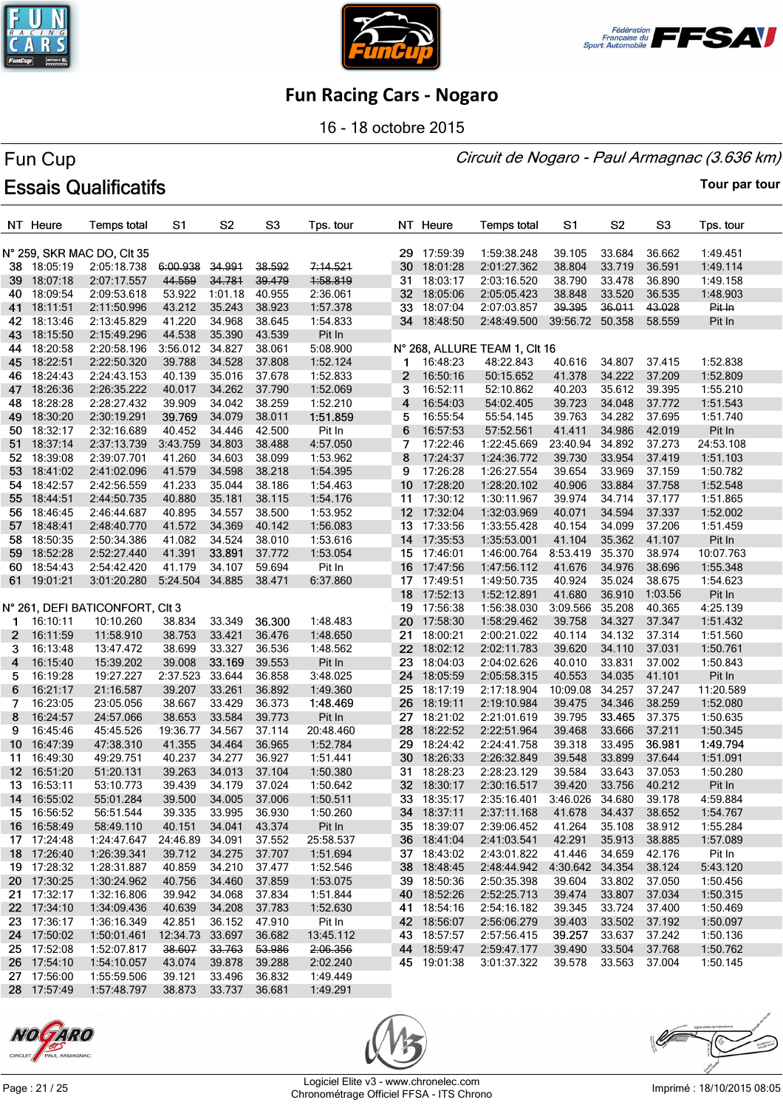





16 - 18 octobre 2015

#### Circuit de Nogaro - Paul Armagnac (3.636 km)

# Fun Cup **Essais Qualificatifs**

|                  | NT Heure    | <b>Temps total</b>              | S1                   | S <sub>2</sub> | S <sub>3</sub>    | Tps. tour |                       | NT Heure    | <b>Temps total</b>            | S1              | S <sub>2</sub> | S <sub>3</sub> | Tps. tour |
|------------------|-------------|---------------------------------|----------------------|----------------|-------------------|-----------|-----------------------|-------------|-------------------------------|-----------------|----------------|----------------|-----------|
|                  |             | N° 259, SKR MAC DO, CIt 35      |                      |                |                   |           |                       | 29 17:59:39 | 1:59:38.248                   | 39.105          | 33.684         | 36.662         | 1:49.451  |
|                  | 38 18:05:19 | 2:05:18.738                     | 6:00.938             | 34.991         | 38.592            | 7:14.521  | 30                    | 18:01:28    | 2:01:27.362                   | 38.804          | 33.719         | 36.591         | 1:49.114  |
|                  | 39 18:07:18 | 2:07:17.557                     | 44.559               | 34.781         | 39.479            | 1:58.819  | 31                    | 18:03:17    | 2:03:16.520                   | 38.790          | 33.478         | 36.890         | 1:49.158  |
| 40               | 18:09:54    | 2:09:53.618                     | 53.922               | 1:01.18        | 40.955            | 2:36.061  |                       | 32 18:05:06 | 2:05:05.423                   | 38.848          | 33.520         | 36.535         | 1:48.903  |
| 41               | 18:11:51    | 2:11:50.996                     | 43.212               | 35.243         | 38.923            | 1:57.378  |                       | 33 18:07:04 | 2:07:03.857                   | 39.395          | 36.011         | 43.028         | Pit In    |
| 42               | 18:13:46    | 2:13:45.829                     | 41.220               | 34.968         | 38.645            | 1:54.833  |                       | 34 18:48:50 | 2:48:49.500                   | 39:56.72 50.358 |                | 58.559         | Pit In    |
| 43               | 18:15:50    | 2:15:49.296                     | 44.538               | 35.390         | 43.539            | Pit In    |                       |             |                               |                 |                |                |           |
| 44               | 18:20:58    | 2:20:58.196                     | 3:56.012             | 34.827         | 38.061            | 5:08.900  |                       |             | N° 268, ALLURE TEAM 1, CIt 16 |                 |                |                |           |
| 45               | 18:22:51    | 2:22:50.320                     | 39.788               | 34.528         | 37.808            | 1:52.124  | 1.                    | 16:48:23    | 48:22.843                     | 40.616          | 34.807         | 37.415         | 1:52.838  |
|                  | 46 18:24:43 | 2:24:43.153                     | 40.139               | 35.016         | 37.678            | 1:52.833  | $\overline{2}$        | 16:50:16    | 50:15.652                     | 41.378          | 34.222         | 37.209         | 1:52.809  |
| 47               | 18:26:36    | 2:26:35.222                     | 40.017               | 34.262         | 37.790            | 1:52.069  | 3                     | 16:52:11    | 52:10.862                     | 40.203          | 35.612         | 39.395         | 1:55.210  |
| 48               | 18:28:28    | 2:28:27.432                     | 39.909               | 34.042         | 38.259            | 1:52.210  | 4                     | 16:54:03    | 54:02.405                     | 39.723          | 34.048         | 37.772         | 1:51.543  |
| 49               | 18:30:20    | 2:30:19.291                     | 39.769               | 34.079         | 38.011            | 1:51.859  | 5                     | 16:55:54    | 55:54.145                     | 39.763          | 34.282         | 37.695         | 1:51.740  |
| 50               | 18:32:17    | 2:32:16.689                     | 40.452               | 34.446         | 42.500            | Pit In    | 6                     | 16:57:53    | 57:52.561                     | 41.411          | 34.986         | 42.019         | Pit In    |
| 51               | 18:37:14    | 2:37:13.739                     | 3:43.759             | 34.803         | 38.488            | 4:57.050  | 7                     | 17:22:46    | 1:22:45.669                   | 23:40.94        | 34.892         | 37.273         | 24:53.108 |
| 52               | 18:39:08    | 2:39:07.701                     | 41.260               | 34.603         | 38.099            | 1:53.962  | 8                     | 17:24:37    | 1:24:36.772                   | 39.730          | 33.954         | 37.419         | 1:51.103  |
| 53               |             |                                 |                      | 34.598         |                   |           | 9                     | 17:26:28    | 1:26:27.554                   |                 |                |                | 1:50.782  |
|                  | 18:41:02    | 2:41:02.096                     | 41.579               | 35.044         | 38.218            | 1:54.395  |                       |             |                               | 39.654          | 33.969         | 37.159         |           |
| 54               | 18:42:57    | 2:42:56.559                     | 41.233               |                | 38.186            | 1:54.463  | 10 <sup>°</sup><br>11 | 17:28:20    | 1:28:20.102                   | 40.906          | 33.884         | 37.758         | 1:52.548  |
| 55               | 18:44:51    | 2:44:50.735                     | 40.880               | 35.181         | 38.115            | 1:54.176  |                       | 17:30:12    | 1:30:11.967                   | 39.974          | 34.714         | 37.177         | 1:51.865  |
| 56.              | 18:46:45    | 2:46:44.687                     | 40.895               | 34.557         | 38.500            | 1:53.952  |                       | 12 17:32:04 | 1:32:03.969                   | 40.071          | 34.594         | 37.337         | 1:52.002  |
| 57 .             | 18:48:41    | 2:48:40.770                     | 41.572               | 34.369         | 40.142            | 1:56.083  |                       | 13 17:33:56 | 1:33:55.428                   | 40.154          | 34.099         | 37.206         | 1:51.459  |
| 58               | 18:50:35    | 2:50:34.386                     | 41.082               | 34.524         | 38.010            | 1:53.616  |                       | 14 17:35:53 | 1:35:53.001                   | 41.104          | 35.362         | 41.107         | Pit In    |
| 59 .             | 18:52:28    | 2:52:27.440                     | 41.391               | 33.891         | 37.772            | 1:53.054  |                       | 15 17:46:01 | 1:46:00.764                   | 8:53.419        | 35.370         | 38.974         | 10:07.763 |
|                  | 60 18:54:43 | 2:54:42.420                     | 41.179               | 34.107         | 59.694            | Pit In    |                       | 16 17:47:56 | 1:47:56.112                   | 41.676          | 34.976         | 38.696         | 1:55.348  |
|                  | 61 19:01:21 | 3:01:20.280                     | 5:24.504 34.885      |                | 38.471            | 6:37.860  |                       | 17 17:49:51 | 1:49:50.735                   | 40.924          | 35.024         | 38.675         | 1:54.623  |
|                  |             |                                 |                      |                |                   |           | 18                    | 17:52:13    | 1:52:12.891                   | 41.680          | 36.910         | 1:03.56        | Pit In    |
|                  |             | N° 261, DEFI BATICONFORT, CIt 3 |                      |                |                   |           |                       | 19 17:56:38 | 1:56:38.030                   | 3:09.566        | 35.208         | 40.365         | 4:25.139  |
| 1.               | 16:10:11    | 10:10.260                       | 38.834               | 33.349         | 36.300            | 1:48.483  | 20                    | 17:58:30    | 1:58:29.462                   | 39.758          | 34.327         | 37.347         | 1:51.432  |
| 2                | 16:11:59    | 11:58.910                       | 38.753               | 33.421         | 36.476            | 1:48.650  | 21                    | 18:00:21    | 2:00:21.022                   | 40.114          | 34.132         | 37.314         | 1:51.560  |
| 3                | 16:13:48    | 13:47.472                       | 38.699               | 33.327         | 36.536            | 1:48.562  | 22                    | 18:02:12    | 2:02:11.783                   | 39.620          | 34.110         | 37.031         | 1:50.761  |
| 4                | 16:15:40    | 15:39.202                       | 39.008               | 33.169         | 39.553            | Pit In    |                       | 23 18:04:03 | 2:04:02.626                   | 40.010          | 33.831         | 37.002         | 1:50.843  |
| 5.               | 16:19:28    | 19:27.227                       | 2:37.523             | 33.644         | 36.858            | 3:48.025  |                       | 24 18:05:59 | 2:05:58.315                   | 40.553          | 34.035         | 41.101         | Pit In    |
| 6                | 16:21:17    | 21:16.587                       | 39.207               | 33.261         | 36.892            | 1:49.360  | 25                    | 18:17:19    | 2:17:18.904                   | 10:09.08        | 34.257         | 37.247         | 11:20.589 |
| 7                | 16:23:05    | 23:05.056                       | 38.667               | 33.429         | 36.373            | 1:48.469  | 26                    | 18:19:11    | 2:19:10.984                   | 39.475          | 34.346         | 38.259         | 1:52.080  |
| 8                | 16:24:57    | 24:57.066                       | 38.653               | 33.584         | 39.773            | Pit In    |                       | 27 18:21:02 | 2:21:01.619                   | 39.795          | 33.465         | 37.375         | 1:50.635  |
| 9                | 16:45:46    | 45:45.526                       | 19:36.77             | 34.567         | 37.114            | 20:48.460 | 28                    | 18:22:52    | 2:22:51.964                   | 39.468          | 33.666         | 37.211         | 1:50.345  |
| 10               | 16:47:39    | 47:38.310                       | 41.355               | 34.464         | 36.965            | 1:52.784  | 29                    | 18:24:42    | 2:24:41.758                   | 39.318          | 33.495         | 36.981         | 1:49.794  |
| 11               | 16:49:30    | 49:29.751                       | 40.237               | 34.277         | 36.927            | 1:51.441  |                       | 30 18:26:33 | 2:26:32.849                   | 39.548          | 33.899         | 37.644         | 1:51.091  |
| 12 <sup>12</sup> | 16:51:20    | 51:20.131                       | 39.263               | 34.013         | 37.104            | 1:50.380  |                       | 31 18:28:23 | 2:28:23.129                   | 39.584          | 33.643         | 37.053         | 1:50.280  |
|                  | 13 16:53:11 | 53:10.773                       | 39.439               | 34.179         | 37.024            | 1:50.642  |                       | 32 18:30:17 | 2:30:16.517                   | 39.420          | 33.756         | 40.212         | Pit In    |
|                  | 14 16:55:02 | 55:01.284                       | 39.500               | 34.005 37.006  |                   | 1:50.511  |                       | 33 18:35:17 | 2:35:16.401                   | 3:46.026 34.680 |                | 39.178         | 4:59.884  |
|                  | 15 16:56:52 | 56:51.544                       | 39.335               | 33.995         | 36.930            | 1:50.260  |                       | 34 18:37:11 | 2:37:11.168                   | 41.678          | 34.437         | 38.652         | 1:54.767  |
|                  | 16 16:58:49 | 58:49.110                       | 40.151               | 34.041         | 43.374            | Pit In    |                       | 35 18:39:07 | 2:39:06.452                   | 41.264          | 35.108         | 38.912         | 1:55.284  |
|                  | 17 17:24:48 | 1:24:47.647                     | 24:46.89 34.091      |                | 37.552            | 25:58.537 |                       | 36 18:41:04 | 2:41:03.541                   | 42.291          | 35.913         | 38.885         | 1:57.089  |
|                  | 18 17:26:40 | 1:26:39.341                     | 39.712               | 34.275         | 37.707            | 1:51.694  |                       | 37 18:43:02 | 2:43:01.822                   | 41.446          | 34.659         | 42.176         | Pit In    |
|                  | 19 17:28:32 | 1:28:31.887                     | 40.859               | 34.210         | 37.477            | 1:52.546  |                       | 38 18:48:45 | 2:48:44.942 4:30.642 34.354   |                 |                | 38.124         | 5:43.120  |
|                  | 20 17:30:25 | 1:30:24.962                     | 40.756               | 34.460         | 37.859            | 1:53.075  |                       | 39 18:50:36 | 2:50:35.398                   | 39.604          | 33.802         | 37.050         | 1:50.456  |
|                  | 21 17:32:17 | 1:32:16.806                     | 39.942               | 34.068         | 37.834            | 1:51.844  |                       | 40 18:52:26 | 2:52:25.713                   | 39.474          | 33.807         | 37.034         | 1:50.315  |
|                  | 22 17:34:10 | 1:34:09.436                     | 40.639               | 34.208         | 37.783            | 1:52.630  |                       | 41 18:54:16 | 2:54:16.182                   | 39.345          | 33.724         | 37.400         | 1:50.469  |
|                  | 23 17:36:17 | 1:36:16.349                     | 42.851               | 36.152         | 47.910            | Pit In    |                       | 42 18:56:07 | 2:56:06.279                   | 39.403          | 33.502         | 37.192         | 1:50.097  |
|                  | 24 17:50:02 | 1:50:01.461                     | 12:34.73 33.697      |                | 36.682            | 13:45.112 |                       | 43 18:57:57 | 2:57:56.415                   | 39.257          | 33.637         | 37.242         | 1:50.136  |
|                  | 25 17:52:08 | 1:52:07.817                     | 38.607               | 33.763         | <del>53.986</del> | 2:06.356  |                       | 44 18:59:47 | 2:59:47.177                   | 39.490          | 33.504         | 37.768         | 1:50.762  |
|                  | 26 17:54:10 | 1:54:10.057                     | 43.074               | 39.878         | 39.288            | 2:02.240  |                       | 45 19:01:38 | 3:01:37.322                   | 39.578          | 33.563         | 37.004         | 1:50.145  |
|                  | 27 17:56:00 | 1:55:59.506                     | 39.121               | 33.496         | 36.832            | 1:49.449  |                       |             |                               |                 |                |                |           |
|                  | 28 17:57:49 | 1:57:48.797                     | 38.873 33.737 36.681 |                |                   | 1:49.291  |                       |             |                               |                 |                |                |           |





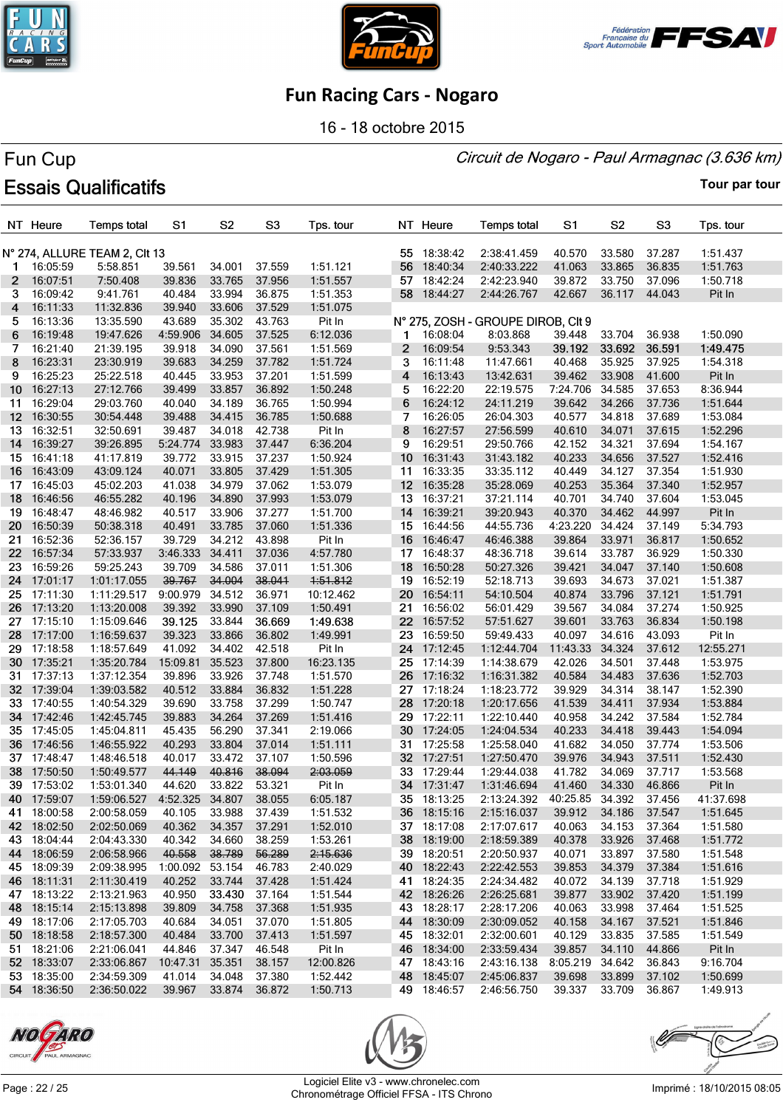





16 - 18 octobre 2015

#### Circuit de Nogaro - Paul Armagnac (3.636 km)

# Fun Cup **Essais Qualificatifs**

**Tour par tour**

|                       | NT Heure    | <b>Temps total</b>            | S1              | S <sub>2</sub> | S <sub>3</sub> | Tps. tour |              | NT Heure    | <b>Temps total</b>                 | S1                   | S <sub>2</sub> | S <sub>3</sub> | Tps. tour |
|-----------------------|-------------|-------------------------------|-----------------|----------------|----------------|-----------|--------------|-------------|------------------------------------|----------------------|----------------|----------------|-----------|
|                       |             | N° 274, ALLURE TEAM 2, CIt 13 |                 |                |                |           |              | 55 18:38:42 | 2:38:41.459                        | 40.570               | 33.580         | 37.287         | 1:51.437  |
| 1.                    | 16:05:59    | 5:58.851                      | 39.561          | 34.001         | 37.559         | 1:51.121  | 56           | 18:40:34    | 2:40:33.222                        | 41.063               | 33.865         | 36.835         | 1:51.763  |
| $\mathbf{2}^{\prime}$ | 16:07:51    | 7:50.408                      | 39.836          | 33.765         | 37.956         | 1:51.557  |              | 57 18:42:24 | 2:42:23.940                        | 39.872               | 33.750         | 37.096         | 1:50.718  |
| 3                     | 16:09:42    | 9:41.761                      | 40.484          | 33.994         | 36.875         | 1:51.353  | 58           | 18:44:27    | 2:44:26.767                        | 42.667               | 36.117         | 44.043         | Pit In    |
| 4                     | 16:11:33    | 11:32.836                     | 39.940          | 33.606         | 37.529         | 1:51.075  |              |             |                                    |                      |                |                |           |
| 5                     | 16:13:36    | 13:35.590                     | 43.689          | 35.302         | 43.763         | Pit In    |              |             | N° 275, ZOSH - GROUPE DIROB, CIt 9 |                      |                |                |           |
| 6                     | 16:19:48    | 19:47.626                     | 4:59.906        | 34.605         | 37.525         | 6:12.036  | 1            | 16:08:04    | 8:03.868                           | 39.448               | 33.704         | 36.938         | 1:50.090  |
| 7                     | 16:21:40    | 21:39.195                     | 39.918          | 34.090         | 37.561         | 1:51.569  | $\mathbf{2}$ | 16:09:54    | 9:53.343                           | 39.192               | 33.692         | 36.591         | 1:49.475  |
| 8                     | 16:23:31    | 23:30.919                     | 39.683          | 34.259         | 37.782         | 1:51.724  | 3            | 16:11:48    | 11:47.661                          | 40.468               | 35.925         | 37.925         | 1:54.318  |
| 9                     | 16:25:23    | 25:22.518                     | 40.445          | 33.953         | 37.201         | 1:51.599  | 4            | 16:13:43    | 13:42.631                          | 39.462               | 33.908         | 41.600         | Pit In    |
| 10                    | 16:27:13    | 27:12.766                     | 39.499          | 33.857         | 36.892         | 1:50.248  | 5            | 16:22:20    | 22:19.575                          | 7:24.706             | 34.585         | 37.653         | 8:36.944  |
|                       | 16:29:04    | 29:03.760                     | 40.040          | 34.189         | 36.765         |           | 6            |             |                                    |                      | 34.266         | 37.736         |           |
| 11                    |             |                               |                 |                | 36.785         | 1:50.994  |              | 16:24:12    | 24:11.219                          | 39.642               |                | 37.689         | 1:51.644  |
| 12                    | 16:30:55    | 30:54.448                     | 39.488          | 34.415         |                | 1:50.688  | 7            | 16:26:05    | 26:04.303                          | 40.577               | 34.818         |                | 1:53.084  |
| 13.                   | 16:32:51    | 32:50.691                     | 39.487          | 34.018         | 42.738         | Pit In    | 8            | 16:27:57    | 27:56.599                          | 40.610               | 34.071         | 37.615         | 1:52.296  |
| 14                    | 16:39:27    | 39:26.895                     | 5:24.774        | 33.983         | 37.447         | 6:36.204  | 9            | 16:29:51    | 29:50.766                          | 42.152               | 34.321         | 37.694         | 1:54.167  |
| 15                    | 16:41:18    | 41:17.819                     | 39.772          | 33.915         | 37.237         | 1:50.924  |              | 10 16:31:43 | 31:43.182                          | 40.233               | 34.656         | 37.527         | 1:52.416  |
| 16                    | 16:43:09    | 43:09.124                     | 40.071          | 33.805         | 37.429         | 1:51.305  |              | 11 16:33:35 | 33:35.112                          | 40.449               | 34.127         | 37.354         | 1:51.930  |
| 17.                   | 16:45:03    | 45:02.203                     | 41.038          | 34.979         | 37.062         | 1:53.079  |              | 12 16:35:28 | 35:28.069                          | 40.253               | 35.364         | 37.340         | 1:52.957  |
| 18                    | 16:46:56    | 46:55.282                     | 40.196          | 34.890         | 37.993         | 1:53.079  | 13           | 16:37:21    | 37:21.114                          | 40.701               | 34.740         | 37.604         | 1:53.045  |
| 19.                   | 16:48:47    | 48:46.982                     | 40.517          | 33.906         | 37.277         | 1:51.700  |              | 14 16:39:21 | 39:20.943                          | 40.370               | 34.462         | 44.997         | Pit In    |
| <b>20</b>             | 16:50:39    | 50:38.318                     | 40.491          | 33.785         | 37.060         | 1:51.336  |              | 15 16:44:56 | 44:55.736                          | 4:23.220             | 34.424         | 37.149         | 5:34.793  |
| 21                    | 16:52:36    | 52:36.157                     | 39.729          | 34.212         | 43.898         | Pit In    | 16           | 16:46:47    | 46:46.388                          | 39.864               | 33.971         | 36.817         | 1:50.652  |
| 22 <sub>2</sub>       | 16:57:34    | 57:33.937                     | 3:46.333        | 34.411         | 37.036         | 4:57.780  |              | 17 16:48:37 | 48:36.718                          | 39.614               | 33.787         | 36.929         | 1:50.330  |
|                       | 23 16:59:26 | 59:25.243                     | 39.709          | 34.586         | 37.011         | 1:51.306  | 18           | 16:50:28    | 50:27.326                          | 39.421               | 34.047         | 37.140         | 1:50.608  |
|                       | 24 17:01:17 | 1:01:17.055                   | 39.767          | 34.004         | 38.041         | 1:51.812  |              | 19 16:52:19 | 52:18.713                          | 39.693               | 34.673         | 37.021         | 1:51.387  |
|                       | 25 17:11:30 | 1:11:29.517                   | 9:00.979        | 34.512         | 36.971         | 10:12.462 | 20           | 16:54:11    | 54:10.504                          | 40.874               | 33.796         | 37.121         | 1:51.791  |
| 26                    | 17:13:20    | 1:13:20.008                   | 39.392          | 33.990         | 37.109         | 1:50.491  | 21           | 16:56:02    | 56:01.429                          | 39.567               | 34.084         | 37.274         | 1:50.925  |
|                       | 27 17:15:10 | 1:15:09.646                   | 39.125          | 33.844         | 36.669         | 1:49.638  | 22           | 16:57:52    | 57:51.627                          | 39.601               | 33.763         | 36.834         | 1:50.198  |
|                       | 28 17:17:00 | 1:16:59.637                   | 39.323          | 33.866         | 36.802         | 1:49.991  | 23           | 16:59:50    | 59:49.433                          | 40.097               | 34.616         | 43.093         | Pit In    |
| 29                    | 17:18:58    | 1:18:57.649                   | 41.092          | 34.402         | 42.518         | Pit In    | 24           | 17:12:45    | 1:12:44.704                        | 11:43.33             | 34.324         | 37.612         | 12:55.271 |
|                       | 30 17:35:21 | 1:35:20.784                   | 15:09.81        | 35.523         | 37.800         | 16:23.135 | 25           | 17:14:39    | 1:14:38.679                        | 42.026               | 34.501         | 37.448         | 1:53.975  |
|                       | 31 17:37:13 | 1:37:12.354                   | 39.896          | 33.926         | 37.748         | 1:51.570  | 26           | 17:16:32    | 1:16:31.382                        | 40.584               | 34.483         | 37.636         | 1:52.703  |
|                       | 32 17:39:04 | 1:39:03.582                   | 40.512          | 33.884         | 36.832         | 1:51.228  |              | 27 17:18:24 | 1:18:23.772                        | 39.929               | 34.314         | 38.147         | 1:52.390  |
| 33                    | 17:40:55    | 1:40:54.329                   | 39.690          | 33.758         | 37.299         | 1:50.747  | 28           | 17:20:18    | 1:20:17.656                        | 41.539               | 34.411         | 37.934         | 1:53.884  |
|                       | 34 17:42:46 | 1:42:45.745                   | 39.883          | 34.264         | 37.269         | 1:51.416  |              | 29 17:22:11 | 1:22:10.440                        | 40.958               | 34.242         | 37.584         | 1:52.784  |
|                       | 35 17:45:05 | 1:45:04.811                   | 45.435          | 56.290         | 37.341         | 2:19.066  |              | 30 17:24:05 | 1:24:04.534                        | 40.233               | 34.418         | 39.443         | 1:54.094  |
| 36                    | 17:46:56    | 1:46:55.922                   | 40.293          | 33.804         | 37.014         | 1:51.111  |              | 31 17:25:58 | 1:25:58.040                        | 41.682               | 34.050         | 37.774         | 1:53.506  |
|                       | 37 17:48:47 | 1:48:46.518                   | 40.017          | 33.472         | 37.107         | 1:50.596  |              | 32 17:27:51 | 1:27:50.470                        | 39.976               | 34.943         | 37.511         | 1:52.430  |
|                       | 38 17:50:50 | 1:50:49.577                   | 44.149          | 40.816         | 38.094         | 2:03.059  |              | 33 17:29:44 | 1:29:44.038                        | 41.782               | 34.069         | 37.717         | 1:53.568  |
|                       | 39 17:53:02 | 1:53:01.340                   | 44.620          | 33.822         | 53.321         | Pit In    |              | 34 17:31:47 | 1:31:46.694                        | 41.460               | 34.330         | 46.866         | Pit In    |
|                       | 40 17:59:07 | 1:59:06.527  4:52.325  34.807 |                 |                | 38.055         | 6:05.187  |              | 35 18:13:25 | 2:13:24.392 40:25.85 34.392 37.456 |                      |                |                | 41:37.698 |
|                       | 41 18:00:58 | 2:00:58.059                   | 40.105          | 33.988         | 37.439         | 1:51.532  |              | 36 18:15:16 | 2:15:16.037                        | 39.912 34.186 37.547 |                |                | 1:51.645  |
|                       | 42 18:02:50 | 2:02:50.069                   | 40.362          | 34.357         | 37.291         | 1:52.010  |              | 37 18:17:08 | 2:17:07.617                        | 40.063               | 34.153         | 37.364         | 1:51.580  |
|                       | 43 18:04:44 | 2:04:43.330                   | 40.342          | 34.660         | 38.259         | 1:53.261  |              | 38 18:19:00 | 2:18:59.389                        | 40.378               | 33.926         | 37.468         | 1:51.772  |
|                       | 44 18:06:59 | 2:06:58.966                   | 40.558          | 38.789         | 56.289         | 2:15.636  |              | 39 18:20:51 | 2:20:50.937                        | 40.071               | 33.897         | 37.580         | 1:51.548  |
|                       | 45 18:09:39 | 2:09:38.995                   | 1:00.092 53.154 |                | 46.783         | 2:40.029  |              | 40 18:22:43 | 2:22:42.553                        | 39.853               | 34.379         | 37.384         | 1:51.616  |
|                       | 46 18:11:31 | 2:11:30.419                   | 40.252          | 33.744         | 37.428         | 1:51.424  |              | 41 18:24:35 | 2:24:34.482                        | 40.072               | 34.139         | 37.718         | 1:51.929  |
|                       | 47 18:13:22 | 2:13:21.963                   | 40.950          | 33.430         | 37.164         | 1:51.544  |              | 42 18:26:26 | 2:26:25.681                        | 39.877               | 33.902         | 37.420         | 1:51.199  |
|                       | 48 18:15:14 | 2:15:13.898                   | 39.809          | 34.758         | 37.368         | 1:51.935  |              | 43 18:28:17 | 2:28:17.206                        | 40.063               | 33.998         | 37.464         | 1:51.525  |
|                       | 49 18:17:06 | 2:17:05.703                   | 40.684          | 34.051         | 37.070         | 1:51.805  |              | 44 18:30:09 | 2:30:09.052                        | 40.158               | 34.167         | 37.521         | 1:51.846  |
|                       | 50 18:18:58 | 2:18:57.300                   | 40.484          | 33.700         | 37.413         | 1:51.597  |              | 45 18:32:01 | 2:32:00.601                        | 40.129               | 33.835         | 37.585         | 1:51.549  |
|                       | 51 18:21:06 | 2:21:06.041                   | 44.846          | 37.347 46.548  |                | Pit In    |              | 46 18:34:00 | 2:33:59.434                        | 39.857               | 34.110         | 44.866         | Pit In    |
|                       | 52 18:33:07 | 2:33:06.867                   | 10:47.31        | 35.351         | 38.157         | 12:00.826 |              | 47 18:43:16 | 2:43:16.138                        | 8:05.219 34.642      |                | 36.843         | 9:16.704  |
|                       | 53 18:35:00 | 2:34:59.309                   | 41.014          | 34.048         | 37.380         | 1:52.442  |              | 48 18:45:07 | 2:45:06.837                        | 39.698               | 33.899         | 37.102         | 1:50.699  |
|                       | 54 18:36:50 | 2:36:50.022                   | 39.967          | 33.874         | 36.872         | 1:50.713  |              | 49 18:46:57 | 2:46:56.750                        | 39.337 33.709        |                | 36.867         | 1:49.913  |







Page : 22 / 25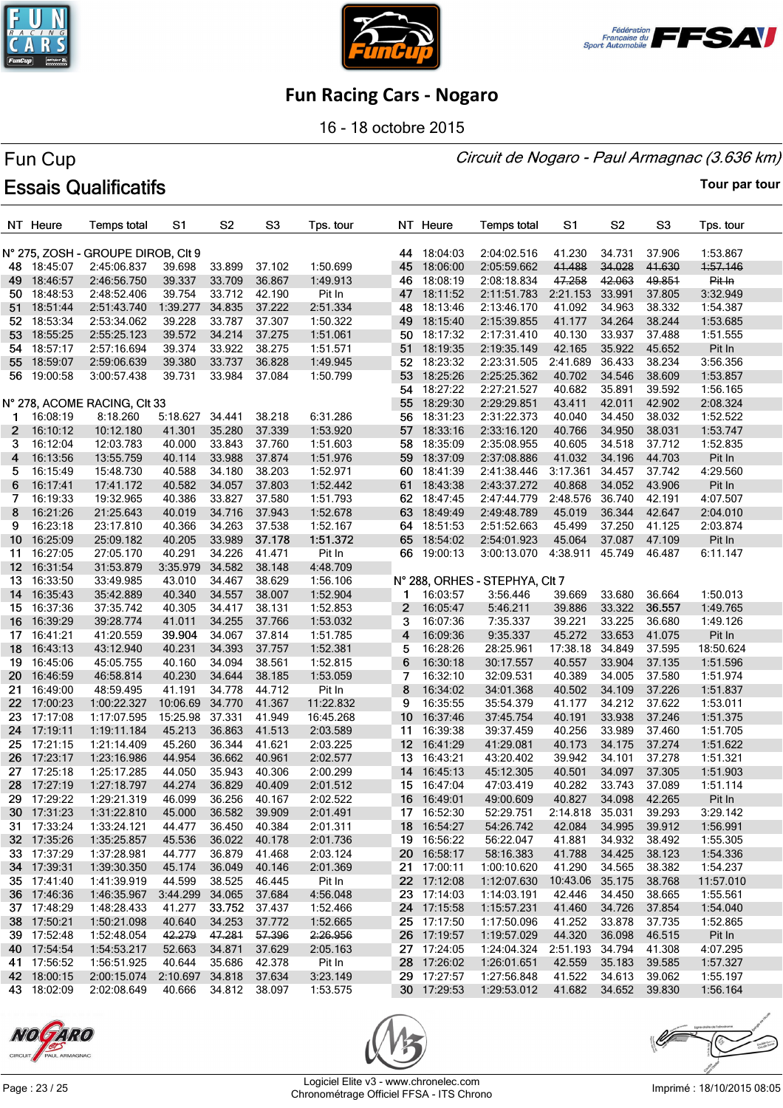





16 - 18 octobre 2015

#### Circuit de Nogaro - Paul Armagnac (3.636 km)

# Fun Cup **Essais Qualificatifs**

|                 | NT Heure    | <b>Temps total</b>                 | S1              | S <sub>2</sub> | S <sub>3</sub> | Tps. tour |                 | NT Heure             | <b>Temps total</b>             | S1              | S <sub>2</sub> | S <sub>3</sub> | Tps. tour |
|-----------------|-------------|------------------------------------|-----------------|----------------|----------------|-----------|-----------------|----------------------|--------------------------------|-----------------|----------------|----------------|-----------|
|                 |             | N° 275, ZOSH - GROUPE DIROB, CIt 9 |                 |                |                |           | 44              | 18:04:03             | 2:04:02.516                    | 41.230          | 34.731         | 37.906         | 1:53.867  |
|                 | 48 18:45:07 | 2:45:06.837                        | 39.698          | 33.899         | 37.102         | 1:50.699  | 45              | 18:06:00             | 2:05:59.662                    | 41.488          | 34.028         | 41.630         | 1:57.146  |
| 49.             | 18:46:57    | 2:46:56.750                        | 39.337          | 33.709         | 36.867         | 1:49.913  | 46              | 18:08:19             | 2:08:18.834                    | 47.258          | 42.063         | 49.851         | Pit In    |
| 50.             | 18:48:53    | 2:48:52.406                        | 39.754          | 33.712         | 42.190         | Pit In    | 47              | 18:11:52             | 2:11:51.783                    | 2:21.153        | 33.991         | 37.805         | 3:32.949  |
| 51              | 18:51:44    | 2:51:43.740                        | 1:39.277        | 34.835         | 37.222         | 2:51.334  |                 | 48 18:13:46          | 2:13:46.170                    | 41.092          | 34.963         | 38.332         | 1:54.387  |
| 52              | 18:53:34    | 2:53:34.062                        | 39.228          | 33.787         | 37.307         | 1:50.322  | 49              | 18:15:40             | 2:15:39.855                    | 41.177          | 34.264         | 38.244         | 1:53.685  |
| 53              | 18:55:25    | 2:55:25.123                        | 39.572          | 34.214         | 37.275         | 1:51.061  |                 | 50 18:17:32          | 2:17:31.410                    | 40.130          | 33.937         | 37.488         | 1:51.555  |
|                 | 18:57:17    | 2:57:16.694                        | 39.374          | 33.922         | 38.275         | 1:51.571  |                 | 51 18:19:35          | 2:19:35.149                    | 42.165          | 35.922         | 45.652         | Pit In    |
| 54              |             |                                    |                 | 33.737         | 36.828         |           |                 | 52 18:23:32          | 2:23:31.505                    | 2:41.689        | 36.433         | 38.234         | 3:56.356  |
|                 | 55 18:59:07 | 2:59:06.639                        | 39.380          |                |                | 1:49.945  | 53              | 18:25:26             |                                |                 | 34.546         |                |           |
| 56              | 19:00:58    | 3:00:57.438                        | 39.731          | 33.984         | 37.084         | 1:50.799  |                 |                      | 2:25:25.362                    | 40.702          |                | 38.609         | 1:53.857  |
|                 |             |                                    |                 |                |                |           |                 | 54 18:27:22          | 2:27:21.527                    | 40.682          | 35.891         | 39.592         | 1:56.165  |
|                 |             | N° 278, ACOME RACING, CIt 33       |                 |                |                |           | 55              | 18:29:30<br>18:31:23 | 2:29:29.851                    | 43.411          | 42.011         | 42.902         | 2:08.324  |
| 1               | 16:08:19    | 8:18.260                           | 5:18.627        | 34.441         | 38.218         | 6:31.286  | 56              |                      | 2:31:22.373                    | 40.040          | 34.450         | 38.032         | 1:52.522  |
| $\mathbf{2}$    | 16:10:12    | 10:12.180                          | 41.301          | 35.280         | 37.339         | 1:53.920  |                 | 57 18:33:16          | 2:33:16.120                    | 40.766          | 34.950         | 38.031         | 1:53.747  |
| 3               | 16:12:04    | 12:03.783                          | 40.000          | 33.843         | 37.760         | 1:51.603  |                 | 58 18:35:09          | 2:35:08.955                    | 40.605          | 34.518         | 37.712         | 1:52.835  |
| 4               | 16:13:56    | 13:55.759                          | 40.114          | 33.988         | 37.874         | 1:51.976  |                 | 59 18:37:09          | 2:37:08.886                    | 41.032          | 34.196         | 44.703         | Pit In    |
| 5               | 16:15:49    | 15:48.730                          | 40.588          | 34.180         | 38.203         | 1:52.971  | 60              | 18:41:39             | 2:41:38.446                    | 3:17.361        | 34.457         | 37.742         | 4:29.560  |
| 6               | 16:17:41    | 17:41.172                          | 40.582          | 34.057         | 37.803         | 1:52.442  |                 | 61 18:43:38          | 2:43:37.272                    | 40.868          | 34.052         | 43.906         | Pit In    |
| 7               | 16:19:33    | 19:32.965                          | 40.386          | 33.827         | 37.580         | 1:51.793  |                 | 62 18:47:45          | 2:47:44.779                    | 2:48.576        | 36.740         | 42.191         | 4:07.507  |
| 8               | 16:21:26    | 21:25.643                          | 40.019          | 34.716         | 37.943         | 1:52.678  |                 | 63 18:49:49          | 2:49:48.789                    | 45.019          | 36.344         | 42.647         | 2:04.010  |
| 9               | 16:23:18    | 23:17.810                          | 40.366          | 34.263         | 37.538         | 1:52.167  | 64              | 18:51:53             | 2:51:52.663                    | 45.499          | 37.250         | 41.125         | 2:03.874  |
| 10 <sup>°</sup> | 16:25:09    | 25:09.182                          | 40.205          | 33.989         | 37.178         | 1:51.372  |                 | 65 18:54:02          | 2:54:01.923                    | 45.064          | 37.087         | 47.109         | Pit In    |
| 11              | 16:27:05    | 27:05.170                          | 40.291          | 34.226         | 41.471         | Pit In    |                 | 66 19:00:13          | 3:00:13.070                    | 4:38.911        | 45.749         | 46.487         | 6:11.147  |
| 12 <sup>2</sup> | 16:31:54    | 31:53.879                          | 3:35.979        | 34.582         | 38.148         | 4:48.709  |                 |                      |                                |                 |                |                |           |
| 13              | 16:33:50    | 33:49.985                          | 43.010          | 34.467         | 38.629         | 1:56.106  |                 |                      | N° 288, ORHES - STEPHYA, CIt 7 |                 |                |                |           |
| 14              | 16:35:43    | 35:42.889                          | 40.340          | 34.557         | 38.007         | 1:52.904  | 1               | 16:03:57             | 3:56.446                       | 39.669          | 33.680         | 36.664         | 1:50.013  |
|                 | 15 16:37:36 | 37:35.742                          | 40.305          | 34.417         | 38.131         | 1:52.853  | $\mathbf{2}$    | 16:05:47             | 5:46.211                       | 39.886          | 33.322         | 36.557         | 1:49.765  |
| 16              | 16:39:29    | 39:28.774                          | 41.011          | 34.255         | 37.766         | 1:53.032  | 3               | 16:07:36             | 7:35.337                       | 39.221          | 33.225         | 36.680         | 1:49.126  |
| 17              | 16:41:21    | 41:20.559                          | 39.904          | 34.067         | 37.814         | 1:51.785  | 4               | 16:09:36             | 9:35.337                       | 45.272          | 33.653         | 41.075         | Pit In    |
| 18              | 16:43:13    | 43:12.940                          | 40.231          | 34.393         | 37.757         | 1:52.381  | 5               | 16:28:26             | 28:25.961                      | 17:38.18        | 34.849         | 37.595         | 18:50.624 |
| 19              | 16:45:06    | 45:05.755                          | 40.160          | 34.094         | 38.561         | 1:52.815  | 6               | 16:30:18             | 30:17.557                      | 40.557          | 33.904         | 37.135         | 1:51.596  |
| 20              | 16:46:59    | 46:58.814                          | 40.230          | 34.644         | 38.185         | 1:53.059  | 7               | 16:32:10             | 32:09.531                      | 40.389          | 34.005         | 37.580         | 1:51.974  |
| 21              | 16:49:00    | 48:59.495                          | 41.191          | 34.778         | 44.712         | Pit In    | 8               | 16:34:02             | 34:01.368                      | 40.502          | 34.109         | 37.226         | 1:51.837  |
| 22 <sub>2</sub> | 17:00:23    | 1:00:22.327                        | 10:06.69        | 34.770         | 41.367         | 11:22.832 | 9               | 16:35:55             | 35:54.379                      | 41.177          | 34.212         | 37.622         | 1:53.011  |
| 23.             | 17:17:08    | 1:17:07.595                        | 15:25.98        | 37.331         | 41.949         | 16:45.268 | 10 <sup>°</sup> | 16:37:46             | 37:45.754                      | 40.191          | 33.938         | 37.246         | 1:51.375  |
| 24              | 17:19:11    | 1:19:11.184                        | 45.213          | 36.863         | 41.513         | 2:03.589  | 11              | 16:39:38             | 39:37.459                      | 40.256          | 33.989         | 37.460         | 1:51.705  |
|                 | 25 17:21:15 | 1:21:14.409                        | 45.260          | 36.344         | 41.621         | 2:03.225  |                 | 12 16:41:29          | 41:29.081                      | 40.173          | 34.175         | 37.274         | 1:51.622  |
| 26              | 17:23:17    | 1:23:16.986                        | 44.954          | 36.662         | 40.961         | 2:02.577  | 13 <sup>°</sup> | 16:43:21             | 43:20.402                      | 39.942          | 34.101         | 37.278         | 1:51.321  |
| 27              | 17:25:18    | 1:25:17.285                        | 44.050          | 35.943         | 40.306         | 2:00.299  | 14              | 16:45:13             | 45:12.305                      | 40.501          | 34.097         | 37.305         | 1:51.903  |
| 28              | 17:27:19    | 1:27:18.797                        | 44.274          | 36.829         | 40.409         | 2:01.512  |                 | 15 16:47:04          | 47:03.419                      | 40.282          | 33.743         | 37.089         | 1:51.114  |
|                 | 29 17:29:22 | 1:29:21.319                        | 46.099          | 36.256         | 40.167         | 2:02.522  | 16              | 16:49:01             | 49:00.609                      | 40.827          | 34.098         | 42.265         | Pit In    |
|                 | 30 17:31:23 | 1:31:22.810                        | 45.000          | 36.582         | 39.909         | 2:01.491  |                 | 17 16:52:30          | 52:29.751                      | 2:14.818 35.031 |                | 39.293         | 3:29.142  |
|                 | 31 17:33:24 | 1:33:24.121                        | 44.477          | 36.450         | 40.384         | 2:01.311  |                 | 18 16:54:27          | 54:26.742                      | 42.084          | 34.995         | 39.912         | 1:56.991  |
|                 | 32 17:35:26 | 1:35:25.857                        | 45.536          | 36.022         | 40.178         | 2:01.736  |                 | 19 16:56:22          | 56:22.047                      | 41.881          | 34.932         | 38.492         | 1:55.305  |
|                 | 33 17:37:29 | 1:37:28.981                        | 44.777          | 36.879         | 41.468         | 2:03.124  |                 | 20 16:58:17          | 58:16.383                      | 41.788          | 34.425         | 38.123         | 1:54.336  |
|                 | 34 17:39:31 | 1:39:30.350                        | 45.174          | 36.049         | 40.146         | 2:01.369  |                 | 21 17:00:11          | 1:00:10.620                    | 41.290          | 34.565         | 38.382         | 1:54.237  |
|                 | 35 17:41:40 | 1:41:39.919                        | 44.599          | 38.525         | 46.445         | Pit In    |                 | 22 17:12:08          | 1:12:07.630                    | 10:43.06 35.175 |                | 38.768         | 11:57.010 |
|                 | 36 17:46:36 | 1:46:35.967                        | 3:44.299        | 34.065         | 37.684         | 4:56.048  |                 | 23 17:14:03          | 1:14:03.191                    | 42.446          | 34.450         | 38.665         | 1:55.561  |
|                 | 37 17:48:29 | 1:48:28.433                        | 41.277          | 33.752         | 37.437         | 1:52.466  |                 | 24 17:15:58          | 1:15:57.231                    | 41.460          | 34.726         | 37.854         | 1:54.040  |
|                 | 38 17:50:21 | 1:50:21.098                        | 40.640          | 34.253         | 37.772         | 1:52.665  |                 | 25 17:17:50          | 1:17:50.096                    | 41.252          | 33.878         | 37.735         | 1:52.865  |
|                 | 39 17:52:48 | 1:52:48.054                        | 42.279          | 47.281         | 57.396         | 2:26.956  |                 | 26 17:19:57          | 1:19:57.029                    | 44.320          | 36.098         | 46.515         | Pit In    |
|                 | 40 17:54:54 | 1:54:53.217                        | 52.663          | 34.871         | 37.629         | 2:05.163  |                 | 27 17:24:05          | 1:24:04.324                    | 2:51.193        | 34.794         | 41.308         | 4:07.295  |
|                 | 41 17:56:52 | 1:56:51.925                        | 40.644          | 35.686         | 42.378         | Pit In    |                 | 28 17:26:02          | 1:26:01.651                    | 42.559          | 35.183         | 39.585         | 1:57.327  |
|                 | 42 18:00:15 | 2:00:15.074                        | 2:10.697 34.818 |                | 37.634         | 3:23.149  |                 | 29 17:27:57          | 1:27:56.848                    | 41.522          | 34.613         | 39.062         | 1:55.197  |
|                 | 43 18:02:09 | 2:02:08.649                        | 40.666          | 34.812 38.097  |                | 1:53.575  |                 | 30 17:29:53          | 1:29:53.012                    | 41.682          | 34.652         | 39.830         | 1:56.164  |





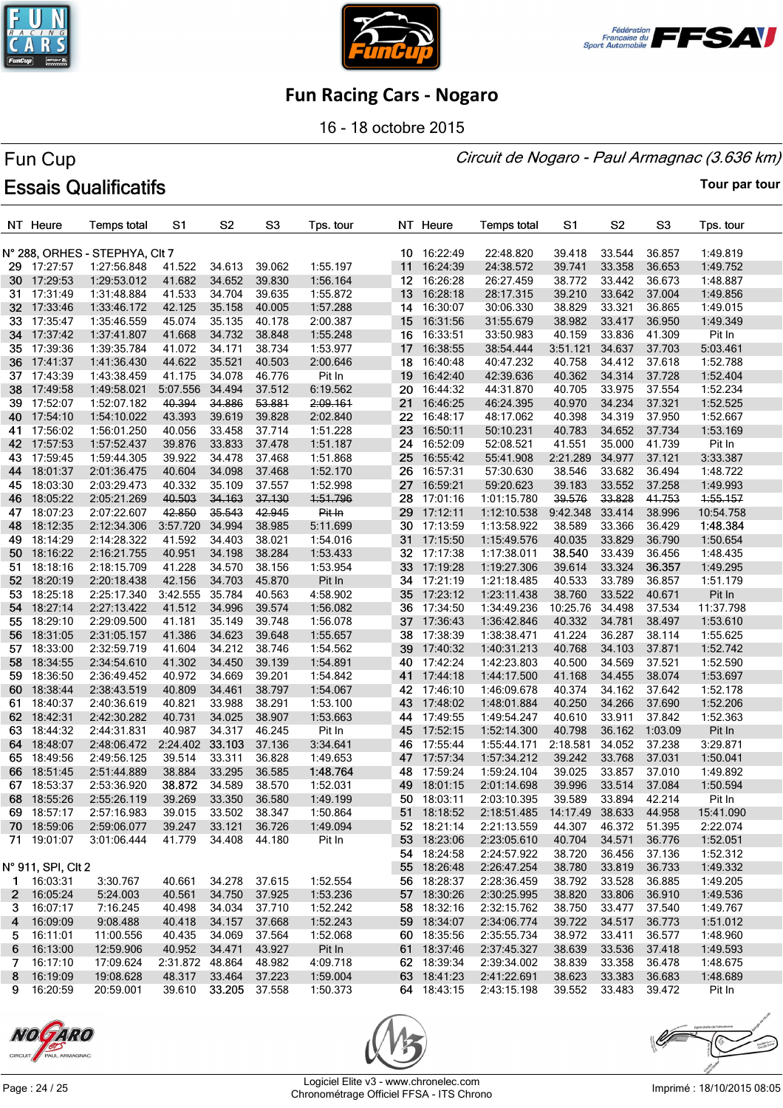





16 - 18 octobre 2015

#### Circuit de Nogaro - Paul Armagnac (3.636 km)

# Fun Cup **Essais Qualificatifs**

|      | NT Heure             | Temps total                    | S1                   | S <sub>2</sub>   | S <sub>3</sub>   | Tps. tour |                 | NT Heure    | <b>Temps total</b>     | S1              | S <sub>2</sub>   | S <sub>3</sub> | Tps. tour |
|------|----------------------|--------------------------------|----------------------|------------------|------------------|-----------|-----------------|-------------|------------------------|-----------------|------------------|----------------|-----------|
|      |                      | N° 288, ORHES - STEPHYA, CIt 7 |                      |                  |                  |           |                 | 10 16:22:49 | 22:48.820              | 39.418          | 33.544           | 36.857         | 1:49.819  |
|      | 29 17:27:57          | 1:27:56.848                    | 41.522               | 34.613           | 39.062           | 1:55.197  | 11              | 16:24:39    | 24:38.572              | 39.741          | 33.358           | 36.653         | 1:49.752  |
|      | 30 17:29:53          | 1:29:53.012                    | 41.682               | 34.652           | 39.830           | 1:56.164  |                 | 12 16:26:28 | 26:27.459              | 38.772          | 33.442           | 36.673         | 1:48.887  |
| 31.  | 17:31:49             | 1:31:48.884                    | 41.533               | 34.704           | 39.635           | 1:55.872  | 13              | 16:28:18    | 28:17.315              | 39.210          | 33.642           | 37.004         | 1:49.856  |
|      | 32 17:33:46          | 1:33:46.172                    | 42.125               | 35.158           | 40.005           | 1:57.288  | 14              | 16:30:07    | 30:06.330              | 38.829          | 33.321           | 36.865         | 1:49.015  |
| 33   | 17:35:47             | 1:35:46.559                    | 45.074               | 35.135           | 40.178           | 2:00.387  |                 | 15 16:31:56 | 31:55.679              | 38.982          | 33.417           | 36.950         | 1:49.349  |
| 34   | 17:37:42             | 1:37:41.807                    | 41.668               | 34.732           | 38.848           | 1:55.248  | 16              | 16:33:51    | 33:50.983              | 40.159          | 33.836           | 41.309         | Pit In    |
| 35   | 17:39:36             | 1:39:35.784                    | 41.072               | 34.171           | 38.734           | 1:53.977  | 17 <sub>1</sub> | 16:38:55    | 38:54.444              | 3:51.121        | 34.637           | 37.703         | 5:03.461  |
| 36   | 17:41:37             | 1:41:36.430                    | 44.622               | 35.521           | 40.503           | 2:00.646  |                 | 18 16:40:48 | 40:47.232              | 40.758          | 34.412           | 37.618         | 1:52.788  |
| 37 - | 17:43:39             | 1:43:38.459                    | 41.175               | 34.078           | 46.776           | Pit In    |                 | 19 16:42:40 |                        | 40.362          | 34.314           | 37.728         | 1:52.404  |
| 38   | 17:49:58             | 1:49:58.021                    | 5:07.556             | 34.494           | 37.512           | 6:19.562  | 20              | 16:44:32    | 42:39.636<br>44:31.870 | 40.705          | 33.975           | 37.554         | 1:52.234  |
|      | 17:52:07             |                                | 40.394               | 34.886           | 53.881           |           |                 | 21 16:46:25 |                        | 40.970          | 34.234           | 37.321         | 1:52.525  |
| 39   |                      | 1:52:07.182                    |                      |                  |                  | 2:09.161  |                 |             | 46:24.395              |                 |                  |                |           |
| 40   | 17:54:10<br>17:56:02 | 1:54:10.022                    | 43.393               | 39.619<br>33.458 | 39.828<br>37.714 | 2:02.840  | 22.<br>23       | 16:48:17    | 48:17.062              | 40.398          | 34.319           | 37.950         | 1:52.667  |
| 41   |                      | 1:56:01.250                    | 40.056               |                  |                  | 1:51.228  |                 | 16:50:11    | 50:10.231              | 40.783          | 34.652<br>35.000 | 37.734         | 1:53.169  |
| 42   | 17:57:53             | 1:57:52.437                    | 39.876               | 33.833           | 37.478           | 1:51.187  | 24              | 16:52:09    | 52:08.521              | 41.551          |                  | 41.739         | Pit In    |
| 43   | 17:59:45             | 1:59:44.305                    | 39.922               | 34.478           | 37.468           | 1:51.868  | 25              | 16:55:42    | 55:41.908              | 2:21.289        | 34.977           | 37.121         | 3:33.387  |
| 44   | 18:01:37             | 2:01:36.475                    | 40.604               | 34.098           | 37.468           | 1:52.170  | 26              | 16:57:31    | 57:30.630              | 38.546          | 33.682           | 36.494         | 1:48.722  |
| 45   | 18:03:30             | 2:03:29.473                    | 40.332               | 35.109           | 37.557           | 1:52.998  | 27              | 16:59:21    | 59:20.623              | 39.183          | 33.552           | 37.258         | 1:49.993  |
| 46   | 18:05:22             | 2:05:21.269                    | 40.503               | 34.163           | 37.130           | 1:51.796  | 28              | 17:01:16    | 1:01:15.780            | 39.576          | 33.828           | 41.753         | 1:55.157  |
| 47   | 18:07:23             | 2:07:22.607                    | 42.850               | 35.543           | 42.945           | Pit In    | 29.             | 17:12:11    | 1:12:10.538            | 9:42.348        | 33.414           | 38.996         | 10:54.758 |
| 48   | 18:12:35             | 2:12:34.306                    | 3:57.720             | 34.994           | 38.985           | 5:11.699  | 30-             | 17:13:59    | 1:13:58.922            | 38.589          | 33.366           | 36.429         | 1:48.384  |
| 49   | 18:14:29             | 2:14:28.322                    | 41.592               | 34.403           | 38.021           | 1:54.016  | 31              | 17:15:50    | 1:15:49.576            | 40.035          | 33.829           | 36.790         | 1:50.654  |
| 50   | 18:16:22             | 2:16:21.755                    | 40.951               | 34.198           | 38.284           | 1:53.433  |                 | 32 17:17:38 | 1:17:38.011            | 38.540          | 33.439           | 36.456         | 1:48.435  |
| 51.  | 18:18:16             | 2:18:15.709                    | 41.228               | 34.570           | 38.156           | 1:53.954  | 33              | 17:19:28    | 1:19:27.306            | 39.614          | 33.324           | 36.357         | 1:49.295  |
| 52   | 18:20:19             | 2:20:18.438                    | 42.156               | 34.703           | 45.870           | Pit In    |                 | 34 17:21:19 | 1:21:18.485            | 40.533          | 33.789           | 36.857         | 1:51.179  |
| 53.  | 18:25:18             | 2:25:17.340                    | 3:42.555             | 35.784           | 40.563           | 4:58.902  | 35              | 17:23:12    | 1:23:11.438            | 38.760          | 33.522           | 40.671         | Pit In    |
| 54   | 18:27:14             | 2:27:13.422                    | 41.512               | 34.996           | 39.574           | 1:56.082  | 36              | 17:34:50    | 1:34:49.236            | 10:25.76        | 34.498           | 37.534         | 11:37.798 |
| 55   | 18:29:10             | 2:29:09.500                    | 41.181               | 35.149           | 39.748           | 1:56.078  |                 | 37 17:36:43 | 1:36:42.846            | 40.332          | 34.781           | 38.497         | 1:53.610  |
| 56   | 18:31:05             | 2:31:05.157                    | 41.386               | 34.623           | 39.648           | 1:55.657  | 38              | 17:38:39    | 1:38:38.471            | 41.224          | 36.287           | 38.114         | 1:55.625  |
| 57.  | 18:33:00             | 2:32:59.719                    | 41.604               | 34.212           | 38.746           | 1:54.562  | 39              | 17:40:32    | 1:40:31.213            | 40.768          | 34.103           | 37.871         | 1:52.742  |
| 58   | 18:34:55             | 2:34:54.610                    | 41.302               | 34.450           | 39.139           | 1:54.891  |                 | 40 17:42:24 | 1:42:23.803            | 40.500          | 34.569           | 37.521         | 1:52.590  |
| 59.  | 18:36:50             | 2:36:49.452                    | 40.972               | 34.669           | 39.201           | 1:54.842  |                 | 41 17:44:18 | 1:44:17.500            | 41.168          | 34.455           | 38.074         | 1:53.697  |
| 60.  | 18:38:44             | 2:38:43.519                    | 40.809               | 34.461           | 38.797           | 1:54.067  |                 | 42 17:46:10 | 1:46:09.678            | 40.374          | 34.162           | 37.642         | 1:52.178  |
| 61   | 18:40:37             | 2:40:36.619                    | 40.821               | 33.988           | 38.291           | 1:53.100  |                 | 43 17:48:02 | 1:48:01.884            | 40.250          | 34.266           | 37.690         | 1:52.206  |
| 62   | 18:42:31             | 2:42:30.282                    | 40.731               | 34.025           | 38.907           | 1:53.663  |                 | 44 17:49:55 | 1:49:54.247            | 40.610          | 33.911           | 37.842         | 1:52.363  |
| 63   | 18:44:32             | 2:44:31.831                    | 40.987               | 34.317           | 46.245           | Pit In    | 45              | 17:52:15    | 1:52:14.300            | 40.798          | 36.162           | 1:03.09        | Pit In    |
| 64   | 18:48:07             | 2:48:06.472                    | 2:24.402             | 33.103           | 37.136           | 3:34.641  | 46              | 17:55:44    | 1:55:44.171            | 2:18.581        | 34.052           | 37.238         | 3:29.871  |
| 65   | 18:49:56             | 2:49:56.125                    | 39.514               | 33.311           | 36.828           | 1:49.653  |                 | 47 17:57:34 | 1:57:34.212            | 39.242          | 33.768           | 37.031         | 1:50.041  |
| 66   | 18:51:45             | 2:51:44.889                    | 38.884               | 33.295           | 36.585           | 1:48.764  | 48              | 17:59:24    | 1:59:24.104            | 39.025          | 33.857           | 37.010         | 1:49.892  |
| 67   | 18:53:37             | 2:53:36.920                    | 38.872               | 34.589           | 38.570           | 1:52.031  |                 | 49 18:01:15 | 2:01:14.698            | 39.996          | 33.514           | 37.084         | 1:50.594  |
|      | 68 18:55:26          | 2:55:26.119                    | 39.269               | 33.350           | 36.580           | 1:49.199  |                 | 50 18:03:11 | 2:03:10.395            | 39.589          | 33.894 42.214    |                | Pit In    |
|      | 69 18:57:17          | 2:57:16.983                    | 39.015               | 33.502 38.347    |                  | 1:50.864  |                 | 51 18:18:52 | 2:18:51.485            | 14:17.49 38.633 |                  | 44.958         | 15:41.090 |
|      | 70 18:59:06          | 2:59:06.077                    | 39.247               | 33.121           | 36.726           | 1:49.094  |                 | 52 18:21:14 | 2:21:13.559            | 44.307          | 46.372           | 51.395         | 2:22.074  |
|      | 71 19:01:07          | 3:01:06.444                    | 41.779               | 34.408 44.180    |                  | Pit In    |                 | 53 18:23:06 | 2:23:05.610            | 40.704          | 34.571           | 36.776         | 1:52.051  |
|      |                      |                                |                      |                  |                  |           |                 | 54 18:24:58 | 2:24:57.922            | 38.720          | 36.456           | 37.136         | 1:52.312  |
|      | N° 911, SPI, CIt 2   |                                |                      |                  |                  |           |                 | 55 18:26:48 | 2:26:47.254            | 38.780          | 33.819           | 36.733         | 1:49.332  |
|      | 1 16:03:31           | 3:30.767                       | 40.661               | 34.278 37.615    |                  | 1:52.554  |                 | 56 18:28:37 | 2:28:36.459            | 38.792          | 33.528           | 36.885         | 1:49.205  |
|      | 2 16:05:24           | 5:24.003                       | 40.561               | 34.750           | 37.925           | 1:53.236  |                 | 57 18:30:26 | 2:30:25.995            | 38.820          | 33.806           | 36.910         | 1:49.536  |
| 3    | 16:07:17             | 7:16.245                       | 40.498               | 34.034           | 37.710           | 1:52.242  |                 | 58 18:32:16 | 2:32:15.762            | 38.750          | 33.477           | 37.540         | 1:49.767  |
| 4    | 16:09:09             | 9:08.488                       | 40.418               | 34.157           | 37.668           | 1:52.243  |                 | 59 18:34:07 | 2:34:06.774            | 39.722          | 34.517           | 36.773         | 1:51.012  |
|      | 5 16:11:01           | 11:00.556                      | 40.435               | 34.069           | 37.564           | 1:52.068  |                 | 60 18:35:56 | 2:35:55.734            | 38.972          | 33.411           | 36.577         | 1:48.960  |
| 6.   | 16:13:00             | 12:59.906                      | 40.952               | 34.471           | 43.927           | Pit In    |                 | 61 18:37:46 | 2:37:45.327            | 38.639          | 33.536           | 37.418         | 1:49.593  |
| 7.   | 16:17:10             | 17:09.624                      | 2:31.872 48.864      |                  | 48.982           | 4:09.718  |                 | 62 18:39:34 | 2:39:34.002            | 38.839          | 33.358           | 36.478         | 1:48.675  |
|      | 8 16:19:09           | 19:08.628                      | 48.317               | 33.464           | 37.223           | 1:59.004  |                 | 63 18:41:23 | 2:41:22.691            | 38.623          | 33.383           | 36.683         | 1:48.689  |
|      | 9 16:20:59           | 20:59.001                      | 39.610 33.205 37.558 |                  |                  | 1:50.373  |                 | 64 18:43:15 | 2:43:15.198            | 39.552 33.483   |                  | 39.472         | Pit In    |